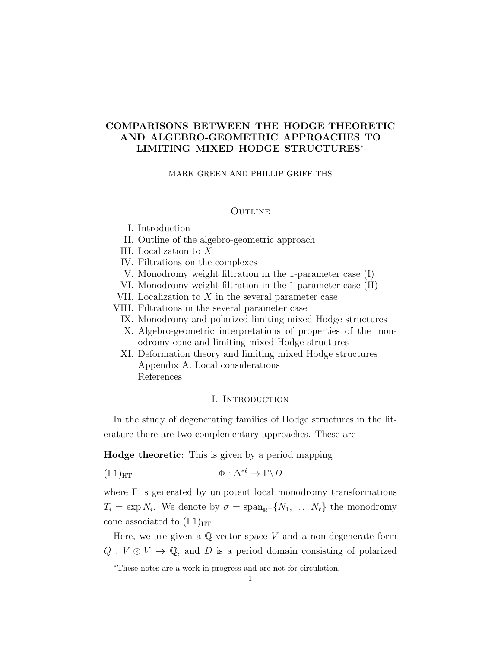### COMPARISONS BETWEEN THE HODGE-THEORETIC AND ALGEBRO-GEOMETRIC APPROACHES TO LIMITING MIXED HODGE STRUCTURES<sup>∗</sup>

#### MARK GREEN AND PHILLIP GRIFFITHS

### **OUTLINE**

- I. Introduction
- II. Outline of the algebro-geometric approach
- III. Localization to X
- IV. Filtrations on the complexes
- V. Monodromy weight filtration in the 1-parameter case (I)
- VI. Monodromy weight filtration in the 1-parameter case (II)
- VII. Localization to  $X$  in the several parameter case
- VIII. Filtrations in the several parameter case
	- IX. Monodromy and polarized limiting mixed Hodge structures
	- X. Algebro-geometric interpretations of properties of the monodromy cone and limiting mixed Hodge structures
	- XI. Deformation theory and limiting mixed Hodge structures Appendix A. Local considerations References

### I. INTRODUCTION

In the study of degenerating families of Hodge structures in the literature there are two complementary approaches. These are

Hodge theoretic: This is given by a period mapping

$$
(I.1)_{HT} \qquad \qquad \Phi: \Delta^{*\ell} \to \Gamma \backslash D
$$

where  $\Gamma$  is generated by unipotent local monodromy transformations  $T_i = \exp N_i$ . We denote by  $\sigma = \text{span}_{\mathbb{R}^+} \{N_1, \ldots, N_\ell\}$  the monodromy cone associated to  $(I.1)_{\text{HT}}$ .

Here, we are given a  $\mathbb{Q}\text{-vector space }V$  and a non-degenerate form  $Q: V \otimes V \to \mathbb{Q}$ , and D is a period domain consisting of polarized

<sup>∗</sup>These notes are a work in progress and are not for circulation.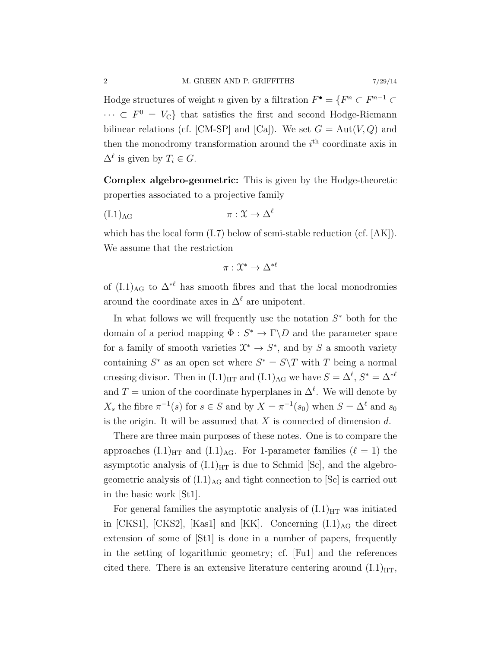Hodge structures of weight *n* given by a filtration  $F^{\bullet} = \{F^n \subset F^{n-1} \subset$  $\cdots \subset F^0 = V_{\mathbb{C}}$  that satisfies the first and second Hodge-Riemann bilinear relations (cf. [CM-SP] and [Ca]). We set  $G = Aut(V, Q)$  and then the monodromy transformation around the  $i<sup>th</sup>$  coordinate axis in  $\Delta^{\ell}$  is given by  $T_i \in G$ .

Complex algebro-geometric: This is given by the Hodge-theoretic properties associated to a projective family

$$
(\text{I.1})_{\text{AG}} \qquad \qquad \pi: \mathfrak{X} \to \Delta^{\ell}
$$

which has the local form  $(I.7)$  below of semi-stable reduction (cf. [AK]). We assume that the restriction

$$
\pi: \mathfrak{X}^* \to \Delta^{*\ell}
$$

of  $(L1)_{AG}$  to  $\Delta^{*ell}$  has smooth fibres and that the local monodromies around the coordinate axes in  $\Delta^{\ell}$  are unipotent.

In what follows we will frequently use the notation  $S^*$  both for the domain of a period mapping  $\Phi : S^* \to \Gamma \backslash D$  and the parameter space for a family of smooth varieties  $\mathfrak{X}^* \to S^*$ , and by S a smooth variety containing  $S^*$  as an open set where  $S^* = S \ T$  with T being a normal crossing divisor. Then in  $(L1)_{\text{HT}}$  and  $(L1)_{\text{AG}}$  we have  $S = \Delta^{\ell}, S^* = \Delta^{*\ell}$ and T = union of the coordinate hyperplanes in  $\Delta^{\ell}$ . We will denote by  $X_s$  the fibre  $\pi^{-1}(s)$  for  $s \in S$  and by  $X = \pi^{-1}(s_0)$  when  $S = \Delta^{\ell}$  and  $s_0$ is the origin. It will be assumed that  $X$  is connected of dimension  $d$ .

There are three main purposes of these notes. One is to compare the approaches  $(L1)_{\text{HT}}$  and  $(L1)_{\text{AG}}$ . For 1-parameter families  $(\ell = 1)$  the asymptotic analysis of  $(L1)_{\text{HT}}$  is due to Schmid [Sc], and the algebrogeometric analysis of  $(L1)_{AG}$  and tight connection to  $|Sc|$  is carried out in the basic work [St1].

For general families the asymptotic analysis of  $(L1)_{\text{HT}}$  was initiated in  $[CKS1]$ ,  $[CKS2]$ ,  $[Kas1]$  and  $[KK]$ . Concerning  $(L1)_{AG}$  the direct extension of some of [St1] is done in a number of papers, frequently in the setting of logarithmic geometry; cf. [Fu1] and the references cited there. There is an extensive literature centering around  $(L1)_{\text{HT}}$ ,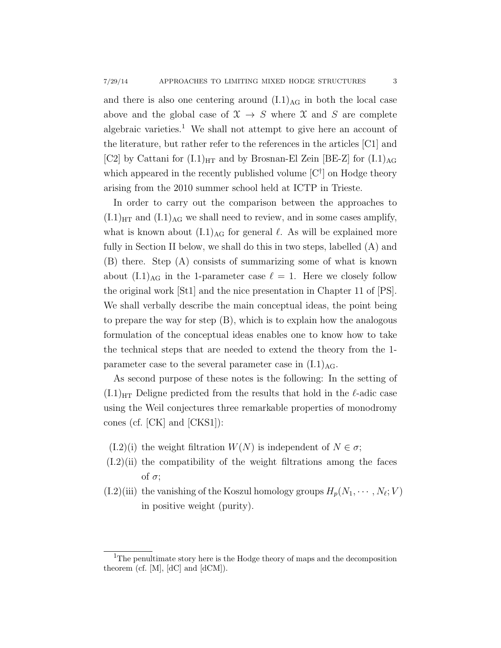and there is also one centering around  $(L1)_{AG}$  in both the local case above and the global case of  $\mathfrak{X} \to S$  where X and S are complete algebraic varieties.<sup>1</sup> We shall not attempt to give here an account of the literature, but rather refer to the references in the articles [C1] and [C2] by Cattani for  $(I.1)_{\text{HT}}$  and by Brosnan-El Zein [BE-Z] for  $(I.1)_{\text{AG}}$ which appeared in the recently published volume  $[C^{\dagger}]$  on Hodge theory arising from the 2010 summer school held at ICTP in Trieste.

In order to carry out the comparison between the approaches to  $(L1)_{\text{HT}}$  and  $(L1)_{\text{AG}}$  we shall need to review, and in some cases amplify, what is known about  $(L1)_{AG}$  for general  $\ell$ . As will be explained more fully in Section II below, we shall do this in two steps, labelled (A) and (B) there. Step (A) consists of summarizing some of what is known about  $(I.1)_{AG}$  in the 1-parameter case  $\ell = 1$ . Here we closely follow the original work [St1] and the nice presentation in Chapter 11 of [PS]. We shall verbally describe the main conceptual ideas, the point being to prepare the way for step (B), which is to explain how the analogous formulation of the conceptual ideas enables one to know how to take the technical steps that are needed to extend the theory from the 1 parameter case to the several parameter case in  $(L1)_{AG}$ .

As second purpose of these notes is the following: In the setting of  $(L1)_{\text{HT}}$  Deligne predicted from the results that hold in the  $\ell$ -adic case using the Weil conjectures three remarkable properties of monodromy cones (cf. [CK] and [CKS1]):

- $(I.2)(i)$  the weight filtration  $W(N)$  is independent of  $N \in \sigma$ ;
- (I.2)(ii) the compatibility of the weight filtrations among the faces of  $\sigma$ ;
- $(1.2)$ (iii) the vanishing of the Koszul homology groups  $H_p(N_1, \dots, N_\ell; V)$ in positive weight (purity).

<sup>&</sup>lt;sup>1</sup>The penultimate story here is the Hodge theory of maps and the decomposition theorem (cf. [M], [dC] and [dCM]).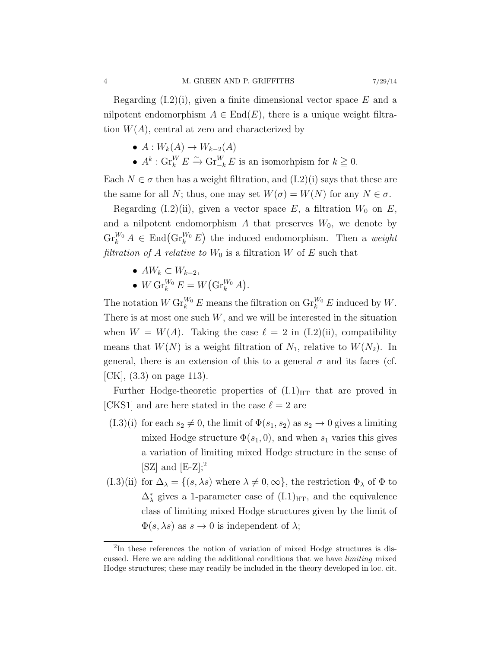Regarding  $(I.2)(i)$ , given a finite dimensional vector space E and a nilpotent endomorphism  $A \in End(E)$ , there is a unique weight filtration  $W(A)$ , central at zero and characterized by

- $A: W_k(A) \to W_{k-2}(A)$
- $A^k$ :  $\operatorname{Gr}_{k}^{W} E \xrightarrow{\sim} \operatorname{Gr}_{-k}^{W} E$  is an isomorhpism for  $k \geq 0$ .

Each  $N \in \sigma$  then has a weight filtration, and  $(I.2)(i)$  says that these are the same for all N; thus, one may set  $W(\sigma) = W(N)$  for any  $N \in \sigma$ .

Regarding (I.2)(ii), given a vector space E, a filtration  $W_0$  on E, and a nilpotent endomorphism  $A$  that preserves  $W_0$ , we denote by  $\operatorname{Gr}_{k}^{W_0} A \in \operatorname{End}(\operatorname{Gr}_{k}^{W_0} E)$  the induced endomorphism. Then a weight filtration of A relative to  $W_0$  is a filtration W of E such that

- $AW_k \subset W_{k-2}$ ,
- $\bullet \,\, W\, {\rm Gr}^{W_0}_k\, E = W\big( {\rm Gr}^{W_0}_k\, A\big).$

The notation  $W \operatorname{Gr}_{k}^{W_0} E$  means the filtration on  $\operatorname{Gr}_{k}^{W_0} E$  induced by W. There is at most one such  $W$ , and we will be interested in the situation when  $W = W(A)$ . Taking the case  $\ell = 2$  in (I.2)(ii), compatibility means that  $W(N)$  is a weight filtration of  $N_1$ , relative to  $W(N_2)$ . In general, there is an extension of this to a general  $\sigma$  and its faces (cf.  $|CK|, (3.3)$  on page 113).

Further Hodge-theoretic properties of  $(L1)_{\text{HT}}$  that are proved in [CKS1] and are here stated in the case  $\ell = 2$  are

- $(1.3)(i)$  for each  $s_2 \neq 0$ , the limit of  $\Phi(s_1, s_2)$  as  $s_2 \to 0$  gives a limiting mixed Hodge structure  $\Phi(s_1, 0)$ , and when  $s_1$  varies this gives a variation of limiting mixed Hodge structure in the sense of  $[SZ]$  and  $[E-Z];^2$
- (I.3)(ii) for  $\Delta_{\lambda} = \{(s, \lambda s)$  where  $\lambda \neq 0, \infty\}$ , the restriction  $\Phi_{\lambda}$  of  $\Phi$  to  $\Delta_{\lambda}^{*}$  gives a 1-parameter case of  $(I.1)_{\text{HT}}$ , and the equivalence class of limiting mixed Hodge structures given by the limit of  $\Phi(s, \lambda s)$  as  $s \to 0$  is independent of  $\lambda$ ;

<sup>&</sup>lt;sup>2</sup>In these references the notion of variation of mixed Hodge structures is discussed. Here we are adding the additional conditions that we have limiting mixed Hodge structures; these may readily be included in the theory developed in loc. cit.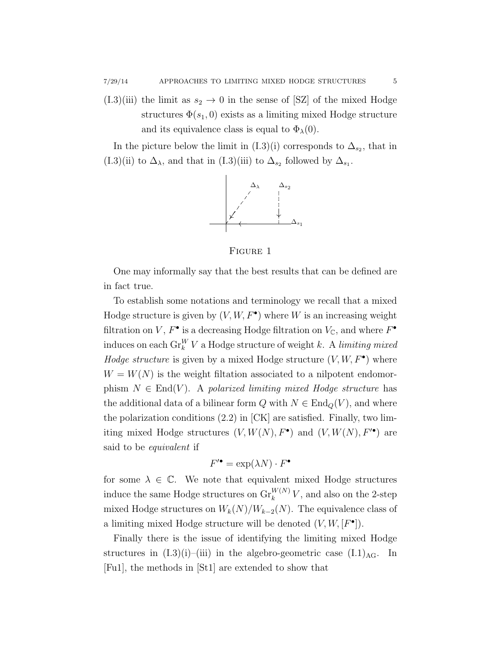$(1.3)(iii)$  the limit as  $s_2 \rightarrow 0$  in the sense of [SZ] of the mixed Hodge structures  $\Phi(s_1, 0)$  exists as a limiting mixed Hodge structure and its equivalence class is equal to  $\Phi_{\lambda}(0)$ .

In the picture below the limit in (I.3)(i) corresponds to  $\Delta_{s_2}$ , that in (I.3)(ii) to  $\Delta_{\lambda}$ , and that in (I.3)(iii) to  $\Delta_{s_2}$  followed by  $\Delta_{s_1}$ .



Figure 1

One may informally say that the best results that can be defined are in fact true.

To establish some notations and terminology we recall that a mixed Hodge structure is given by  $(V, W, F^{\bullet})$  where W is an increasing weight filtration on V,  $F^{\bullet}$  is a decreasing Hodge filtration on  $V_{\mathbb{C}}$ , and where  $F^{\bullet}$ induces on each  $\text{Gr}_k^W V$  a Hodge structure of weight k. A limiting mixed *Hodge structure* is given by a mixed Hodge structure  $(V, W, F^{\bullet})$  where  $W = W(N)$  is the weight filtation associated to a nilpotent endomorphism  $N \in End(V)$ . A polarized limiting mixed Hodge structure has the additional data of a bilinear form Q with  $N \in \text{End}_{\mathcal{O}}(V)$ , and where the polarization conditions  $(2.2)$  in  $[CK]$  are satisfied. Finally, two limiting mixed Hodge structures  $(V, W(N), F^{\bullet})$  and  $(V, W(N), F^{\bullet})$  are said to be equivalent if

$$
F^{\prime \bullet} = \exp(\lambda N) \cdot F^{\bullet}
$$

for some  $\lambda \in \mathbb{C}$ . We note that equivalent mixed Hodge structures induce the same Hodge structures on  $\operatorname{Gr}_k^{W(N)}V$ , and also on the 2-step mixed Hodge structures on  $W_k(N)/W_{k-2}(N)$ . The equivalence class of a limiting mixed Hodge structure will be denoted  $(V, W, [F^{\bullet}])$ .

Finally there is the issue of identifying the limiting mixed Hodge structures in  $(I.3)(i)$ –(iii) in the algebro-geometric case  $(I.1)_{AG}$ . In [Fu1], the methods in [St1] are extended to show that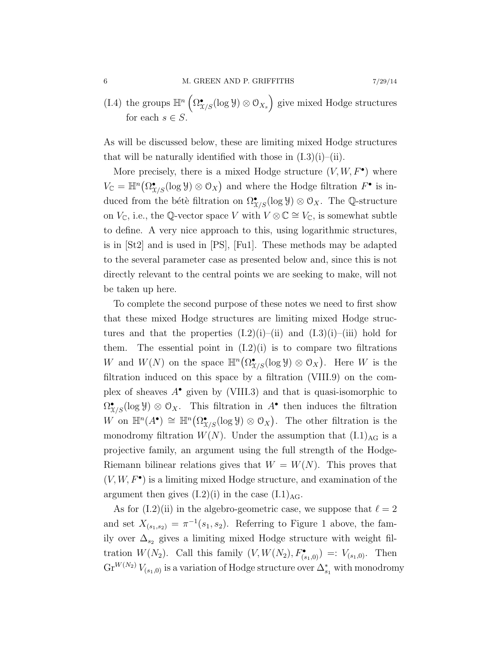(I.4) the groups  $\mathbb{H}^n\left(\Omega^\bullet_{\mathfrak{X}/S}(\log \mathcal{Y}) \otimes \mathcal{O}_{X_s}\right)$  give mixed Hodge structures for each  $s \in S$ .

As will be discussed below, these are limiting mixed Hodge structures that will be naturally identified with those in  $(L3)(i)$ –(ii).

More precisely, there is a mixed Hodge structure  $(V, W, F^{\bullet})$  where  $V_{\mathbb{C}} = \mathbb{H}^n(\Omega_{X/S}^{\bullet}(\log \mathcal{Y}) \otimes \mathcal{O}_X)$  and where the Hodge filtration  $F^{\bullet}$  is induced from the bétè filtration on  $\Omega_{X/S}^{\bullet}(\log \mathcal{Y}) \otimes \mathcal{O}_X$ . The Q-structure on  $V_{\mathbb{C}}$ , i.e., the  $\mathbb{Q}\text{-vector space }V$  with  $V\otimes\mathbb{C}\cong V_{\mathbb{C}}$ , is somewhat subtle to define. A very nice approach to this, using logarithmic structures, is in [St2] and is used in [PS], [Fu1]. These methods may be adapted to the several parameter case as presented below and, since this is not directly relevant to the central points we are seeking to make, will not be taken up here.

To complete the second purpose of these notes we need to first show that these mixed Hodge structures are limiting mixed Hodge structures and that the properties  $(I.2)(i)$ – $(i)$  and  $(I.3)(i)$ – $(iii)$  hold for them. The essential point in  $(I.2)(i)$  is to compare two filtrations W and  $W(N)$  on the space  $\mathbb{H}^n(\Omega^\bullet_{\mathfrak{X}/S}(\log \mathcal{Y}) \otimes \mathcal{O}_X)$ . Here W is the filtration induced on this space by a filtration (VIII.9) on the complex of sheaves  $A^{\bullet}$  given by (VIII.3) and that is quasi-isomorphic to  $\Omega_{X/S}^{\bullet}(\log \mathcal{Y}) \otimes \mathcal{O}_X$ . This filtration in  $A^{\bullet}$  then induces the filtration W on  $\mathbb{H}^n(A^{\bullet}) \cong \mathbb{H}^n(\Omega^{\bullet}_{X/S}(\log \mathcal{Y}) \otimes \mathcal{O}_X)$ . The other filtration is the monodromy filtration  $W(N)$ . Under the assumption that  $(L1)_{AG}$  is a projective family, an argument using the full strength of the Hodge-Riemann bilinear relations gives that  $W = W(N)$ . This proves that  $(V, W, F^{\bullet})$  is a limiting mixed Hodge structure, and examination of the argument then gives  $(I.2)(i)$  in the case  $(I.1)_{AG}$ .

As for  $(I.2)$ (ii) in the algebro-geometric case, we suppose that  $\ell = 2$ and set  $X_{(s_1,s_2)} = \pi^{-1}(s_1,s_2)$ . Referring to Figure 1 above, the family over  $\Delta_{s_2}$  gives a limiting mixed Hodge structure with weight filtration  $W(N_2)$ . Call this family  $(V, W(N_2), F^{\bullet}_{(s_1,0)}) =: V_{(s_1,0)}$ . Then  $\text{Gr}^{W(N_2)}V_{(s_1,0)}$  is a variation of Hodge structure over  $\Delta_{s_1}^*$  with monodromy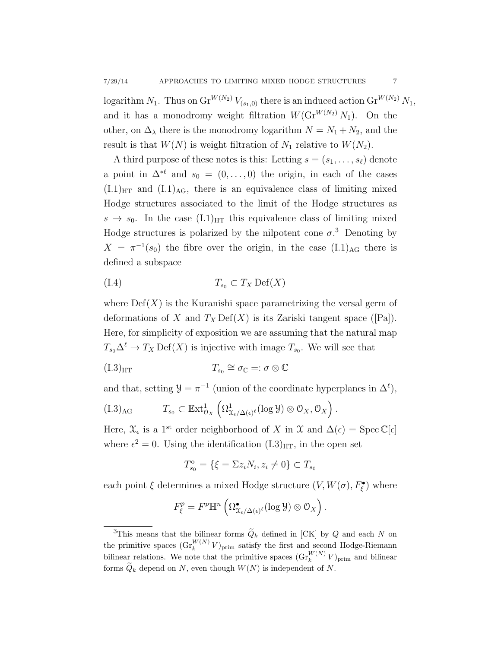logarithm  $N_1$ . Thus on  $\text{Gr}^{W(N_2)}V_{(s_1,0)}$  there is an induced action  $\text{Gr}^{W(N_2)}V_1$ , and it has a monodromy weight filtration  $W(\text{Gr}^{W(N_2)} N_1)$ . On the other, on  $\Delta_{\lambda}$  there is the monodromy logarithm  $N = N_1 + N_2$ , and the result is that  $W(N)$  is weight filtration of  $N_1$  relative to  $W(N_2)$ .

A third purpose of these notes is this: Letting  $s = (s_1, \ldots, s_\ell)$  denote a point in  $\Delta^{*ell}$  and  $s_0 = (0, \ldots, 0)$  the origin, in each of the cases  $(I.1)_{\text{HT}}$  and  $(I.1)_{\text{AG}}$ , there is an equivalence class of limiting mixed Hodge structures associated to the limit of the Hodge structures as  $s \to s_0$ . In the case  $(I.1)_{\text{HT}}$  this equivalence class of limiting mixed Hodge structures is polarized by the nilpotent cone  $\sigma$ <sup>3</sup>. Denoting by  $X = \pi^{-1}(s_0)$  the fibre over the origin, in the case  $(L1)_{AG}$  there is defined a subspace

$$
(I.4) \t\t T_{s_0} \subset T_X \operatorname{Def}(X)
$$

where  $Def(X)$  is the Kuranishi space parametrizing the versal germ of deformations of X and  $T_X \text{Def}(X)$  is its Zariski tangent space ([Pa]). Here, for simplicity of exposition we are assuming that the natural map  $T_{s_0} \Delta^{\ell} \to T_X \operatorname{Def}(X)$  is injective with image  $T_{s_0}$ . We will see that

$$
(I.3)_{\mathrm{HT}} \qquad \qquad T_{s_0} \cong \sigma_{\mathbb{C}} =: \sigma \otimes \mathbb{C}
$$

and that, setting  $\mathcal{Y} = \pi^{-1}$  (union of the coordinate hyperplanes in  $\Delta^{\ell}$ ),

$$
(I.3)_{AG} \tT_{s_0} \subset \mathbb{E} \mathrm{xt}^1_{\mathcal{O}_X} \left( \Omega^1_{\mathcal{X}_{\epsilon}/\Delta(\epsilon)^{\ell}}(\log \mathcal{Y}) \otimes \mathcal{O}_X, \mathcal{O}_X \right).
$$

Here,  $\mathfrak{X}_{\epsilon}$  is a 1<sup>st</sup> order neighborhood of X in X and  $\Delta(\epsilon) = \operatorname{Spec} \mathbb{C}[\epsilon]$ where  $\epsilon^2 = 0$ . Using the identification  $(L.3)_{\text{HT}}$ , in the open set

$$
T_{s_0}^{\circ} = \{ \xi = \Sigma z_i N_i, z_i \neq 0 \} \subset T_{s_0}
$$

each point  $\xi$  determines a mixed Hodge structure  $(V, W(\sigma), F_{\xi}^{\bullet})$  where

$$
F_{\xi}^p = F^p \mathbb{H}^n \left( \Omega^{\bullet}_{\mathfrak{X}_{\epsilon}/\Delta(\epsilon)^{\ell}}(\log \mathcal{Y}) \otimes \mathcal{O}_X \right).
$$

<sup>&</sup>lt;sup>3</sup>This means that the bilinear forms  $\widetilde{Q}_k$  defined in [CK] by Q and each N on the primitive spaces  $(\mathrm{Gr}_k^{W(N)} V)_{\text{prim}}$  satisfy the first and second Hodge-Riemann bilinear relations. We note that the primitive spaces  $(\mathrm{Gr}_k^{W(N)}V)_{\text{prim}}$  and bilinear forms  $\widetilde{Q}_k$  depend on N, even though  $W(N)$  is independent of N.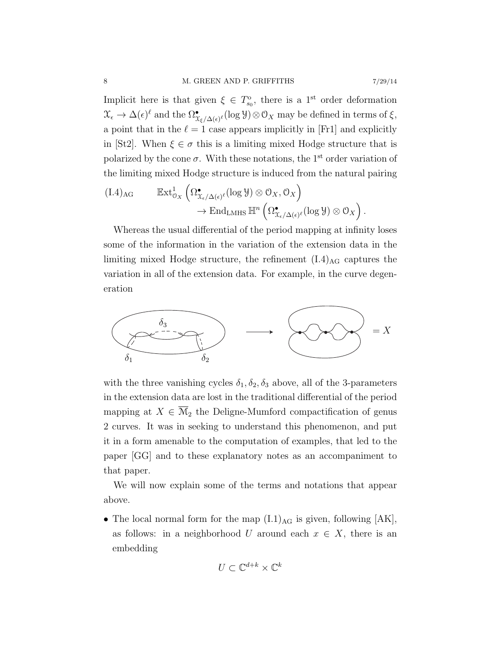Implicit here is that given  $\xi \in T_{s_0}^{\circ}$ , there is a 1<sup>st</sup> order deformation  $\mathfrak{X}_{\epsilon} \to \Delta(\epsilon)^{\ell}$  and the  $\Omega_{\mathfrak{X}_{\xi}/\Delta(\epsilon)^{\ell}}^{\bullet}(\log \mathcal{Y})\otimes \mathcal{O}_X$  may be defined in terms of  $\xi$ , a point that in the  $\ell = 1$  case appears implicitly in [Fr1] and explicitly in [St2]. When  $\xi \in \sigma$  this is a limiting mixed Hodge structure that is polarized by the cone  $\sigma$ . With these notations, the 1<sup>st</sup> order variation of the limiting mixed Hodge structure is induced from the natural pairing

$$
(I.4)_{AG} \qquad \mathbb{E}xt^1_{\mathcal{O}_X} \left( \Omega^\bullet_{\mathfrak{X}_{\epsilon}/\Delta(\epsilon)^{\ell}}(\log \mathcal{Y}) \otimes \mathcal{O}_X, \mathcal{O}_X \right) \to \text{End}_{LMHS} \mathbb{H}^n \left( \Omega^\bullet_{\mathfrak{X}_{\epsilon}/\Delta(\epsilon)^{\ell}}(\log \mathcal{Y}) \otimes \mathcal{O}_X \right).
$$

Whereas the usual differential of the period mapping at infinity loses some of the information in the variation of the extension data in the limiting mixed Hodge structure, the refinement  $(I.4)_{AG}$  captures the variation in all of the extension data. For example, in the curve degeneration



with the three vanishing cycles  $\delta_1, \delta_2, \delta_3$  above, all of the 3-parameters in the extension data are lost in the traditional differential of the period mapping at  $X \in \overline{\mathcal{M}}_2$  the Deligne-Mumford compactification of genus 2 curves. It was in seeking to understand this phenomenon, and put it in a form amenable to the computation of examples, that led to the paper [GG] and to these explanatory notes as an accompaniment to that paper.

We will now explain some of the terms and notations that appear above.

• The local normal form for the map  $(L1)_{AG}$  is given, following  $[AK]$ , as follows: in a neighborhood U around each  $x \in X$ , there is an embedding

$$
U\subset\mathbb{C}^{d+k}\times\mathbb{C}^k
$$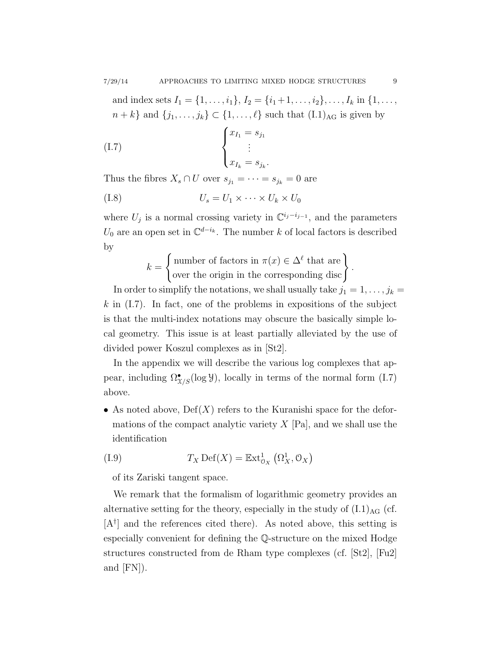.

and index sets  $I_1 = \{1, \ldots, i_1\}, I_2 = \{i_1 + 1, \ldots, i_2\}, \ldots, I_k$  in  $\{1, \ldots, i_k\}$ 

 $n + k$ } and  $\{j_1, \ldots, j_k\} \subset \{1, \ldots, \ell\}$  such that  $(I.1)_{AG}$  is given by

$$
\begin{cases}\nx_{I_1} = s_{j_1} \\
\vdots \\
x_{I_k} = s_{j_k}\n\end{cases}
$$

Thus the fibres  $X_s \cap U$  over  $s_{j_1} = \cdots = s_{j_k} = 0$  are

$$
(I.8) \t\t\t U_s = U_1 \times \cdots \times U_k \times U_0
$$

where  $U_j$  is a normal crossing variety in  $\mathbb{C}^{i_j-i_{j-1}}$ , and the parameters  $U_0$  are an open set in  $\mathbb{C}^{d-i_k}$ . The number k of local factors is described by

$$
k = \begin{cases} \text{number of factors in } \pi(x) \in \Delta^{\ell} \text{ that are} \\ \text{over the origin in the corresponding disc} \end{cases}
$$

In order to simplify the notations, we shall usually take  $j_1 = 1, \ldots, j_k =$  $k$  in (I.7). In fact, one of the problems in expositions of the subject is that the multi-index notations may obscure the basically simple local geometry. This issue is at least partially alleviated by the use of divided power Koszul complexes as in [St2].

In the appendix we will describe the various log complexes that appear, including  $\Omega_{\mathcal{X}/S}^{\bullet}(\log \mathcal{Y})$ , locally in terms of the normal form (I.7) above.

• As noted above,  $Def(X)$  refers to the Kuranishi space for the deformations of the compact analytic variety  $X$  [Pa], and we shall use the identification

(I.9) 
$$
T_X \operatorname{Def}(X) = \mathbb{E} \operatorname{xt}^1_{\mathcal{O}_X} (\Omega^1_X, \mathcal{O}_X)
$$

of its Zariski tangent space.

We remark that the formalism of logarithmic geometry provides an alternative setting for the theory, especially in the study of  $(I.1)_{AG}$  (cf.  $[A^{\dagger}]$  and the references cited there). As noted above, this setting is especially convenient for defining the Q-structure on the mixed Hodge structures constructed from de Rham type complexes (cf. [St2], [Fu2] and [FN]).

.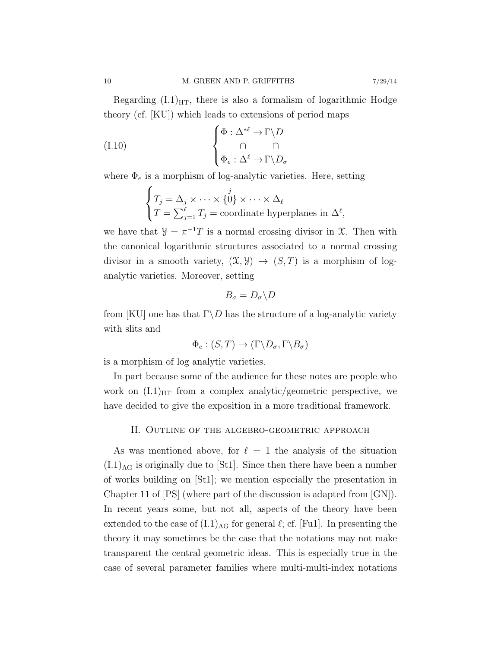Regarding  $(I.1)_{\text{HT}}$ , there is also a formalism of logarithmic Hodge theory (cf. [KU]) which leads to extensions of period maps

(I.10) 
$$
\begin{cases} \Phi : \Delta^{*\ell} \to \Gamma \backslash D \\ \cap \\ \Phi_e : \Delta^{\ell} \to \Gamma \backslash D_{\sigma} \end{cases}
$$

where  $\Phi_e$  is a morphism of log-analytic varieties. Here, setting

$$
\begin{cases}\nT_j = \Delta_j \times \cdots \times \{0\} \times \cdots \times \Delta_\ell \\
T = \sum_{j=1}^\ell T_j = \text{coordinate hyperplanes in } \Delta^\ell,\n\end{cases}
$$

we have that  $\mathcal{Y} = \pi^{-1}T$  is a normal crossing divisor in X. Then with the canonical logarithmic structures associated to a normal crossing divisor in a smooth variety,  $(\mathfrak{X}, \mathfrak{Y}) \to (S, T)$  is a morphism of loganalytic varieties. Moreover, setting

$$
B_{\sigma}=D_{\sigma}\backslash D
$$

from [KU] one has that  $\Gamma \backslash D$  has the structure of a log-analytic variety with slits and

$$
\Phi_e : (S, T) \to (\Gamma \backslash D_\sigma, \Gamma \backslash B_\sigma)
$$

is a morphism of log analytic varieties.

In part because some of the audience for these notes are people who work on  $(I.1)_{HT}$  from a complex analytic/geometric perspective, we have decided to give the exposition in a more traditional framework.

#### II. Outline of the algebro-geometric approach

As was mentioned above, for  $\ell = 1$  the analysis of the situation  $(L1)_{AG}$  is originally due to [St1]. Since then there have been a number of works building on [St1]; we mention especially the presentation in Chapter 11 of [PS] (where part of the discussion is adapted from [GN]). In recent years some, but not all, aspects of the theory have been extended to the case of  $(L1)_{AG}$  for general  $\ell$ ; cf. [Fu1]. In presenting the theory it may sometimes be the case that the notations may not make transparent the central geometric ideas. This is especially true in the case of several parameter families where multi-multi-index notations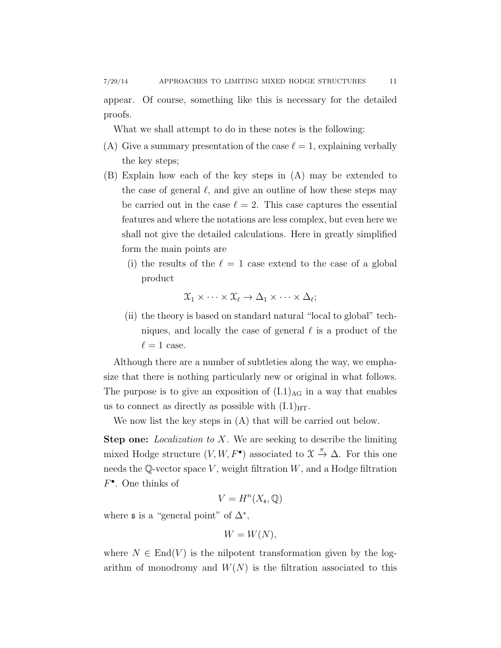appear. Of course, something like this is necessary for the detailed proofs.

What we shall attempt to do in these notes is the following:

- (A) Give a summary presentation of the case  $\ell = 1$ , explaining verbally the key steps;
- (B) Explain how each of the key steps in (A) may be extended to the case of general  $\ell$ , and give an outline of how these steps may be carried out in the case  $\ell = 2$ . This case captures the essential features and where the notations are less complex, but even here we shall not give the detailed calculations. Here in greatly simplified form the main points are
	- (i) the results of the  $\ell = 1$  case extend to the case of a global product

$$
\mathfrak{X}_1 \times \cdots \times \mathfrak{X}_{\ell} \to \Delta_1 \times \cdots \times \Delta_{\ell};
$$

(ii) the theory is based on standard natural "local to global" techniques, and locally the case of general  $\ell$  is a product of the  $\ell = 1$  case.

Although there are a number of subtleties along the way, we emphasize that there is nothing particularly new or original in what follows. The purpose is to give an exposition of  $(L1)_{AG}$  in a way that enables us to connect as directly as possible with  $(L1)_{\text{HT}}$ .

We now list the key steps in (A) that will be carried out below.

**Step one:** Localization to X. We are seeking to describe the limiting mixed Hodge structure  $(V, W, F^{\bullet})$  associated to  $\mathfrak{X} \stackrel{\pi}{\rightarrow} \Delta$ . For this one needs the Q-vector space V, weight filtration  $W$ , and a Hodge filtration  $F^{\bullet}$ . One thinks of

$$
V = H^n(X_\mathfrak{s}, \mathbb{Q})
$$

where  $\mathfrak s$  is a "general point" of  $\Delta^*$ ,

$$
W = W(N),
$$

where  $N \in \text{End}(V)$  is the nilpotent transformation given by the logarithm of monodromy and  $W(N)$  is the filtration associated to this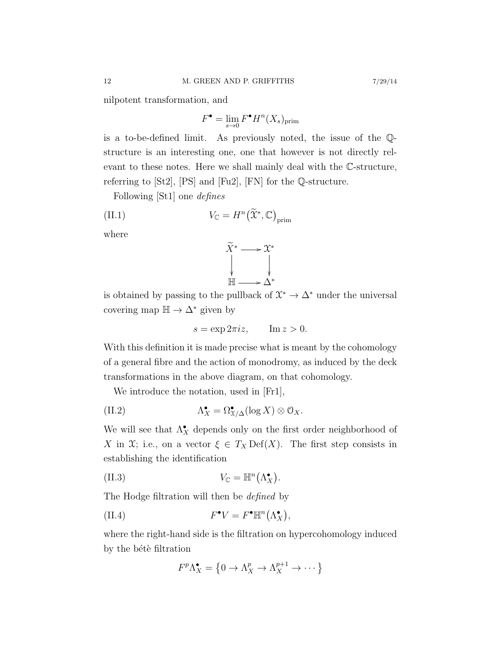nilpotent transformation, and

$$
F^{\bullet} = \lim_{s \to 0} F^{\bullet} H^n(X_s)_{\text{prim}}
$$

is a to-be-defined limit. As previously noted, the issue of the Qstructure is an interesting one, one that however is not directly relevant to these notes. Here we shall mainly deal with the C-structure, referring to [St2], [PS] and [Fu2], [FN] for the Q-structure.

Following [St1] one defines

(II.1) 
$$
V_{\mathbb{C}} = H^n\big(\widetilde{\mathfrak{X}}^*, \mathbb{C}\big)_{\text{prim}}
$$

where



is obtained by passing to the pullback of  $\mathfrak{X}^* \to \Delta^*$  under the universal covering map  $\mathbb{H} \to \Delta^*$  given by

$$
s = \exp 2\pi i z, \qquad \text{Im } z > 0.
$$

With this definition it is made precise what is meant by the cohomology of a general fibre and the action of monodromy, as induced by the deck transformations in the above diagram, on that cohomology.

We introduce the notation, used in [Fr1],

(II.2) 
$$
\Lambda_X^{\bullet} = \Omega_{X/\Delta}^{\bullet}(\log X) \otimes \mathcal{O}_X.
$$

We will see that  $\Lambda_X^{\bullet}$  depends only on the first order neighborhood of X in X; i.e., on a vector  $\xi \in T_X \text{Def}(X)$ . The first step consists in establishing the identification

(II.3) 
$$
V_{\mathbb{C}} = \mathbb{H}^n(\Lambda_X^{\bullet}).
$$

The Hodge filtration will then be *defined* by

(II.4) 
$$
F^{\bullet}V = F^{\bullet}\mathbb{H}^n(\Lambda_X^{\bullet}),
$$

where the right-hand side is the filtration on hypercohomology induced by the bétè filtration

$$
F^p \Lambda_X^{\bullet} = \left\{ 0 \to \Lambda_X^p \to \Lambda_X^{p+1} \to \cdots \right\}
$$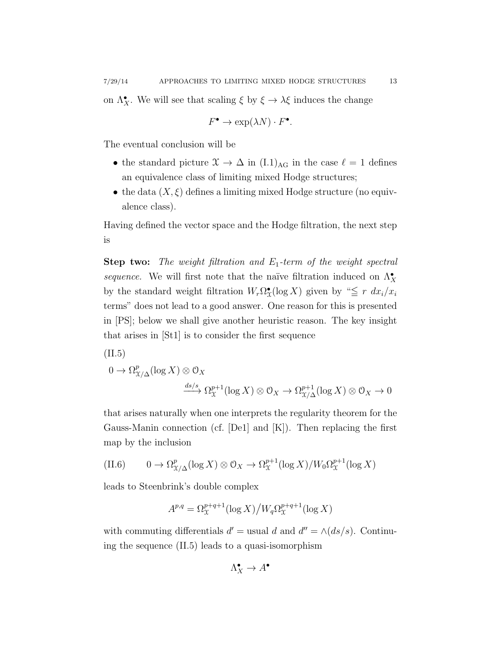on  $\Lambda_X^{\bullet}$ . We will see that scaling  $\xi$  by  $\xi \to \lambda \xi$  induces the change

$$
F^{\bullet} \to \exp(\lambda N) \cdot F^{\bullet}.
$$

The eventual conclusion will be

- the standard picture  $\mathfrak{X} \to \Delta$  in (I.1)<sub>AG</sub> in the case  $\ell = 1$  defines an equivalence class of limiting mixed Hodge structures;
- the data  $(X, \xi)$  defines a limiting mixed Hodge structure (no equivalence class).

Having defined the vector space and the Hodge filtration, the next step is

**Step two:** The weight filtration and  $E_1$ -term of the weight spectral sequence. We will first note that the naïve filtration induced on  $\Lambda_X^{\bullet}$ by the standard weight filtration  $W_r \Omega^{\bullet}_{\mathfrak{X}}(\log X)$  given by " $\leq r dx_i/x_i$ terms" does not lead to a good answer. One reason for this is presented in [PS]; below we shall give another heuristic reason. The key insight that arises in [St1] is to consider the first sequence

(II.5)

$$
0 \to \Omega_{\mathfrak{X}/\Delta}^p(\log X) \otimes \mathcal{O}_X
$$

$$
\xrightarrow{ds/s} \Omega_{\mathfrak{X}}^{p+1}(\log X) \otimes \mathcal{O}_X \to \Omega_{\mathfrak{X}/\Delta}^{p+1}(\log X) \otimes \mathcal{O}_X \to 0
$$

that arises naturally when one interprets the regularity theorem for the Gauss-Manin connection (cf. [De1] and [K]). Then replacing the first map by the inclusion

(II.6) 
$$
0 \to \Omega_{\mathcal{X}/\Delta}^p(\log X) \otimes \mathcal{O}_X \to \Omega_{\mathcal{X}}^{p+1}(\log X)/W_0 \Omega_{\mathcal{X}}^{p+1}(\log X)
$$

leads to Steenbrink's double complex

$$
A^{p,q} = \Omega^{p+q+1}_{\mathfrak{X}}(\log X) \big/ W_q \Omega^{p+q+1}_{\mathfrak{X}}(\log X)
$$

with commuting differentials  $d' =$  usual d and  $d'' = \wedge (ds/s)$ . Continuing the sequence (II.5) leads to a quasi-isomorphism

$$
\Lambda_X^\bullet \to A^\bullet
$$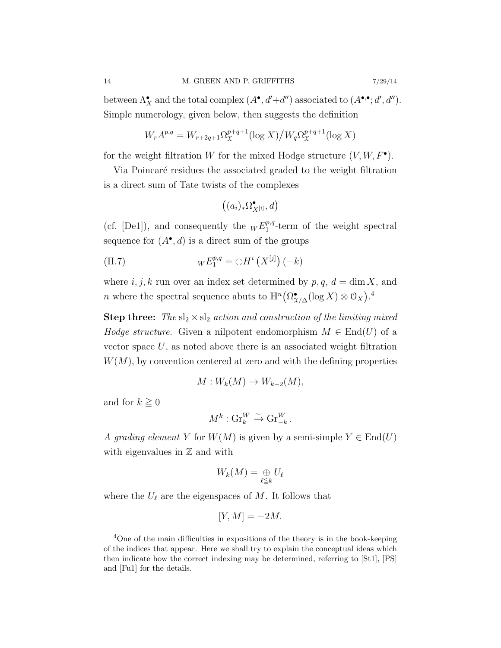between  $\Lambda_X^{\bullet}$  and the total complex  $(A^{\bullet}, d' + d'')$  associated to  $(A^{\bullet,\bullet}; d', d'')$ . Simple numerology, given below, then suggests the definition

$$
W_r A^{p,q} = W_{r+2q+1} \Omega_{\mathfrak{X}}^{p+q+1} (\log X) / W_q \Omega_{\mathfrak{X}}^{p+q+1} (\log X)
$$

for the weight filtration W for the mixed Hodge structure  $(V, W, F^{\bullet})$ .

Via Poincaré residues the associated graded to the weight filtration is a direct sum of Tate twists of the complexes

$$
\left((a_i)_*\Omega^\bullet_{X^{[i]}},d\right)
$$

(cf. [De1]), and consequently the  $_W E_1^{p,q}$  $_1^{p,q}$ -term of the weight spectral sequence for  $(A^{\bullet}, d)$  is a direct sum of the groups

(II.7) 
$$
W E_1^{p,q} = \bigoplus H^i \left( X^{[j]} \right) (-k)
$$

where  $i, j, k$  run over an index set determined by  $p, q, d = \dim X$ , and n where the spectral sequence abuts to  $\mathbb{H}^n(\Omega_{\mathcal{X}/\Delta}^{\bullet}(\log X) \otimes \mathcal{O}_X).^4$ 

**Step three:** The  $sl_2 \times sl_2$  action and construction of the limiting mixed *Hodge structure.* Given a nilpotent endomorphism  $M \in End(U)$  of a vector space  $U$ , as noted above there is an associated weight filtration  $W(M)$ , by convention centered at zero and with the defining properties

$$
M: W_k(M) \to W_{k-2}(M),
$$

and for  $k \geq 0$ 

$$
M^k: \operatorname{Gr}_k^W \xrightarrow{\sim} \operatorname{Gr}_{-k}^W.
$$

A grading element Y for  $W(M)$  is given by a semi-simple  $Y \in End(U)$ with eigenvalues in  $\mathbb Z$  and with

$$
W_k(M)=\underset{\ell\leq k}{\oplus}U_\ell
$$

where the  $U_{\ell}$  are the eigenspaces of M. It follows that

$$
[Y,M] = -2M.
$$

<sup>&</sup>lt;sup>4</sup>One of the main difficulties in expositions of the theory is in the book-keeping of the indices that appear. Here we shall try to explain the conceptual ideas which then indicate how the correct indexing may be determined, referring to [St1], [PS] and [Fu1] for the details.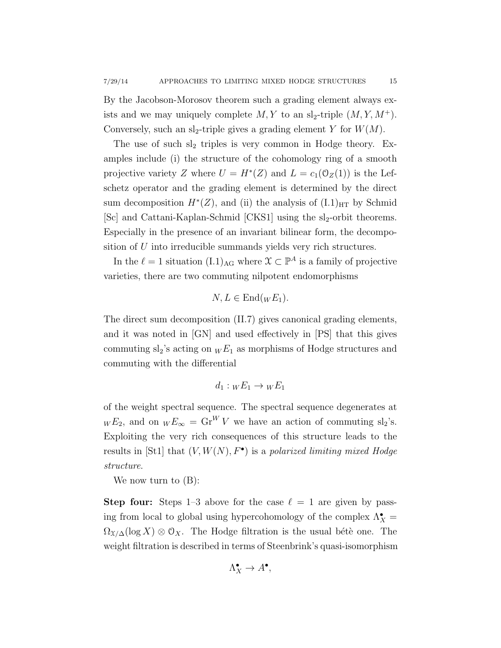By the Jacobson-Morosov theorem such a grading element always exists and we may uniquely complete  $M, Y$  to an sl<sub>2</sub>-triple  $(M, Y, M^+)$ . Conversely, such an sl<sub>2</sub>-triple gives a grading element Y for  $W(M)$ .

The use of such  $sl_2$  triples is very common in Hodge theory. Examples include (i) the structure of the cohomology ring of a smooth projective variety Z where  $U = H^*(Z)$  and  $L = c_1(\mathcal{O}_Z(1))$  is the Lefschetz operator and the grading element is determined by the direct sum decomposition  $H^*(Z)$ , and (ii) the analysis of  $(L1)_{\text{HT}}$  by Schmid [Sc] and Cattani-Kaplan-Schmid  $[CKS1]$  using the sl<sub>2</sub>-orbit theorems. Especially in the presence of an invariant bilinear form, the decomposition of U into irreducible summands yields very rich structures.

In the  $\ell = 1$  situation  $(L1)_{\text{AG}}$  where  $\mathcal{X} \subset \mathbb{P}^A$  is a family of projective varieties, there are two commuting nilpotent endomorphisms

$$
N, L \in \text{End}(wE_1).
$$

The direct sum decomposition (II.7) gives canonical grading elements, and it was noted in [GN] and used effectively in [PS] that this gives commuting  $sl_2$ 's acting on  ${}_{W}E_1$  as morphisms of Hodge structures and commuting with the differential

$$
d_1: {}_WE_1 \to {}_WE_1
$$

of the weight spectral sequence. The spectral sequence degenerates at  $W E_2$ , and on  $W E_{\infty} = \text{Gr}^W V$  we have an action of commuting sl<sub>2</sub>'s. Exploiting the very rich consequences of this structure leads to the results in [St1] that  $(V, W(N), F^{\bullet})$  is a polarized limiting mixed Hodge structure.

We now turn to (B):

**Step four:** Steps 1–3 above for the case  $\ell = 1$  are given by passing from local to global using hypercohomology of the complex  $\Lambda_X^{\bullet} =$  $\Omega_{X/\Delta}(\log X) \otimes \mathcal{O}_X$ . The Hodge filtration is the usual bétè one. The weight filtration is described in terms of Steenbrink's quasi-isomorphism

$$
\Lambda_X^{\bullet} \to A^{\bullet},
$$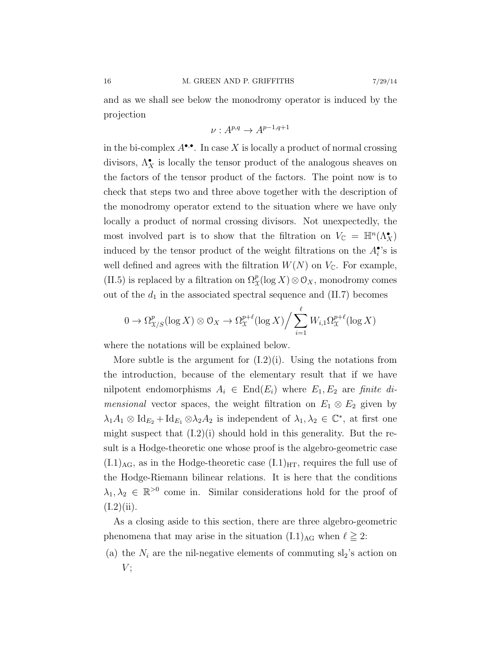and as we shall see below the monodromy operator is induced by the projection

$$
\nu: A^{p,q} \to A^{p-1,q+1}
$$

in the bi-complex  $A^{\bullet,\bullet}$ . In case X is locally a product of normal crossing divisors,  $\Lambda_X^{\bullet}$  is locally the tensor product of the analogous sheaves on the factors of the tensor product of the factors. The point now is to check that steps two and three above together with the description of the monodromy operator extend to the situation where we have only locally a product of normal crossing divisors. Not unexpectedly, the most involved part is to show that the filtration on  $V_{\mathbb{C}} = \mathbb{H}^n(\Lambda_X^{\bullet})$ induced by the tensor product of the weight filtrations on the  $A_i^{\bullet}$ 's is well defined and agrees with the filtration  $W(N)$  on  $V_{\mathbb{C}}$ . For example, (II.5) is replaced by a filtration on  $\Omega^p_\mathfrak{X}(\log X)\otimes\mathfrak{O}_X$ , monodromy comes out of the  $d_1$  in the associated spectral sequence and (II.7) becomes

$$
0 \to \Omega_{X/S}^p(\log X) \otimes \mathcal{O}_X \to \Omega_X^{p+\ell}(\log X) \Big/ \sum_{i=1}^{\ell} W_{i,1} \Omega_X^{p+\ell}(\log X)
$$

where the notations will be explained below.

More subtle is the argument for  $(1.2)(i)$ . Using the notations from the introduction, because of the elementary result that if we have nilpotent endomorphisms  $A_i \in End(E_i)$  where  $E_1, E_2$  are finite di*mensional* vector spaces, the weight filtration on  $E_1 \otimes E_2$  given by  $\lambda_1 A_1 \otimes \text{Id}_{E_2} + \text{Id}_{E_1} \otimes \lambda_2 A_2$  is independent of  $\lambda_1, \lambda_2 \in \mathbb{C}^*$ , at first one might suspect that  $(I.2)(i)$  should hold in this generality. But the result is a Hodge-theoretic one whose proof is the algebro-geometric case  $(L1)_{AG}$ , as in the Hodge-theoretic case  $(L1)_{HT}$ , requires the full use of the Hodge-Riemann bilinear relations. It is here that the conditions  $\lambda_1, \lambda_2 \in \mathbb{R}^{>0}$  come in. Similar considerations hold for the proof of  $(I.2)(ii)$ .

As a closing aside to this section, there are three algebro-geometric phenomena that may arise in the situation  $(L1)_{AG}$  when  $\ell \geq 2$ :

(a) the  $N_i$  are the nil-negative elements of commuting  $sl_2$ 's action on  $V:$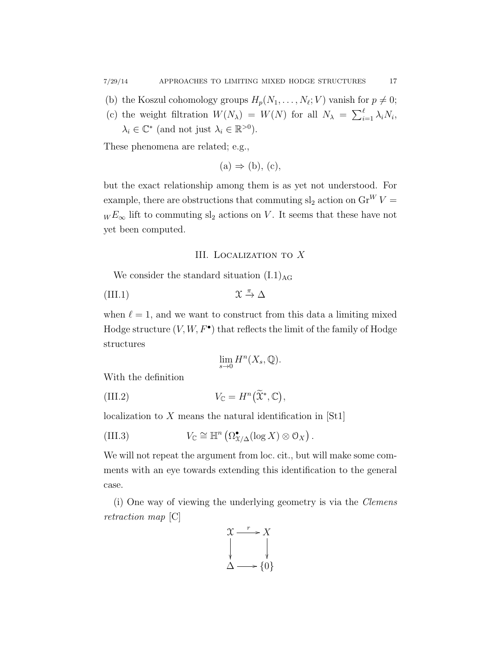- (b) the Koszul cohomology groups  $H_p(N_1, \ldots, N_\ell; V)$  vanish for  $p \neq 0$ ;
- (c) the weight filtration  $W(N_\lambda) = W(N)$  for all  $N_\lambda = \sum_{i=1}^{\ell} \lambda_i N_i$ ,  $\lambda_i \in \mathbb{C}^*$  (and not just  $\lambda_i \in \mathbb{R}^{>0}$ ).

These phenomena are related; e.g.,

$$
(a) \Rightarrow (b), (c),
$$

but the exact relationship among them is as yet not understood. For example, there are obstructions that commuting  $sl_2$  action on  $Gr^W V =$  $_{W}E_{\infty}$  lift to commuting  $\mathrm{sl}_2$  actions on  $V.$  It seems that these have not yet been computed.

### III. Localization to X

We consider the standard situation  $(L1)_{AG}$ 

(III.1) 
$$
\mathfrak{X} \stackrel{\pi}{\rightarrow} \Delta
$$

when  $\ell = 1$ , and we want to construct from this data a limiting mixed Hodge structure  $(V, W, F^{\bullet})$  that reflects the limit of the family of Hodge structures

$$
\lim_{s \to 0} H^n(X_s, \mathbb{Q}).
$$

With the definition

(III.2) 
$$
V_{\mathbb{C}} = H^n(\widetilde{\mathfrak{X}}^*, \mathbb{C}),
$$

localization to  $X$  means the natural identification in [St1]

(III.3) 
$$
V_{\mathbb{C}} \cong \mathbb{H}^n \left( \Omega_{X/\Delta}^{\bullet} (\log X) \otimes \mathcal{O}_X \right)
$$

We will not repeat the argument from loc. cit., but will make some comments with an eye towards extending this identification to the general case.

.

(i) One way of viewing the underlying geometry is via the Clemens retraction map [C]

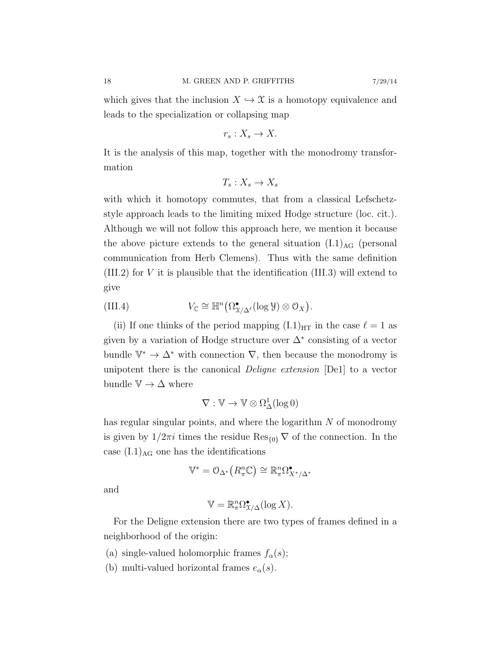which gives that the inclusion  $X \hookrightarrow \mathfrak{X}$  is a homotopy equivalence and leads to the specialization or collapsing map

$$
r_s: X_s \to X.
$$

It is the analysis of this map, together with the monodromy transformation

$$
T_s: X_s \to X_s
$$

with which it homotopy commutes, that from a classical Lefschetzstyle approach leads to the limiting mixed Hodge structure (loc. cit.). Although we will not follow this approach here, we mention it because the above picture extends to the general situation  $(L1)_{AG}$  (personal communication from Herb Clemens). Thus with the same definition (III.2) for V it is plausible that the identification (III.3) will extend to give

(III.4) 
$$
V_{\mathbb{C}} \cong \mathbb{H}^n\big(\Omega^{\bullet}_{X/\Delta^{\ell}}(\log \mathcal{Y})\otimes \mathcal{O}_X\big).
$$

(ii) If one thinks of the period mapping  $(I.1)_{HT}$  in the case  $\ell = 1$  as given by a variation of Hodge structure over  $\Delta^*$  consisting of a vector bundle  $\mathbb{V}^* \to \Delta^*$  with connection  $\nabla$ , then because the monodromy is unipotent there is the canonical Deligne extension [De1] to a vector bundle  $\mathbb{V} \to \Delta$  where

$$
\nabla: \mathbb{V} \rightarrow \mathbb{V} \otimes \Omega^1_{\Delta}(\log 0)
$$

has regular singular points, and where the logarithm  $N$  of monodromy is given by  $1/2\pi i$  times the residue  $\text{Res}_{\{0\}}\nabla$  of the connection. In the case  $(L.1)_{AG}$  one has the identifications

$$
\mathbb{V}^* = \mathcal{O}_{\Delta^*} \big( R_{\pi}^n \mathbb{C} \big) \cong \mathbb{R}_{\pi}^n \Omega_{X^*/\Delta^*}^{\bullet}
$$

and

$$
\mathbb{V} = \mathbb{R}_{\pi}^n \Omega_{\mathfrak{X}/\Delta}^{\bullet}(\log X).
$$

For the Deligne extension there are two types of frames defined in a neighborhood of the origin:

- (a) single-valued holomorphic frames  $f_{\alpha}(s)$ ;
- (b) multi-valued horizontal frames  $e_{\alpha}(s)$ .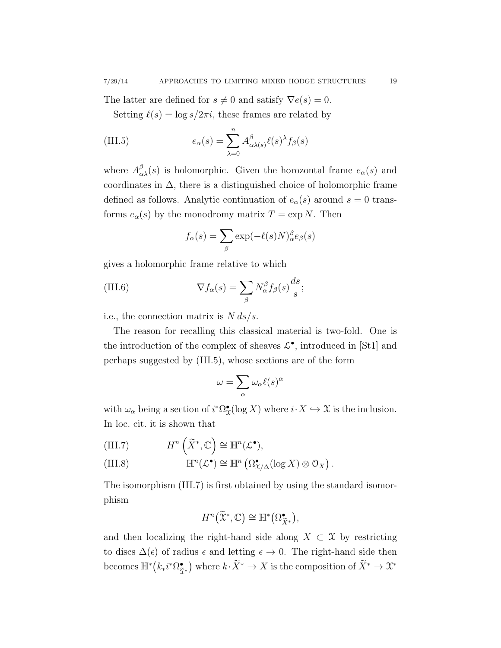The latter are defined for  $s \neq 0$  and satisfy  $\nabla e(s) = 0$ .

Setting  $\ell(s) = \log s/2\pi i$ , these frames are related by

(III.5) 
$$
e_{\alpha}(s) = \sum_{\lambda=0}^{n} A_{\alpha\lambda(s)}^{\beta} \ell(s)^{\lambda} f_{\beta}(s)
$$

where  $A_{\alpha\lambda}^{\beta}(s)$  is holomorphic. Given the horozontal frame  $e_{\alpha}(s)$  and coordinates in  $\Delta$ , there is a distinguished choice of holomorphic frame defined as follows. Analytic continuation of  $e_{\alpha}(s)$  around  $s = 0$  transforms  $e_{\alpha}(s)$  by the monodromy matrix  $T = \exp N$ . Then

$$
f_{\alpha}(s) = \sum_{\beta} \exp(-\ell(s)N)_{\alpha}^{\beta} e_{\beta}(s)
$$

gives a holomorphic frame relative to which

(III.6) 
$$
\nabla f_{\alpha}(s) = \sum_{\beta} N_{\alpha}^{\beta} f_{\beta}(s) \frac{ds}{s};
$$

i.e., the connection matrix is  $N ds/s$ .

The reason for recalling this classical material is two-fold. One is the introduction of the complex of sheaves  $\mathcal{L}^{\bullet}$ , introduced in [St1] and perhaps suggested by (III.5), whose sections are of the form

$$
\omega = \sum_{\alpha} \omega_{\alpha} \ell(s)^{\alpha}
$$

with  $\omega_{\alpha}$  being a section of  $i^*\Omega_{\mathfrak{X}}^{\bullet}(\log X)$  where  $i \cdot X \hookrightarrow \mathfrak{X}$  is the inclusion. In loc. cit. it is shown that

(III.7) 
$$
H^n\left(\widetilde{X}^*, \mathbb{C}\right) \cong \mathbb{H}^n(\mathcal{L}^{\bullet}),
$$

(III.8) 
$$
\mathbb{H}^n(\mathcal{L}^{\bullet}) \cong \mathbb{H}^n\left(\Omega^{\bullet}_{X/\Delta}(\log X) \otimes \mathcal{O}_X\right).
$$

The isomorphism (III.7) is first obtained by using the standard isomorphism

$$
H^n\big(\widetilde{\mathfrak{X}}^*, \mathbb{C}\big) \cong \mathbb{H}^*\big(\Omega_{\widetilde{X}^*}^\bullet\big),
$$

and then localizing the right-hand side along  $X \subset \mathfrak{X}$  by restricting to discs  $\Delta(\epsilon)$  of radius  $\epsilon$  and letting  $\epsilon \to 0$ . The right-hand side then becomes  $\mathbb{H}^*(k_*i^*\Omega_{\tilde{\gamma}})$  $\tilde{\mathfrak{X}}^*$ ) where  $k \cdot \tilde{X}^* \to X$  is the composition of  $\tilde{X}^* \to \mathfrak{X}^*$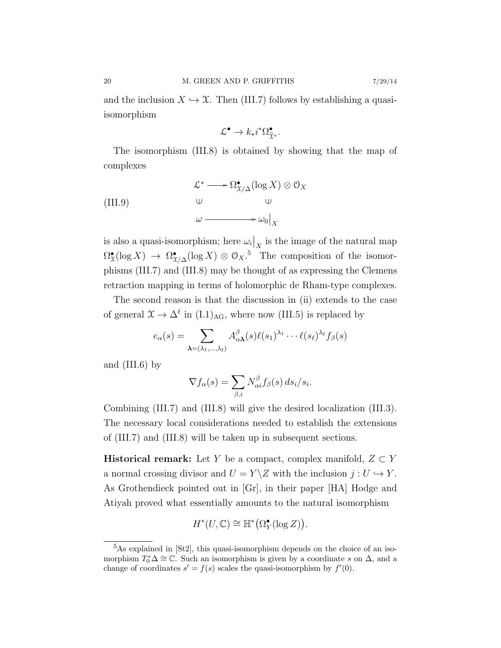$$
\mathcal{L}^{\bullet} \to k_* i^* \Omega^{\bullet}_{\widetilde{\mathfrak{X}}^*}.
$$

The isomorphism (III.8) is obtained by showing that the map of complexes

(III.9) 
$$
\mathcal{L}^* \longrightarrow \Omega_{\mathcal{X}/\Delta}^{\bullet}(\log X) \otimes \mathcal{O}_X
$$

$$
\downarrow \qquad \qquad \downarrow \qquad \qquad \downarrow \qquad \qquad \downarrow
$$

$$
\omega \longrightarrow \omega_0|_X
$$

is also a quasi-isomorphism; here  $\omega_i|_X$  is the image of the natural map  $\Omega^{\bullet}_X(\log X) \to \Omega^{\bullet}_{X/\Delta}(\log X) \otimes {\mathcal O}_X$ <sup>5</sup> The composition of the isomorphisms (III.7) and (III.8) may be thought of as expressing the Clemens retraction mapping in terms of holomorphic de Rham-type complexes.

The second reason is that the discussion in (ii) extends to the case of general  $\mathfrak{X} \to \Delta^{\ell}$  in  $(I.1)_{\text{AG}}$ , where now (III.5) is replaced by

$$
e_{\alpha}(s) = \sum_{\boldsymbol{\lambda}=(\lambda_1,\ldots,\lambda_\ell)} A_{\alpha\boldsymbol{\lambda}}^{\beta}(s) \ell(s_1)^{\lambda_1} \cdots \ell(s_\ell)^{\lambda_\ell} f_{\beta}(s)
$$

and (III.6) by

$$
\nabla f_{\alpha}(s) = \sum_{\beta,i} N_{\alpha i}^{\beta} f_{\beta}(s) ds_i/s_i.
$$

Combining (III.7) and (III.8) will give the desired localization (III.3). The necessary local considerations needed to establish the extensions of (III.7) and (III.8) will be taken up in subsequent sections.

**Historical remark:** Let Y be a compact, complex manifold,  $Z \subset Y$ a normal crossing divisor and  $U = Y \setminus Z$  with the inclusion  $j : U \hookrightarrow Y$ . As Grothendieck pointed out in [Gr], in their paper [HA] Hodge and Atiyah proved what essentially amounts to the natural isomorphism

$$
H^*(U,\mathbb{C}) \cong \mathbb{H}^*\big(\Omega_Y^{\bullet}(\log Z)\big).
$$

<sup>5</sup>As explained in [St2], this quasi-isomorphism depends on the choice of an isomorphism  $T_0^*\Delta \cong \mathbb{C}$ . Such an isomorphism is given by a coordinate s on  $\Delta$ , and a change of coordinates  $s' = f(s)$  scales the quasi-isomorphism by  $f'(0)$ .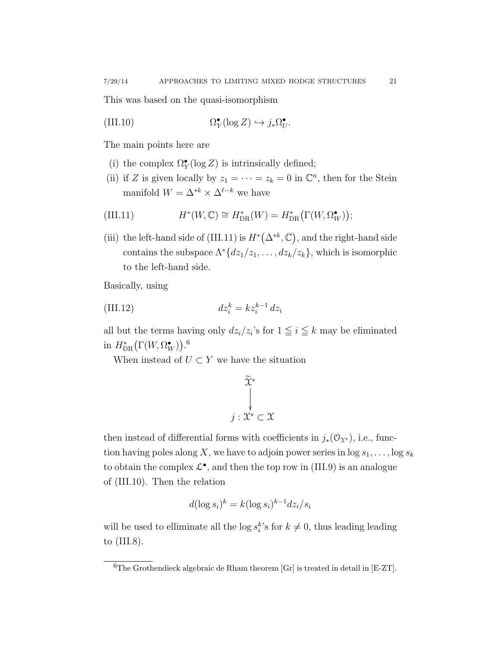This was based on the quasi-isomorphism

(III.10) 
$$
\Omega_Y^{\bullet}(\log Z) \hookrightarrow j_*\Omega_U^{\bullet}.
$$

The main points here are

- (i) the complex  $\Omega_Y^{\bullet}(\log Z)$  is intrinsically defined;
- (ii) if Z is given locally by  $z_1 = \cdots = z_k = 0$  in  $\mathbb{C}^n$ , then for the Stein manifold  $W = \Delta^{*k} \times \Delta^{\ell-k}$  we have

(III.11) 
$$
H^*(W,\mathbb{C}) \cong H^*_{\text{DR}}(W) = H^*_{\text{DR}}(\Gamma(W,\Omega^{\bullet}_W));
$$

(iii) the left-hand side of (III.11) is  $H^*(\Delta^{*k}, \mathbb{C})$ , and the right-hand side contains the subspace  $\Lambda^*\{dz_1/z_1,\ldots, dz_k/z_k\}$ , which is isomorphic to the left-hand side.

Basically, using

$$
(III.12) \t\t dz_i^k = kz_i^{k-1} dz_i
$$

all but the terms having only  $dz_i/z_i$ 's for  $1 \leq i \leq k$  may be eliminated in  $H^*_{\text{DR}}(\Gamma(W, \Omega^{\bullet}_W)).^6$ 

When instead of  $U \subset Y$  we have the situation

$$
\widetilde{\widetilde{\mathcal{X}}}^* \downarrow
$$

$$
j: \widetilde{\mathcal{X}}^* \subset \mathcal{X}
$$

then instead of differential forms with coefficients in  $j_*(\mathcal{O}_{\mathfrak{X}^*})$ , i.e., function having poles along X, we have to adjoin power series in  $\log s_1, \ldots, \log s_k$ to obtain the complex  $\mathcal{L}^{\bullet}$ , and then the top row in (III.9) is an analogue of (III.10). Then the relation

$$
d(\log s_i)^k = k(\log s_i)^{k-1} dz_i / s_i
$$

will be used to elliminate all the  $\log s_i^k$ 's for  $k \neq 0$ , thus leading leading to (III.8).

 ${}^{6}$ The Grothendieck algebraic de Rham theorem [Gr] is treated in detail in [E-ZT].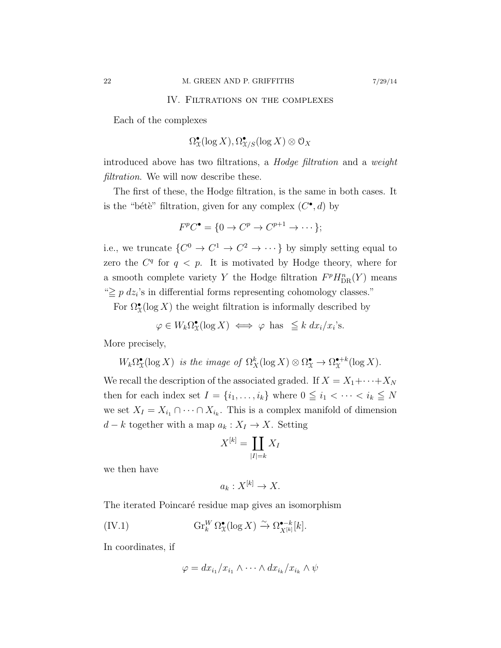### IV. Filtrations on the complexes

Each of the complexes

$$
\Omega^\bullet_{\mathfrak{X}}(\log X), \Omega^\bullet_{\mathfrak{X}/S}(\log X) \otimes \mathcal{O}_X
$$

introduced above has two filtrations, a Hodge filtration and a weight filtration. We will now describe these.

The first of these, the Hodge filtration, is the same in both cases. It is the "bétè" filtration, given for any complex  $(C^{\bullet}, d)$  by

$$
F^pC^\bullet = \{0 \to C^p \to C^{p+1} \to \cdots \};
$$

i.e., we truncate  $\{C^0 \to C^1 \to C^2 \to \cdots\}$  by simply setting equal to zero the  $C<sup>q</sup>$  for  $q < p$ . It is motivated by Hodge theory, where for a smooth complete variety Y the Hodge filtration  $F^p H_{DR}^n(Y)$  means " $\geq p \, dz_i$ 's in differential forms representing cohomology classes."

For  $\Omega^{\bullet}_\mathfrak{X}(\log X)$  the weight filtration is informally described by

$$
\varphi \in W_k \Omega^\bullet_X(\log X) \iff \varphi \text{ has } \leq k \, dx_i/x_i\text{'s.}
$$

More precisely,

$$
W_k \Omega^{\bullet}_{\mathfrak{X}}(\log X)
$$
 is the image of  $\Omega^k_X(\log X) \otimes \Omega^{\bullet}_{\mathfrak{X}} \to \Omega^{\bullet+k}_X(\log X)$ .

We recall the description of the associated graded. If  $X = X_1 + \cdots + X_N$ then for each index set  $I = \{i_1, \ldots, i_k\}$  where  $0 \leq i_1 < \cdots < i_k \leq N$ we set  $X_I = X_{i_1} \cap \cdots \cap X_{i_k}$ . This is a complex manifold of dimension  $d - k$  together with a map  $a_k : X_I \to X$ . Setting

$$
X^{[k]} = \coprod_{|I|=k} X_I
$$

we then have

$$
a_k: X^{[k]} \to X.
$$

The iterated Poincaré residue map gives an isomorphism

(IV.1) 
$$
\operatorname{Gr}_{k}^{W} \Omega_{\mathfrak{X}}^{\bullet}(\log X) \xrightarrow{\sim} \Omega_{X^{[k]}}^{\bullet-k}[k].
$$

In coordinates, if

$$
\varphi = dx_{i_1}/x_{i_1} \wedge \cdots \wedge dx_{i_k}/x_{i_k} \wedge \psi
$$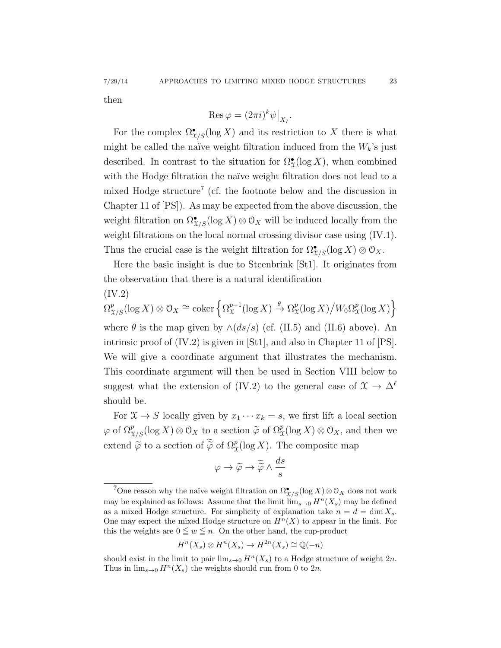7/29/14 APPROACHES TO LIMITING MIXED HODGE STRUCTURES 23

then

$$
\operatorname{Res}\varphi=(2\pi i)^k\psi\big|_{X_I}.
$$

For the complex  $\Omega^{\bullet}_{\mathfrak{X}/S}(\log X)$  and its restriction to X there is what might be called the naïve weight filtration induced from the  $W_k$ 's just described. In contrast to the situation for  $\Omega^{\bullet}_{\mathfrak{X}}(\log X)$ , when combined with the Hodge filtration the naïve weight filtration does not lead to a mixed Hodge structure<sup>7</sup> (cf. the footnote below and the discussion in Chapter 11 of [PS]). As may be expected from the above discussion, the weight filtration on  $\Omega_{X/S}^{\bullet}(\log X) \otimes \mathcal{O}_X$  will be induced locally from the weight filtrations on the local normal crossing divisor case using  $(IV.1)$ . Thus the crucial case is the weight filtration for  $\Omega_{X/S}^{\bullet}(\log X) \otimes \mathcal{O}_X$ .

Here the basic insight is due to Steenbrink [St1]. It originates from the observation that there is a natural identification

(IV.2)  
\n
$$
\Omega_{\mathcal{X}/S}^p(\log X) \otimes \mathcal{O}_X \cong \text{coker} \left\{ \Omega_{\mathcal{X}}^{p-1}(\log X) \xrightarrow{\theta} \Omega_{\mathcal{X}}^p(\log X) / W_0 \Omega_{\mathcal{X}}^p(\log X) \right\}
$$
  
\nwhere  $\theta$  is the map given by  $\wedge (ds/s)$  (cf. (II.5) and (II.6) above). An  
\nintrinsic proof of (IV.2) is given in [St1], and also in Chapter 11 of [PS].  
\nWe will give a coordinate argument that illustrates the mechanism.  
\nThis coordinate argument will then be used in Section VIII below to  
\nsuggest what the extension of (IV.2) to the general case of  $\mathcal{X} \to \Delta^{\ell}$   
\nshould be.

For  $\mathfrak{X} \to S$  locally given by  $x_1 \cdots x_k = s$ , we first lift a local section  $\varphi$  of  $\Omega_{X/S}^p(\log X) \otimes \mathcal{O}_X$  to a section  $\widetilde{\varphi}$  of  $\Omega_X^p(\log X) \otimes \mathcal{O}_X$ , and then we extend  $\widetilde{\varphi}$  to a section of  $\widetilde{\varphi}$  of  $\Omega_{\mathfrak{X}}^p(\log X)$ . The composite map

$$
\varphi \to \widetilde{\varphi} \to \widetilde{\widetilde{\varphi}} \wedge \frac{ds}{s}
$$

$$
H^n(X_s) \otimes H^n(X_s) \to H^{2n}(X_s) \cong \mathbb{Q}(-n)
$$

<sup>&</sup>lt;sup>7</sup>One reason why the naïve weight filtration on  $\Omega_{X/S}^{\bullet}(\log X)\otimes\mathcal{O}_X$  does not work may be explained as follows: Assume that the limit  $\lim_{s\to 0} H^n(X_s)$  may be defined as a mixed Hodge structure. For simplicity of explanation take  $n = d = \dim X_s$ . One may expect the mixed Hodge structure on  $H<sup>n</sup>(X)$  to appear in the limit. For this the weights are  $0 \leq w \leq n$ . On the other hand, the cup-product

should exist in the limit to pair  $\lim_{s\to 0} H^n(X_s)$  to a Hodge structure of weight  $2n$ . Thus in  $\lim_{s\to 0} H^n(X_s)$  the weights should run from 0 to  $2n$ .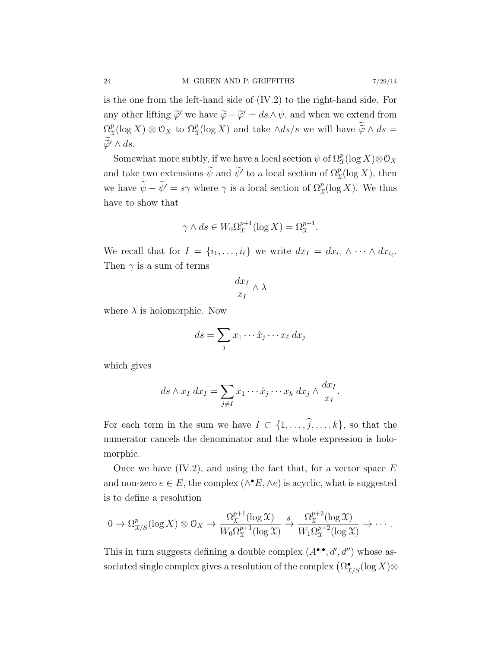is the one from the left-hand side of (IV.2) to the right-hand side. For any other lifting  $\widetilde{\varphi}'$  we have  $\widetilde{\varphi} - \widetilde{\varphi}' = ds \wedge \psi$ , and when we extend from  $\Omega^p_\gamma$  $\chi^p(\log X) \otimes \mathcal{O}_X$  to  $\Omega^p_X(\log X)$  and take  $\wedge ds/s$  we will have  $\widetilde{\widetilde{\varphi}} \wedge ds =$  $\widetilde{\varphi}' \wedge ds.$ 

Somewhat more subtly, if we have a local section  $\psi$  of  $\Omega^p_{\mathcal{X}}(\log X)\otimes\mathcal{O}_X$ and take two extensions  $\widetilde{\psi}$  and  $\widetilde{\psi}'$  to a local section of  $\Omega^p_{\mathfrak{X}}(\log X)$ , then we have  $\widetilde{\psi} - \widetilde{\psi}' = s\gamma$  where  $\gamma$  is a local section of  $\Omega^p_{\mathfrak{X}}(\log X)$ . We thus have to show that

$$
\gamma \wedge ds \in W_0 \Omega_{\mathfrak{X}}^{p+1}(\log X) = \Omega_{\mathfrak{X}}^{p+1}.
$$

We recall that for  $I = \{i_1, \ldots, i_\ell\}$  we write  $dx_I = dx_{i_1} \wedge \cdots \wedge dx_{i_\ell}$ . Then  $\gamma$  is a sum of terms

$$
\frac{dx_I}{x_I} \wedge \lambda
$$

where  $\lambda$  is holomorphic. Now

$$
ds = \sum_j x_1 \cdots \hat{x}_j \cdots x_\ell \, dx_j
$$

which gives

$$
ds \wedge x_I \, dx_I = \sum_{j \neq I} x_1 \cdots \hat{x}_j \cdots x_k \, dx_j \wedge \frac{dx_I}{x_I}.
$$

For each term in the sum we have  $I \subset \{1, \ldots, \widehat{j}, \ldots, k\}$ , so that the numerator cancels the denominator and the whole expression is holomorphic.

Once we have  $(IV.2)$ , and using the fact that, for a vector space E and non-zero  $e \in E$ , the complex  $(\wedge^{\bullet} E, \wedge e)$  is acyclic, what is suggested is to define a resolution

$$
0 \to \Omega_{\mathfrak{X}/S}^p(\log X) \otimes \mathfrak{O}_X \to \frac{\Omega_{\mathfrak{X}}^{p+1}(\log \mathfrak{X})}{W_0 \Omega_{\mathfrak{X}}^{p+1}(\log \mathfrak{X})} \xrightarrow{\theta} \frac{\Omega_{\mathfrak{X}}^{p+2}(\log \mathfrak{X})}{W_1 \Omega_{\mathfrak{X}}^{p+2}(\log \mathfrak{X})} \to \cdots.
$$

This in turn suggests defining a double complex  $(A^{\bullet,\bullet}, d', d'')$  whose associated single complex gives a resolution of the complex  $\left(\Omega^\bullet_{\mathfrak{X}/S}(\log X) \otimes \right)$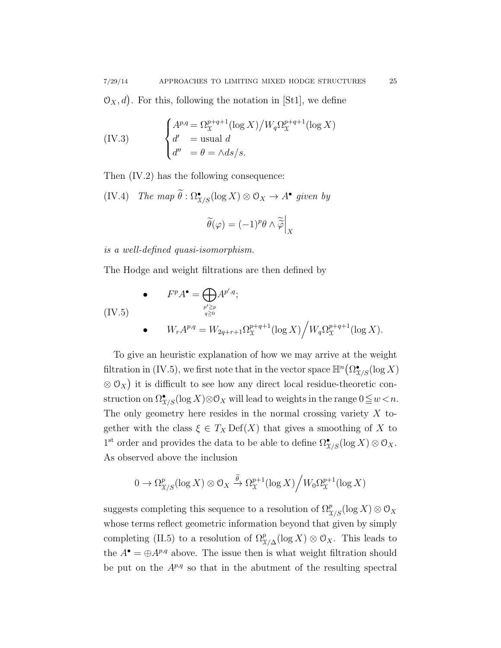$\mathcal{O}_X, d$ . For this, following the notation in [St1], we define

(IV.3) 
$$
\begin{cases} A^{p,q} = \Omega_{\mathcal{X}}^{p+q+1}(\log X) / W_q \Omega_{\mathcal{X}}^{p+q+1}(\log X) \\ d' = \text{usual } d \\ d'' = \theta = \wedge ds/s. \end{cases}
$$

Then (IV.2) has the following consequence:

(IV.4) The map  $\hat{\theta} : \Omega^{\bullet}_{X/S}(\log X) \otimes \mathcal{O}_X \to A^{\bullet}$  given by

$$
\widetilde{\theta}(\varphi) = (-1)^p \theta \wedge \widetilde{\widetilde{\varphi}} \Big|_X
$$

is a well-defined quasi-isomorphism.

The Hodge and weight filtrations are then defined by

(IV.5)  
\n
$$
F^{p}A^{\bullet} = \bigoplus_{\substack{p' \ge p \\ q \ge 0}} A^{p', q};
$$
\n
$$
W_{r}A^{p, q} = W_{2q+r+1} \Omega_{\mathcal{X}}^{p+q+1} (\log X) / W_{q} \Omega_{\mathcal{X}}^{p+q+1} (\log X).
$$

To give an heuristic explanation of how we may arrive at the weight filtration in (IV.5), we first note that in the vector space  $\mathbb{H}^n(\Omega_{X/S}^{\bullet}(\log X))$  $\otimes$  O<sub>X</sub>) it is difficult to see how any direct local residue-theoretic construction on  $\Omega_{X/S}^{\bullet}(\log X)\otimes \mathcal{O}_X$  will lead to weights in the range  $0\leqq w < n$ . The only geometry here resides in the normal crossing variety  $X$  together with the class  $\xi \in T_X \mathrm{Def}(X)$  that gives a smoothing of X to 1<sup>st</sup> order and provides the data to be able to define  $\Omega_{\mathfrak{X}/S}^{\bullet}(\log X) \otimes \mathcal{O}_X$ . As observed above the inclusion

$$
0 \to \Omega_{\mathcal{X}/S}^p(\log X) \otimes \mathcal{O}_X \xrightarrow{\widetilde{\theta}} \Omega_{\mathcal{X}}^{p+1}(\log X) \Big/ W_0 \Omega_{\mathcal{X}}^{p+1}(\log X)
$$

suggests completing this sequence to a resolution of  $\Omega_{X/S}^p(\log X) \otimes \mathcal{O}_X$ whose terms reflect geometric information beyond that given by simply completing (II.5) to a resolution of  $\Omega_{\mathcal{X}/\Delta}^p(\log X) \otimes \mathcal{O}_X$ . This leads to the  $A^{\bullet} = \bigoplus A^{p,q}$  above. The issue then is what weight filtration should be put on the  $A^{p,q}$  so that in the abutment of the resulting spectral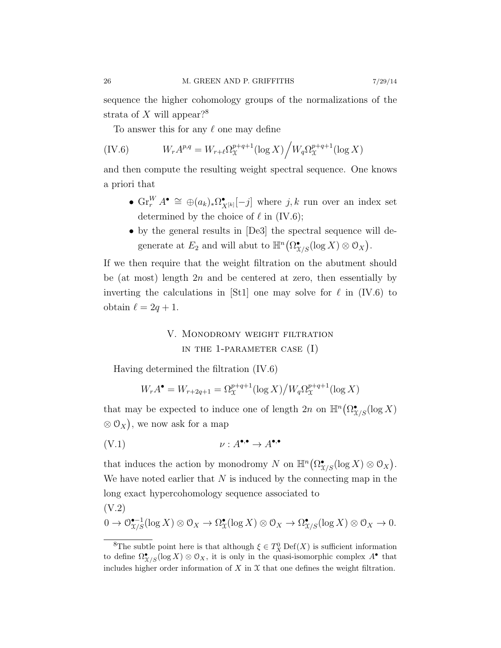sequence the higher cohomology groups of the normalizations of the strata of X will appear?<sup>8</sup>

To answer this for any  $\ell$  one may define

(IV.6) 
$$
W_r A^{p,q} = W_{r+\ell} \Omega_{\mathfrak{X}}^{p+q+1} (\log X) / W_q \Omega_{\mathfrak{X}}^{p+q+1} (\log X)
$$

and then compute the resulting weight spectral sequence. One knows a priori that

- $\text{Gr}_r^W A^{\bullet} \cong \bigoplus (a_k)_* \Omega^{\bullet}_{\mathfrak{Z}}$  $\mathbf{X}_{X^{[k]}}[-j]$  where  $j, k$  run over an index set determined by the choice of  $\ell$  in (IV.6);
- by the general results in [De3] the spectral sequence will degenerate at  $E_2$  and will abut to  $\mathbb{H}^n(\Omega_{\mathcal{X}/S}^{\bullet}(\log X) \otimes \mathcal{O}_X)$ .

If we then require that the weight filtration on the abutment should be (at most) length  $2n$  and be centered at zero, then essentially by inverting the calculations in [St1] one may solve for  $\ell$  in (IV.6) to obtain  $\ell = 2q + 1$ .

# V. Monodromy weight filtration in the 1-parameter case (I)

Having determined the filtration (IV.6)

$$
W_r A^{\bullet} = W_{r+2q+1} = \Omega_{\mathfrak{X}}^{p+q+1} (\log X) / W_q \Omega_{\mathfrak{X}}^{p+q+1} (\log X)
$$

that may be expected to induce one of length  $2n$  on  $\mathbb{H}^n(\Omega_{X/S}^{\bullet}(\log X))$  $\otimes$  O<sub>X</sub>), we now ask for a map

$$
(V.1) \t\t\t v : A^{\bullet,\bullet} \to A^{\bullet,\bullet}
$$

that induces the action by monodromy N on  $\mathbb{H}^n(\Omega_{X/S}^{\bullet}(\log X) \otimes \mathcal{O}_X)$ . We have noted earlier that  $N$  is induced by the connecting map in the long exact hypercohomology sequence associated to

$$
(V.2)
$$
  

$$
0 \to \mathcal{O}_{X/S}^{\bullet-1}(\log X) \otimes \mathcal{O}_X \to \Omega_X^{\bullet}(\log X) \otimes \mathcal{O}_X \to \Omega_{X/S}^{\bullet}(\log X) \otimes \mathcal{O}_X \to 0.
$$

<sup>&</sup>lt;sup>8</sup>The subtle point here is that although  $\xi \in T_X^0$  Def(X) is sufficient information to define  $\Omega_{X/S}^{\bullet}(\log X) \otimes \mathcal{O}_X$ , it is only in the quasi-isomorphic complex  $A^{\bullet}$  that includes higher order information of  $X$  in  $\mathfrak X$  that one defines the weight filtration.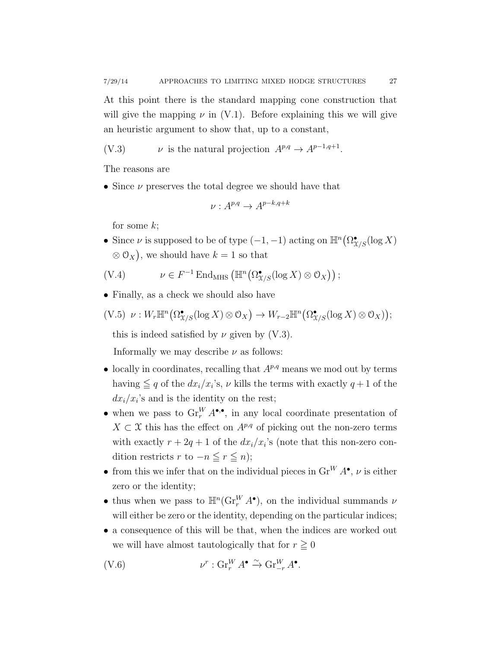At this point there is the standard mapping cone construction that will give the mapping  $\nu$  in (V.1). Before explaining this we will give an heuristic argument to show that, up to a constant,

$$
(V.3) \t\t v is the natural projection  $A^{p,q} \to A^{p-1,q+1}$ .
$$

The reasons are

• Since  $\nu$  preserves the total degree we should have that

$$
\nu: A^{p,q} \to A^{p-k,q+k}
$$

for some  $k$ ;

• Since  $\nu$  is supposed to be of type  $(-1, -1)$  acting on  $\mathbb{H}^n(\Omega_{X/S}^{\bullet}(\log X))$  $\otimes \mathcal{O}_X$ , we should have  $k = 1$  so that

$$
(V.4) \t\t \nu \in F^{-1} \operatorname{End}_{MHS} \left( \mathbb{H}^n \big( \Omega_{\mathcal{X}/S}^{\bullet} (\log X) \otimes \mathcal{O}_X \big) \right);
$$

• Finally, as a check we should also have

$$
(V.5) \ \nu: W_r \mathbb{H}^n \big( \Omega_{X/S}^{\bullet}(\log X) \otimes \mathcal{O}_X \big) \to W_{r-2} \mathbb{H}^n \big( \Omega_{X/S}^{\bullet}(\log X) \otimes \mathcal{O}_X \big);
$$

this is indeed satisfied by  $\nu$  given by (V.3).

Informally we may describe  $\nu$  as follows:

- locally in coordinates, recalling that  $A^{p,q}$  means we mod out by terms having  $\leq q$  of the  $dx_i/x_i$ 's,  $\nu$  kills the terms with exactly  $q+1$  of the  $dx_i/x_i$ 's and is the identity on the rest;
- when we pass to  $\operatorname{Gr}_r^W A^{\bullet,\bullet}$ , in any local coordinate presentation of  $X \subset \mathfrak{X}$  this has the effect on  $A^{p,q}$  of picking out the non-zero terms with exactly  $r + 2q + 1$  of the  $dx_i/x_i$ 's (note that this non-zero condition restricts r to  $-n \leq r \leq n$ ;
- from this we infer that on the individual pieces in  $\text{Gr}^W A^{\bullet}$ ,  $\nu$  is either zero or the identity;
- thus when we pass to  $\mathbb{H}^n(\mathrm{Gr}_r^W A^{\bullet})$ , on the individual summands  $\nu$ will either be zero or the identity, depending on the particular indices;
- a consequence of this will be that, when the indices are worked out we will have almost tautologically that for  $r \geq 0$

$$
(V.6) \t\t\t v^r : Gr_r^W A^{\bullet} \xrightarrow{\sim} Gr_{-r}^W A^{\bullet}.
$$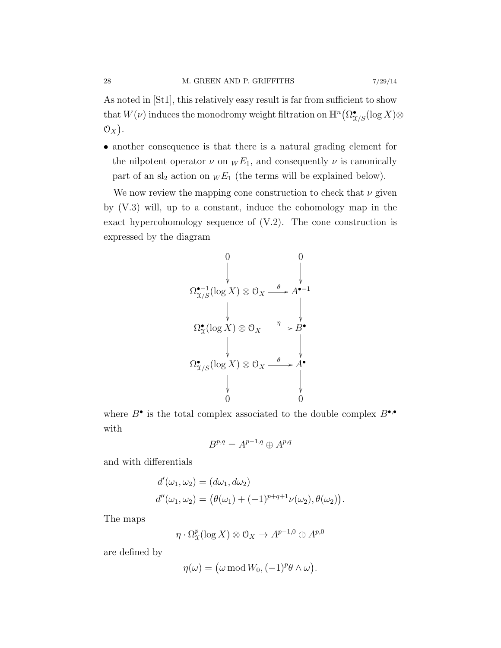As noted in [St1], this relatively easy result is far from sufficient to show that  $W(\nu)$  induces the monodromy weight filtration on  $\mathbb{H}^n(\Omega^\bullet_{\mathfrak{X}/S}(\log X) \otimes$  $\mathfrak{O}_X$ .

• another consequence is that there is a natural grading element for the nilpotent operator  $\nu$  on  $_W E_1$ , and consequently  $\nu$  is canonically part of an  $sl_2$  action on  $_W E_1$  (the terms will be explained below).

We now review the mapping cone construction to check that  $\nu$  given by (V.3) will, up to a constant, induce the cohomology map in the exact hypercohomology sequence of  $(V.2)$ . The cone construction is expressed by the diagram

$$
\Omega_{X/S}^{\bullet-1}(\log X) \otimes \mathcal{O}_X \xrightarrow{\theta} A^{\bullet-1}
$$
\n
$$
\downarrow \qquad \qquad \downarrow
$$
\n
$$
\Omega_X^{\bullet}(\log X) \otimes \mathcal{O}_X \xrightarrow{\eta} B^{\bullet}
$$
\n
$$
\Omega_{X/S}^{\bullet}(\log X) \otimes \mathcal{O}_X \xrightarrow{\theta} A^{\bullet}
$$
\n
$$
\downarrow
$$
\n
$$
\downarrow
$$
\n
$$
\downarrow
$$
\n
$$
\downarrow
$$
\n
$$
\downarrow
$$
\n
$$
\downarrow
$$
\n
$$
\downarrow
$$
\n
$$
\downarrow
$$
\n
$$
\downarrow
$$
\n
$$
\downarrow
$$
\n
$$
\downarrow
$$
\n
$$
\downarrow
$$
\n
$$
\downarrow
$$
\n
$$
\downarrow
$$
\n
$$
\downarrow
$$
\n
$$
\downarrow
$$
\n
$$
\downarrow
$$
\n
$$
\downarrow
$$
\n
$$
\downarrow
$$
\n
$$
\downarrow
$$
\n
$$
\downarrow
$$
\n
$$
\downarrow
$$
\n
$$
\downarrow
$$
\n
$$
\downarrow
$$
\n
$$
\downarrow
$$
\n
$$
\downarrow
$$
\n
$$
\downarrow
$$
\n
$$
\downarrow
$$
\n
$$
\downarrow
$$
\n
$$
\downarrow
$$
\n
$$
\downarrow
$$
\n
$$
\downarrow
$$
\n
$$
\downarrow
$$
\n
$$
\downarrow
$$
\n
$$
\downarrow
$$
\n
$$
\downarrow
$$
\n
$$
\downarrow
$$
\n
$$
\downarrow
$$
\n
$$
\downarrow
$$
\n
$$
\downarrow
$$
\n
$$
\downarrow
$$
\n
$$
\downarrow
$$
\n
$$
\downarrow
$$
\n
$$
\downarrow
$$
\n
$$
\downarrow
$$
\n
$$
\downarrow
$$
\n
$$
\downarrow
$$
\n
$$
\downarrow
$$
\n
$$
\downarrow
$$
\n
$$
\downarrow
$$
\n
$$
\downarrow
$$
\n

where  $B^{\bullet}$  is the total complex associated to the double complex  $B^{\bullet,\bullet}$ with

$$
B^{p,q} = A^{p-1,q} \oplus A^{p,q}
$$

and with differentials

$$
d'(\omega_1, \omega_2) = (d\omega_1, d\omega_2)
$$
  

$$
d''(\omega_1, \omega_2) = (\theta(\omega_1) + (-1)^{p+q+1}\nu(\omega_2), \theta(\omega_2)).
$$

The maps

$$
\eta \cdot \Omega^p_{\mathfrak{X}}(\log X) \otimes \mathcal{O}_X \to A^{p-1,0} \oplus A^{p,0}
$$

are defined by

$$
\eta(\omega) = (\omega \operatorname{mod} W_0, (-1)^p \theta \wedge \omega).
$$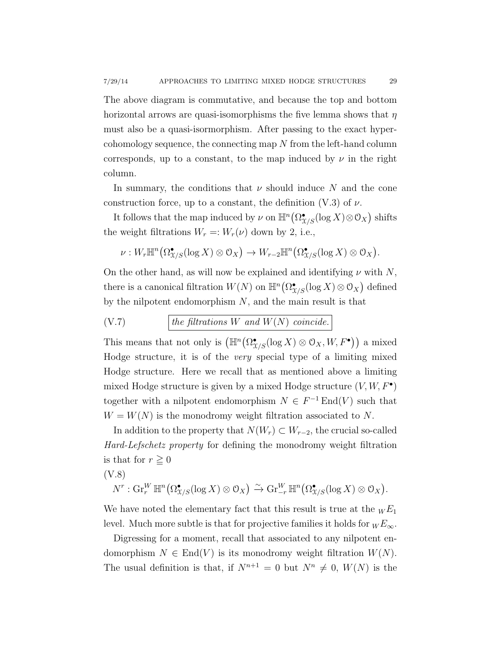The above diagram is commutative, and because the top and bottom horizontal arrows are quasi-isomorphisms the five lemma shows that  $\eta$ must also be a quasi-isormorphism. After passing to the exact hypercohomology sequence, the connecting map N from the left-hand column corresponds, up to a constant, to the map induced by  $\nu$  in the right column.

In summary, the conditions that  $\nu$  should induce N and the cone construction force, up to a constant, the definition  $(V.3)$  of  $\nu$ .

It follows that the map induced by  $\nu$  on  $\mathbb{H}^n(\Omega_{X/S}^{\bullet}(\log X)\otimes\mathcal{O}_X)$  shifts the weight filtrations  $W_r =: W_r(\nu)$  down by 2, i.e.,

$$
\nu: W_r\mathbb{H}^n\big(\Omega_{X/S}^{\bullet}(\log X)\otimes \mathcal{O}_X\big)\to W_{r-2}\mathbb{H}^n\big(\Omega_{X/S}^{\bullet}(\log X)\otimes \mathcal{O}_X\big).
$$

On the other hand, as will now be explained and identifying  $\nu$  with N, there is a canonical filtration  $W(N)$  on  $\mathbb{H}^n(\Omega_{\mathcal{X}/S}^{\bullet}(\log X) \otimes \mathcal{O}_X)$  defined by the nilpotent endomorphism  $N$ , and the main result is that

$$
(V.7) \t\t the \text{ filtrations } W \text{ and } W(N) \text{ coincide.}
$$

This means that not only is  $(\mathbb{H}^n(\Omega_{X/S}^{\bullet}(\log X) \otimes \mathcal{O}_X, W, F^{\bullet}))$  a mixed Hodge structure, it is of the very special type of a limiting mixed Hodge structure. Here we recall that as mentioned above a limiting mixed Hodge structure is given by a mixed Hodge structure  $(V, W, F^{\bullet})$ together with a nilpotent endomorphism  $N \in F^{-1}$  End $(V)$  such that  $W = W(N)$  is the monodromy weight filtration associated to N.

In addition to the property that  $N(W_r) \subset W_{r-2}$ , the crucial so-called Hard-Lefschetz property for defining the monodromy weight filtration is that for  $r \geq 0$ 

(V.8)

$$
N^r: \operatorname{Gr}_r^W \mathbb{H}^n\big(\Omega_{\mathfrak{X}/S}^{\bullet}(\log X) \otimes \mathcal{O}_X\big) \xrightarrow{\sim} \operatorname{Gr}_{-r}^W \mathbb{H}^n\big(\Omega_{\mathfrak{X}/S}^{\bullet}(\log X) \otimes \mathcal{O}_X\big).
$$

We have noted the elementary fact that this result is true at the  $W E_1$ level. Much more subtle is that for projective families it holds for  $W E_{\infty}$ .

Digressing for a moment, recall that associated to any nilpotent endomorphism  $N \in End(V)$  is its monodromy weight filtration  $W(N)$ . The usual definition is that, if  $N^{n+1} = 0$  but  $N^n \neq 0$ ,  $W(N)$  is the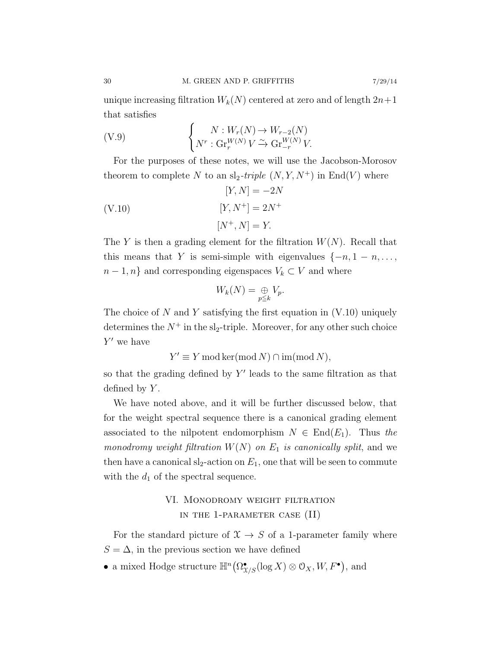unique increasing filtration  $W_k(N)$  centered at zero and of length  $2n+1$ that satisfies

$$
\begin{cases}\nN: W_r(N) \to W_{r-2}(N) \\
N^r: \operatorname{Gr}_r^{W(N)} V \xrightarrow{\sim} \operatorname{Gr}_{-r}^{W(N)} V.\n\end{cases}
$$

For the purposes of these notes, we will use the Jacobson-Morosov theorem to complete N to an sl<sub>2</sub>-triple  $(N, Y, N^+)$  in End(V) where

$$
[Y, N] = -2N
$$
  
(V.10)  

$$
[Y, N^+] = 2N^+
$$
  

$$
[N^+, N] = Y.
$$

The Y is then a grading element for the filtration  $W(N)$ . Recall that this means that Y is semi-simple with eigenvalues  $\{-n, 1 - n, \ldots, \}$  $n-1, n$ } and corresponding eigenspaces  $V_k \subset V$  and where

$$
W_k(N) = \bigoplus_{p \leqq k} V_p.
$$

The choice of  $N$  and  $Y$  satisfying the first equation in  $(V.10)$  uniquely determines the  $N^+$  in the sl<sub>2</sub>-triple. Moreover, for any other such choice  $Y'$  we have

 $Y' \equiv Y \mod \ker(\mod N) \cap \mathrm{im}(\mod N),$ 

so that the grading defined by  $Y'$  leads to the same filtration as that defined by  $Y$ .

We have noted above, and it will be further discussed below, that for the weight spectral sequence there is a canonical grading element associated to the nilpotent endomorphism  $N \in \text{End}(E_1)$ . Thus the monodromy weight filtration  $W(N)$  on  $E_1$  is canonically split, and we then have a canonical  $sl_2$ -action on  $E_1$ , one that will be seen to commute with the  $d_1$  of the spectral sequence.

## VI. Monodromy weight filtration in the 1-parameter case (II)

For the standard picture of  $\mathfrak{X} \to S$  of a 1-parameter family where  $S = \Delta$ , in the previous section we have defined

• a mixed Hodge structure  $\mathbb{H}^n(\Omega^\bullet_{\mathfrak{X}/S}(\log X) \otimes \mathcal{O}_X, W, F^\bullet)$ , and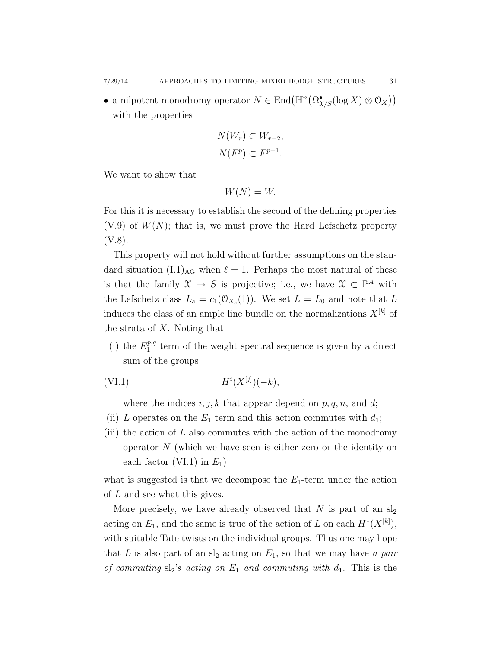• a nilpotent monodromy operator  $N \in \text{End}(\mathbb{H}^n(\Omega_{X/S}^{\bullet}(\log X) \otimes \mathcal{O}_X))$ with the properties

$$
N(W_r) \subset W_{r-2},
$$
  

$$
N(F^p) \subset F^{p-1}.
$$

We want to show that

$$
W(N) = W.
$$

For this it is necessary to establish the second of the defining properties  $(V.9)$  of  $W(N)$ ; that is, we must prove the Hard Lefschetz property (V.8).

This property will not hold without further assumptions on the standard situation  $(L1)_{AG}$  when  $\ell = 1$ . Perhaps the most natural of these is that the family  $\mathfrak{X} \to S$  is projective; i.e., we have  $\mathfrak{X} \subset \mathbb{P}^A$  with the Lefschetz class  $L_s = c_1(\mathcal{O}_{X_s}(1))$ . We set  $L = L_0$  and note that L induces the class of an ample line bundle on the normalizations  $X^{[k]}$  of the strata of X. Noting that

(i) the  $E_1^{p,q}$  $t_1^{p,q}$  term of the weight spectral sequence is given by a direct sum of the groups

$$
(VI.1) \t\t\t\t\tHi(X[j])(-k),
$$

where the indices  $i, j, k$  that appear depend on  $p, q, n$ , and d;

- (ii) L operates on the  $E_1$  term and this action commutes with  $d_1$ ;
- (iii) the action of  $L$  also commutes with the action of the monodromy operator  $N$  (which we have seen is either zero or the identity on each factor (VI.1) in  $E_1$ )

what is suggested is that we decompose the  $E_1$ -term under the action of L and see what this gives.

More precisely, we have already observed that  $N$  is part of an  $sl_2$ acting on  $E_1$ , and the same is true of the action of L on each  $H^*(X^{[k]})$ , with suitable Tate twists on the individual groups. Thus one may hope that L is also part of an  $sl_2$  acting on  $E_1$ , so that we may have a pair of commuting  $sl_2$ 's acting on  $E_1$  and commuting with  $d_1$ . This is the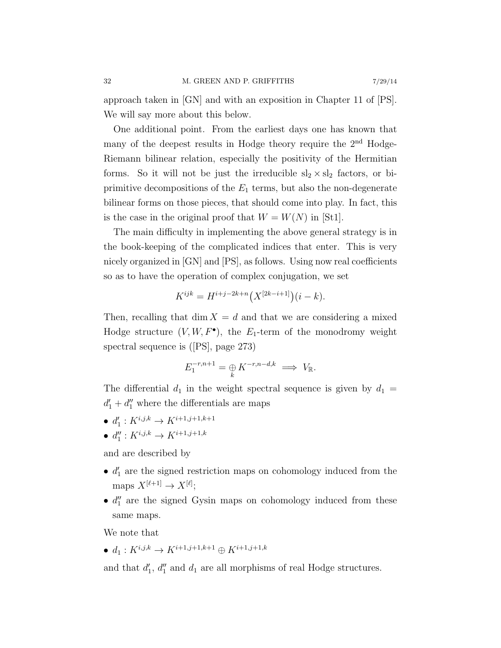approach taken in [GN] and with an exposition in Chapter 11 of [PS]. We will say more about this below.

One additional point. From the earliest days one has known that many of the deepest results in Hodge theory require the 2nd Hodge-Riemann bilinear relation, especially the positivity of the Hermitian forms. So it will not be just the irreducible  $sl_2 \times sl_2$  factors, or biprimitive decompositions of the  $E_1$  terms, but also the non-degenerate bilinear forms on those pieces, that should come into play. In fact, this is the case in the original proof that  $W = W(N)$  in [St1].

The main difficulty in implementing the above general strategy is in the book-keeping of the complicated indices that enter. This is very nicely organized in [GN] and [PS], as follows. Using now real coefficients so as to have the operation of complex conjugation, we set

$$
K^{ijk} = H^{i+j-2k+n}(X^{[2k-i+1]})(i-k).
$$

Then, recalling that dim  $X = d$  and that we are considering a mixed Hodge structure  $(V, W, F^{\bullet})$ , the  $E_1$ -term of the monodromy weight spectral sequence is ([PS], page 273)

$$
E_1^{-r, n+1} = \underset{k}{\oplus} K^{-r, n-d, k} \implies V_{\mathbb{R}}.
$$

The differential  $d_1$  in the weight spectral sequence is given by  $d_1 =$  $d_1' + d_1''$  where the differentials are maps

- $d'_1: K^{i,j,k} \to K^{i+1,j+1,k+1}$
- $d''_1: K^{i,j,k} \to K^{i+1,j+1,k}$

and are described by

- $\bullet$   $d'_1$  are the signed restriction maps on cohomology induced from the maps  $X^{[\ell+1]} \to X^{[\ell]};$
- $\bullet$   $d_1''$  are the signed Gysin maps on cohomology induced from these same maps.

We note that

•  $d_1: K^{i,j,k} \to K^{i+1,j+1,k+1} \oplus K^{i+1,j+1,k}$ 

and that  $d'_1$ ,  $d''_1$  and  $d_1$  are all morphisms of real Hodge structures.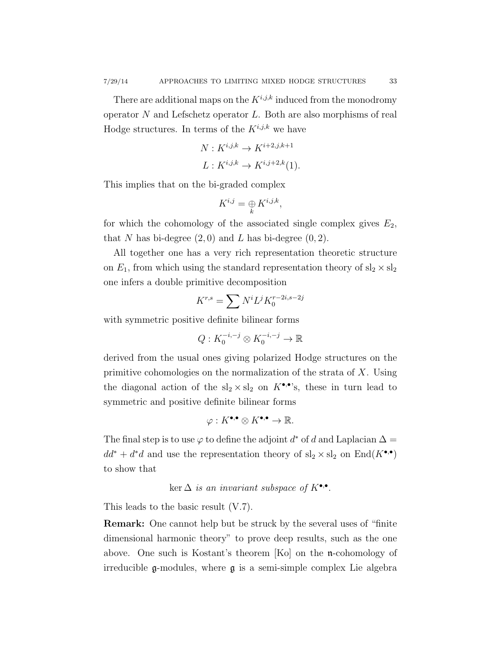There are additional maps on the  $K^{i,j,k}$  induced from the monodromy operator  $N$  and Lefschetz operator  $L$ . Both are also morphisms of real Hodge structures. In terms of the  $K^{i,j,k}$  we have

$$
N: K^{i,j,k} \to K^{i+2,j,k+1}
$$
  

$$
L: K^{i,j,k} \to K^{i,j+2,k}(1).
$$

This implies that on the bi-graded complex

$$
K^{i,j} = \underset{k}{\oplus} K^{i,j,k},
$$

for which the cohomology of the associated single complex gives  $E_2$ , that N has bi-degree  $(2,0)$  and L has bi-degree  $(0,2)$ .

All together one has a very rich representation theoretic structure on  $E_1$ , from which using the standard representation theory of  $sl_2 \times sl_2$ one infers a double primitive decomposition

$$
K^{r,s} = \sum N^i L^j K_0^{r-2i, s-2j}
$$

with symmetric positive definite bilinear forms

$$
Q: K_0^{-i,-j} \otimes K_0^{-i,-j} \to \mathbb{R}
$$

derived from the usual ones giving polarized Hodge structures on the primitive cohomologies on the normalization of the strata of  $X$ . Using the diagonal action of the  $sl_2 \times sl_2$  on  $K^{\bullet,\bullet}$ 's, these in turn lead to symmetric and positive definite bilinear forms

$$
\varphi: K^{\bullet,\bullet} \otimes K^{\bullet,\bullet} \to \mathbb{R}.
$$

The final step is to use  $\varphi$  to define the adjoint  $d^*$  of d and Laplacian  $\Delta =$  $dd^* + d^*d$  and use the representation theory of  $sl_2 \times sl_2$  on  $\text{End}(K^{\bullet,\bullet})$ to show that

ker  $\Delta$  is an invariant subspace of  $K^{\bullet,\bullet}$ .

This leads to the basic result (V.7).

Remark: One cannot help but be struck by the several uses of "finite dimensional harmonic theory" to prove deep results, such as the one above. One such is Kostant's theorem [Ko] on the n-cohomology of irreducible g-modules, where g is a semi-simple complex Lie algebra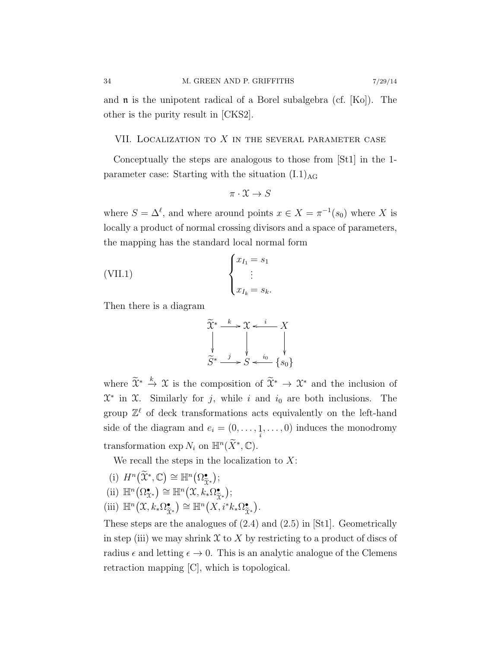and  $\mathfrak n$  is the unipotent radical of a Borel subalgebra (cf. [Ko]). The other is the purity result in [CKS2].

#### VII. LOCALIZATION TO  $X$  in the several parameter case

Conceptually the steps are analogous to those from [St1] in the 1 parameter case: Starting with the situation  $(L1)_{AG}$ 

$$
\pi: \mathfrak{X} \to S
$$

where  $S = \Delta^{\ell}$ , and where around points  $x \in X = \pi^{-1}(s_0)$  where X is locally a product of normal crossing divisors and a space of parameters, the mapping has the standard local normal form

(VII.1) 
$$
\begin{cases} x_{I_1} = s_1 \\ \vdots \\ x_{I_k} = s_k. \end{cases}
$$

Then there is a diagram



where  $\widetilde{\chi}^* \stackrel{k}{\to} \mathcal{X}$  is the composition of  $\widetilde{\chi}^* \to \mathcal{X}^*$  and the inclusion of  $\mathfrak{X}^*$  in  $\mathfrak{X}$ . Similarly for j, while i and  $i_0$  are both inclusions. The group  $\mathbb{Z}^{\ell}$  of deck transformations acts equivalently on the left-hand side of the diagram and  $e_i = (0, \ldots, \underbrace{1}{i}, \ldots, 0)$  induces the monodromy transformation  $\exp N_i$  on  $\mathbb{H}^n(\widetilde{X}^*, \mathbb{C})$ .

We recall the steps in the localization to  $X$ :

- (i)  $H^n\big(\widetilde{\mathfrak{X}}^*, \mathbb{C}\big) \cong \mathbb{H}^n\big(\Omega_{\widetilde{\mathfrak{X}}^*}^{\bullet}\big);$
- (ii)  $\mathbb{H}^n(\Omega_{\mathfrak{X}^*}^{\bullet}) \cong \mathbb{H}^n(\mathfrak{X}, k_*\Omega_{\widetilde{\mathfrak{X}}}^{\bullet})$ X\*<br>∙  $);$
- (iii)  $\mathbb{H}^n(\mathfrak{X}, k_*\Omega_{\widetilde{\gamma}})$  $(\sum_{\widetilde{X}^*}) \cong \mathbb{H}^n(X, i^*k_*\Omega_{\widetilde{X}}^{\bullet})$  $\chi^*$ .

These steps are the analogues of (2.4) and (2.5) in [St1]. Geometrically in step (iii) we may shrink  $\mathfrak X$  to X by restricting to a product of discs of radius  $\epsilon$  and letting  $\epsilon \to 0$ . This is an analytic analogue of the Clemens retraction mapping [C], which is topological.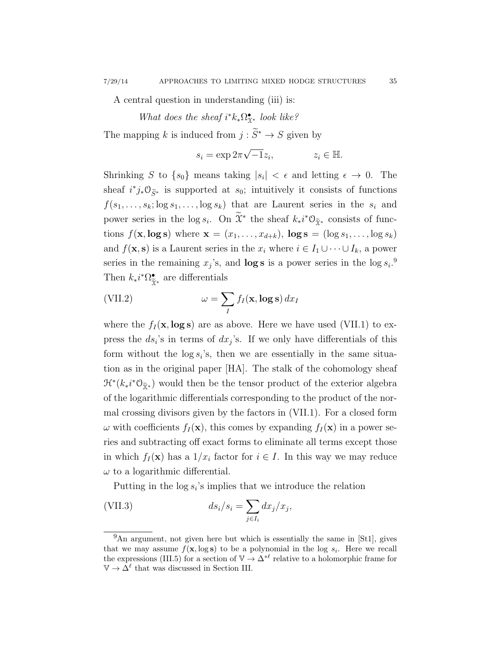A central question in understanding (iii) is:

What does the sheaf  $i^*k_*\Omega_{\mathfrak{X}^*}^{\bullet}$  look like?

The mapping  $k$  is induced from  $j:\widetilde S^*\to S$  given by

$$
s_i = \exp 2\pi \sqrt{-1} z_i, \qquad z_i \in \mathbb{H}.
$$

Shrinking S to  $\{s_0\}$  means taking  $|s_i| < \epsilon$  and letting  $\epsilon \to 0$ . The sheaf  $i^*j_*\mathcal{O}_{\widetilde{S}^*}$  is supported at  $s_0$ ; intuitively it consists of functions  $f(s_1, \ldots, s_k; \log s_1, \ldots, \log s_k)$  that are Laurent series in the  $s_i$  and power series in the log  $s_i$ . On  $\tilde{\chi}^*$  the sheaf  $k_*i^*\mathcal{O}_{\tilde{\chi}^*}$  consists of functions  $f(\mathbf{x}, \log \mathbf{s})$  where  $\mathbf{x} = (x_1, \ldots, x_{d+k})$ ,  $\log \mathbf{s} = (\log s_1, \ldots, \log s_k)$ and  $f(\mathbf{x}, \mathbf{s})$  is a Laurent series in the  $x_i$  where  $i \in I_1 \cup \cdots \cup I_k$ , a power series in the remaining  $x_j$ 's, and **log s** is a power series in the log  $s_i$ <sup>0</sup>. Then  $k_*i^*\Omega^{\bullet}_{\tilde{\gamma}}$  $\frac{•}{\tilde{x}^*}$  are differentials

(VII.2) 
$$
\omega = \sum_{I} f_{I}(\mathbf{x}, \log \mathbf{s}) dx_{I}
$$

where the  $f_I(\mathbf{x}, \log s)$  are as above. Here we have used (VII.1) to express the  $ds_i$ 's in terms of  $dx_j$ 's. If we only have differentials of this form without the  $\log s_i$ 's, then we are essentially in the same situation as in the original paper [HA]. The stalk of the cohomology sheaf  $\mathcal{H}^*(k_*i^*\mathcal{O}_{\widetilde{\mathbb{X}}^*})$  would then be the tensor product of the exterior algebra of the logarithmic differentials corresponding to the product of the normal crossing divisors given by the factors in (VII.1). For a closed form  $\omega$  with coefficients  $f_I(\mathbf{x})$ , this comes by expanding  $f_I(\mathbf{x})$  in a power series and subtracting off exact forms to eliminate all terms except those in which  $f_I(\mathbf{x})$  has a  $1/x_i$  factor for  $i \in I$ . In this way we may reduce  $\omega$  to a logarithmic differential.

Putting in the  $\log s_i$ 's implies that we introduce the relation

(VII.3) 
$$
ds_i/s_i = \sum_{j \in I_i} dx_j/x_j,
$$

<sup>&</sup>lt;sup>9</sup>An argument, not given here but which is essentially the same in [St1], gives that we may assume  $f(\mathbf{x}, \log \mathbf{s})$  to be a polynomial in the log  $s_i$ . Here we recall the expressions (III.5) for a section of  $\mathbb{V} \to \Delta^{*\ell}$  relative to a holomorphic frame for  $\mathbb{V} \to \Delta^{\ell}$  that was discussed in Section III.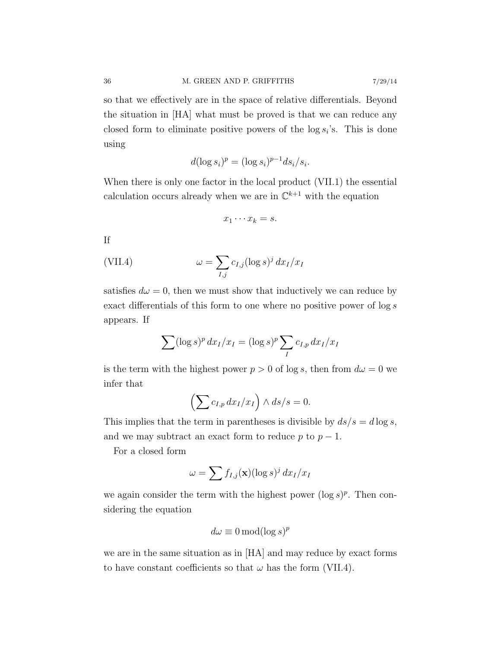so that we effectively are in the space of relative differentials. Beyond the situation in [HA] what must be proved is that we can reduce any closed form to eliminate positive powers of the  $\log s_i$ 's. This is done using

$$
d(\log s_i)^p = (\log s_i)^{p-1} ds_i / s_i.
$$

When there is only one factor in the local product (VII.1) the essential calculation occurs already when we are in  $\mathbb{C}^{k+1}$  with the equation

$$
x_1\cdots x_k=s.
$$

If

(VII.4) 
$$
\omega = \sum_{I,j} c_{I,j} (\log s)^j dx_I/x_I
$$

satisfies  $d\omega = 0$ , then we must show that inductively we can reduce by exact differentials of this form to one where no positive power of log s appears. If

$$
\sum (\log s)^p dx_I/x_I = (\log s)^p \sum_I c_{I,p} dx_I/x_I
$$

is the term with the highest power  $p > 0$  of log s, then from  $d\omega = 0$  we infer that

$$
\left(\sum c_{I,p} dx_I/x_I\right) \wedge ds/s = 0.
$$

This implies that the term in parentheses is divisible by  $ds/s = d \log s$ , and we may subtract an exact form to reduce p to  $p-1$ .

For a closed form

$$
\omega = \sum f_{I,j}(\mathbf{x}) (\log s)^j dx_I/x_I
$$

we again consider the term with the highest power  $(\log s)^p$ . Then considering the equation

$$
d\omega \equiv 0 \mod (\log s)^p
$$

we are in the same situation as in [HA] and may reduce by exact forms to have constant coefficients so that  $\omega$  has the form (VII.4).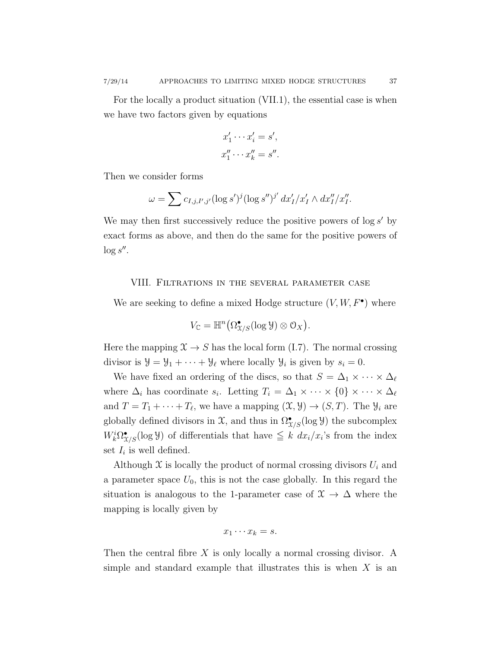For the locally a product situation (VII.1), the essential case is when we have two factors given by equations

$$
x'_1 \cdots x'_i = s',
$$
  

$$
x''_1 \cdots x''_k = s''.
$$

Then we consider forms

$$
\omega = \sum c_{I,j,I',j'} (\log s')^j (\log s'')^{j'} dx'_I/x'_I \wedge dx''_I/x''_I.
$$

We may then first successively reduce the positive powers of  $\log s'$  by exact forms as above, and then do the same for the positive powers of  $\log s''$ .

### VIII. Filtrations in the several parameter case

We are seeking to define a mixed Hodge structure  $(V, W, F^{\bullet})$  where

$$
V_{\mathbb{C}} = \mathbb{H}^n\big(\Omega_{X/S}^{\bullet}(\log \mathcal{Y}) \otimes \mathcal{O}_X\big).
$$

Here the mapping  $\mathfrak{X} \to S$  has the local form (I.7). The normal crossing divisor is  $\mathcal{Y} = \mathcal{Y}_1 + \cdots + \mathcal{Y}_\ell$  where locally  $\mathcal{Y}_i$  is given by  $s_i = 0$ .

We have fixed an ordering of the discs, so that  $S = \Delta_1 \times \cdots \times \Delta_\ell$ where  $\Delta_i$  has coordinate  $s_i$ . Letting  $T_i = \Delta_1 \times \cdots \times \{0\} \times \cdots \times \Delta_\ell$ and  $T = T_1 + \cdots + T_\ell$ , we have a mapping  $(\mathfrak{X}, \mathfrak{Y}) \to (S, T)$ . The  $\mathfrak{Y}_i$  are globally defined divisors in  $\mathfrak{X}$ , and thus in  $\Omega_{\mathfrak{X}/S}^{\bullet}(\log \mathcal{Y})$  the subcomplex  $W_k^i \Omega_{\mathcal{X}/S}^{\bullet}(\log \mathcal{Y})$  of differentials that have  $\leq k \, dx_i/x_i$ 's from the index set  $I_i$  is well defined.

Although  $\mathfrak X$  is locally the product of normal crossing divisors  $U_i$  and a parameter space  $U_0$ , this is not the case globally. In this regard the situation is analogous to the 1-parameter case of  $\mathfrak{X} \to \Delta$  where the mapping is locally given by

$$
x_1\cdots x_k=s.
$$

Then the central fibre  $X$  is only locally a normal crossing divisor. A simple and standard example that illustrates this is when  $X$  is an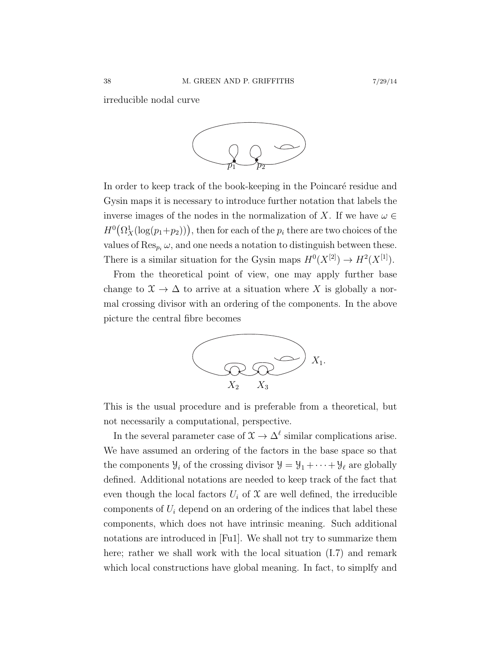irreducible nodal curve



In order to keep track of the book-keeping in the Poincaré residue and Gysin maps it is necessary to introduce further notation that labels the inverse images of the nodes in the normalization of X. If we have  $\omega \in$  $H^0(\Omega^1_X(\log(p_1+p_2)))$ , then for each of the  $p_i$  there are two choices of the values of  $\text{Res}_{p_i} \omega$ , and one needs a notation to distinguish between these. There is a similar situation for the Gysin maps  $H^0(X^{[2]}) \to H^2(X^{[1]})$ .

From the theoretical point of view, one may apply further base change to  $\mathfrak{X} \to \Delta$  to arrive at a situation where X is globally a normal crossing divisor with an ordering of the components. In the above picture the central fibre becomes



This is the usual procedure and is preferable from a theoretical, but not necessarily a computational, perspective.

In the several parameter case of  $\mathfrak{X} \to \Delta^{\ell}$  similar complications arise. We have assumed an ordering of the factors in the base space so that the components  $\mathcal{Y}_i$  of the crossing divisor  $\mathcal{Y} = \mathcal{Y}_1 + \cdots + \mathcal{Y}_\ell$  are globally defined. Additional notations are needed to keep track of the fact that even though the local factors  $U_i$  of  $\mathfrak X$  are well defined, the irreducible components of  $U_i$  depend on an ordering of the indices that label these components, which does not have intrinsic meaning. Such additional notations are introduced in [Fu1]. We shall not try to summarize them here; rather we shall work with the local situation  $(1.7)$  and remark which local constructions have global meaning. In fact, to simplfy and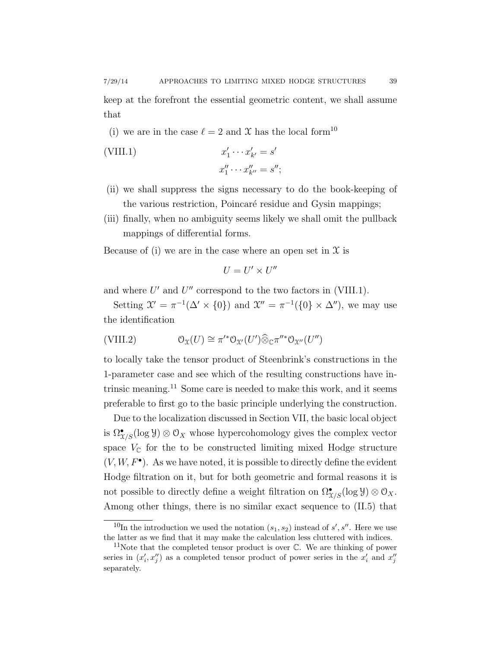keep at the forefront the essential geometric content, we shall assume that

(i) we are in the case  $\ell = 2$  and X has the local form<sup>10</sup>

(VIII.1) 
$$
x'_1 \cdots x'_{k'} = s'
$$

$$
x''_1 \cdots x''_{k''} = s'';
$$

- (ii) we shall suppress the signs necessary to do the book-keeping of the various restriction, Poincaré residue and Gysin mappings;
- (iii) finally, when no ambiguity seems likely we shall omit the pullback mappings of differential forms.

Because of (i) we are in the case where an open set in  $\mathfrak X$  is

$$
U = U' \times U''
$$

and where  $U'$  and  $U''$  correspond to the two factors in (VIII.1).

Setting  $\mathcal{X}' = \pi^{-1}(\Delta' \times \{0\})$  and  $\mathcal{X}'' = \pi^{-1}(\{0\} \times \Delta'')$ , we may use the identification

(VIII.2) OX(U) ∼= π 0∗OX<sup>0</sup>(U 0 )⊗<sup>b</sup> <sup>C</sup><sup>π</sup> 00∗OX<sup>00</sup>(U 00)

to locally take the tensor product of Steenbrink's constructions in the 1-parameter case and see which of the resulting constructions have intrinsic meaning.<sup>11</sup> Some care is needed to make this work, and it seems preferable to first go to the basic principle underlying the construction.

Due to the localization discussed in Section VII, the basic local object is  $\Omega_{\mathfrak{X}/S}^{\bullet}(\log \mathcal{Y})\otimes \mathcal{O}_X$  whose hypercohomology gives the complex vector space  $V_{\mathbb{C}}$  for the to be constructed limiting mixed Hodge structure  $(V, W, F^{\bullet})$ . As we have noted, it is possible to directly define the evident Hodge filtration on it, but for both geometric and formal reasons it is not possible to directly define a weight filtration on  $\Omega_{X/S}^{\bullet}(\log \mathcal{Y})\otimes \mathcal{O}_X$ . Among other things, there is no similar exact sequence to (II.5) that

<sup>&</sup>lt;sup>10</sup>In the introduction we used the notation  $(s_1, s_2)$  instead of s', s''. Here we use the latter as we find that it may make the calculation less cluttered with indices.

<sup>&</sup>lt;sup>11</sup>Note that the completed tensor product is over  $\mathbb{C}$ . We are thinking of power series in  $(x'_i, x''_j)$  as a completed tensor product of power series in the  $x'_i$  and  $x''_j$ separately.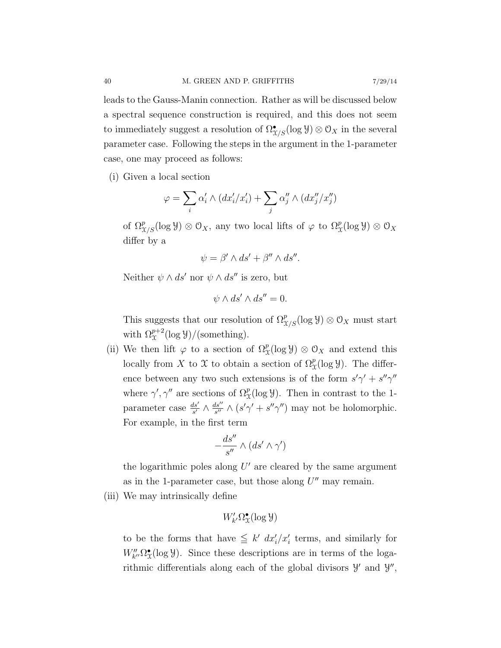leads to the Gauss-Manin connection. Rather as will be discussed below

a spectral sequence construction is required, and this does not seem to immediately suggest a resolution of  $\Omega_{\mathfrak{X}/S}^{\bullet}(\log \mathcal{Y})\otimes \mathcal{O}_X$  in the several parameter case. Following the steps in the argument in the 1-parameter case, one may proceed as follows:

(i) Given a local section

$$
\varphi = \sum_i \alpha'_i \wedge (dx'_i/x'_i) + \sum_j \alpha''_j \wedge (dx''_j/x''_j)
$$

of  $\Omega^p_{\mathfrak{X}/S}(\log \mathcal{Y}) \otimes \mathcal{O}_X$ , any two local lifts of  $\varphi$  to  $\Omega^p_{\mathfrak{X}}(\log \mathcal{Y}) \otimes \mathcal{O}_X$ differ by a

$$
\psi = \beta' \wedge ds' + \beta'' \wedge ds''.
$$

Neither  $\psi \wedge ds'$  nor  $\psi \wedge ds''$  is zero, but

$$
\psi \wedge ds' \wedge ds'' = 0.
$$

This suggests that our resolution of  $\Omega^p_{X/S}(\log \mathcal{Y}) \otimes \mathcal{O}_X$  must start with  $\Omega^{p+2}_\chi(\log \mathcal{Y})/(\text{something}).$ 

(ii) We then lift  $\varphi$  to a section of  $\Omega^p_{\mathcal{X}}(\log \mathcal{Y}) \otimes \mathcal{O}_X$  and extend this locally from X to X to obtain a section of  $\Omega^p_{\mathfrak{X}}(\log \mathcal{Y})$ . The difference between any two such extensions is of the form  $s'\gamma' + s''\gamma''$ where  $\gamma', \gamma''$  are sections of  $\Omega^p_{\mathcal{X}}(\log \mathcal{Y})$ . Then in contrast to the 1parameter case  $\frac{ds'}{s'} \wedge \frac{ds''}{s''}$  $\frac{ds''}{s''} \wedge (s'\gamma' + s''\gamma'')$  may not be holomorphic. For example, in the first term

$$
-\frac{ds''}{s''}\wedge(ds'\wedge\gamma')
$$

the logarithmic poles along  $U'$  are cleared by the same argument as in the 1-parameter case, but those along  $U''$  may remain.

(iii) We may intrinsically define

$$
W'_{k'}\Omega^\bullet_{\mathfrak{X}}(\log \mathcal{Y})
$$

to be the forms that have  $\leq k' dx_i'/x_i'$  terms, and similarly for  $W''_{k''}\Omega^{\bullet}_{\mathfrak{X}}(\log \mathcal{Y})$ . Since these descriptions are in terms of the logarithmic differentials along each of the global divisors  $\mathcal{Y}'$  and  $\mathcal{Y}''$ ,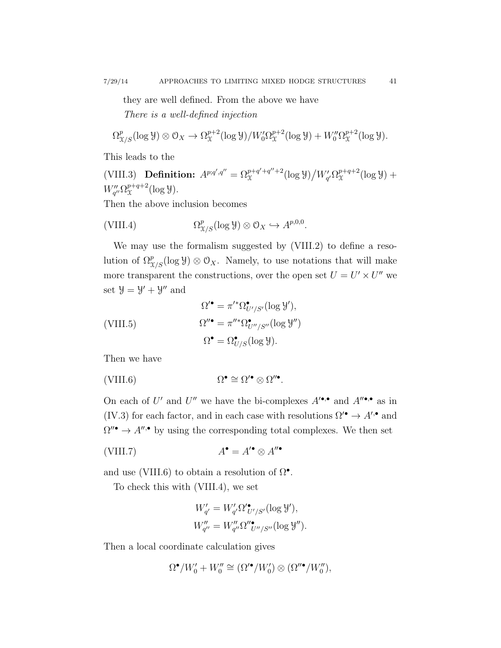they are well defined. From the above we have There is a well-defined injection

$$
\Omega^p_{\mathcal{X}/S}(\log \mathcal{Y}) \otimes \mathcal{O}_X \to \Omega^{p+2}_{\mathcal{X}}(\log \mathcal{Y})/W'_0 \Omega^{p+2}_{\mathcal{X}}(\log \mathcal{Y}) + W''_0 \Omega^{p+2}_{\mathcal{X}}(\log \mathcal{Y}).
$$

This leads to the

(VIII.3) Definition:  $A^{p;q',q''} = \Omega_{\mathcal{X}}^{p+q'+q''+2}$  $\int_{\mathfrak{X}}^{p+q'+q''+2} (\log \mathcal{Y})/W'_{q'} \Omega_{\mathfrak{X}}^{p+q+2}$  $x^{p+q+2}(\log y) +$  $W''_{q''}\Omega^{p+q+2}_{\mathfrak{X}}$  $x^{p+q+2}(\log y).$ 

Then the above inclusion becomes

$$
(VIII.4) \t\t \t\t \Omega_{\mathcal{X}/S}^p(\log \mathcal{Y}) \otimes \mathcal{O}_X \hookrightarrow A^{p,0,0}.
$$

We may use the formalism suggested by (VIII.2) to define a resolution of  $\Omega_{\chi/S}^p(\log \mathcal{Y}) \otimes \mathcal{O}_X$ . Namely, to use notations that will make more transparent the constructions, over the open set  $U = U' \times U''$  we set  $\mathcal{Y} = \mathcal{Y}' + \mathcal{Y}''$  and

$$
\Omega^{\prime \bullet} = \pi^{\prime *} \Omega^{\bullet}_{U^{\prime}/S^{\prime}}(\log \mathcal{Y}^{\prime}),
$$
  
(VIII.5)  

$$
\Omega^{\prime \bullet} = \pi^{\prime \prime *} \Omega^{\bullet}_{U^{\prime}/S^{\prime \prime}}(\log \mathcal{Y}^{\prime \prime})
$$
  

$$
\Omega^{\bullet} = \Omega^{\bullet}_{U/S}(\log \mathcal{Y}).
$$

Then we have

$$
(VIII.6) \t\t \Omega^{\bullet} \cong \Omega^{\prime \bullet} \otimes \Omega^{\prime \prime \bullet}.
$$

On each of U' and U'' we have the bi-complexes  $A^{\prime \bullet,\bullet}$  and  $A^{\prime \bullet,\bullet}$  as in (IV.3) for each factor, and in each case with resolutions  $\Omega^{\prime\bullet} \to A^{\prime\bullet}$  and  $\Omega''$   $\rightarrow$  A''. by using the corresponding total complexes. We then set

$$
A^{\bullet} = A^{\prime \bullet} \otimes A^{\prime \prime \bullet}
$$
 (VIII.7)

and use (VIII.6) to obtain a resolution of  $\Omega^{\bullet}$ .

To check this with (VIII.4), we set

$$
W'_{q'} = W'_{q'} \Omega'_{U'/S'} (\log \mathcal{Y}'),
$$
  

$$
W''_{q''} = W''_{q''} \Omega''_{U''/S''} (\log \mathcal{Y}'').
$$

Then a local coordinate calculation gives

$$
\Omega^{\bullet}/W_0' + W_0'' \cong (\Omega'^{\bullet}/W_0') \otimes (\Omega''^{\bullet}/W_0''),
$$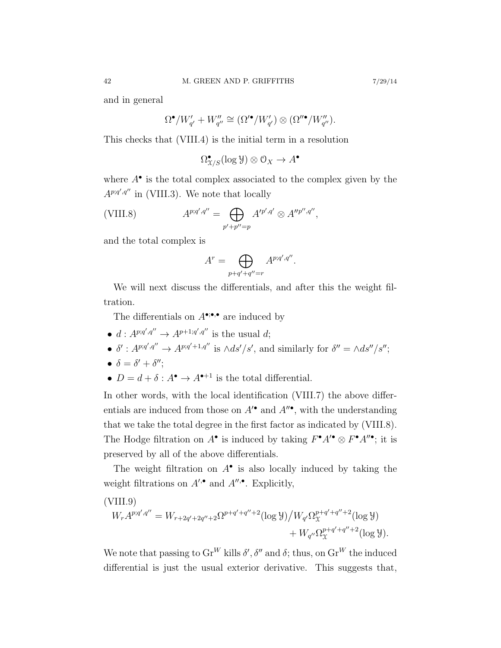and in general

$$
\Omega^{\bullet}/W'_{q'} + W''_{q''} \cong (\Omega'^{\bullet}/W'_{q'}) \otimes (\Omega''^{\bullet}/W''_{q''}).
$$

This checks that (VIII.4) is the initial term in a resolution

$$
\Omega^\bullet_{X/S}(\log \mathcal{Y}) \otimes \mathcal{O}_X \to A^\bullet
$$

where  $A^{\bullet}$  is the total complex associated to the complex given by the  $A^{p;q',q''}$  in (VIII.3). We note that locally

(VIII.8) 
$$
A^{p;q',q''} = \bigoplus_{p'+p''=p} A'^{p',q'} \otimes A''^{p'',q''},
$$

and the total complex is

$$
A^r = \bigoplus_{p+q'+q''=r} A^{p;q',q''}.
$$

We will next discuss the differentials, and after this the weight filtration.

The differentials on  $A^{\bullet; \bullet, \bullet}$  are induced by

- $d: A^{p;q',q''} \to A^{p+1;q',q''}$  is the usual d;
- $\delta' : A^{p;q',q''} \to A^{p;q'+1,q''}$  is  $\wedge ds'/s'$ , and similarly for  $\delta'' = \wedge ds''/s''$ ;
- $\delta = \delta' + \delta'';$
- $D = d + \delta : A^{\bullet} \to A^{\bullet+1}$  is the total differential.

In other words, with the local identification (VIII.7) the above differentials are induced from those on  $A^{\prime\bullet}$  and  $A^{\prime\prime\bullet}$ , with the understanding that we take the total degree in the first factor as indicated by (VIII.8). The Hodge filtration on  $A^{\bullet}$  is induced by taking  $F^{\bullet}A'^{\bullet} \otimes F^{\bullet}A''^{\bullet}$ ; it is preserved by all of the above differentials.

The weight filtration on  $A^{\bullet}$  is also locally induced by taking the weight filtrations on  $A^{\prime,\bullet}$  and  $A^{\prime\prime,\bullet}$ . Explicitly,

(VIII.9)  
\n
$$
W_r A^{p;q',q''} = W_{r+2q'+2q''+2} \Omega^{p+q'+q''+2} (\log \mathcal{Y}) / W_{q'} \Omega_{\mathcal{X}}^{p+q'+q''+2} (\log \mathcal{Y}) + W_{q''} \Omega_{\mathcal{X}}^{p+q'+q''+2} (\log \mathcal{Y}).
$$

We note that passing to  $\text{Gr}^W$  kills  $\delta', \delta''$  and  $\delta$ ; thus, on  $\text{Gr}^W$  the induced differential is just the usual exterior derivative. This suggests that,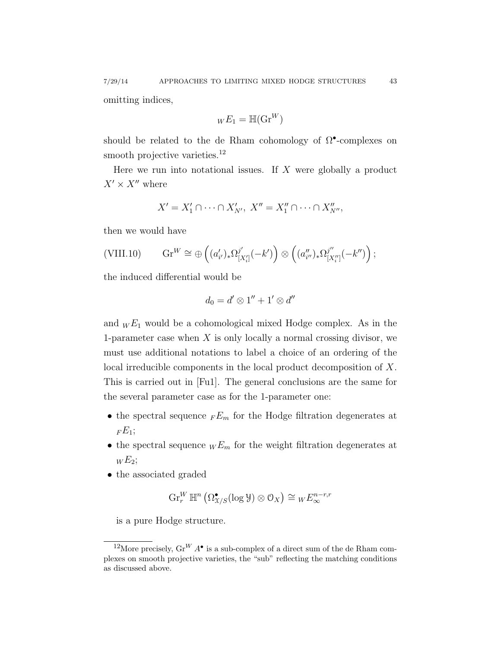omitting indices,

$$
_WE_1=\mathbb{H}(\mathrm{Gr}^W)
$$

should be related to the de Rham cohomology of  $\Omega^{\bullet}$ -complexes on smooth projective varieties.<sup>12</sup>

Here we run into notational issues. If  $X$  were globally a product  $X' \times X''$  where

$$
X'=X'_1\cap\cdots\cap X'_{N'},\ X''=X''_1\cap\cdots\cap X''_{N''},
$$

then we would have

$$
\text{(VIII.10)} \qquad \text{Gr}^W \cong \bigoplus \left( (a'_{i'})_* \Omega^{j'}_{[X'_i]}(-k') \right) \otimes \left( (a''_{i''})_* \Omega^{j''}_{[X''_i]}(-k'') \right);
$$

the induced differential would be

$$
d_0=d'\otimes 1''+1'\otimes d''
$$

and  $_W E_1$  would be a cohomological mixed Hodge complex. As in the 1-parameter case when  $X$  is only locally a normal crossing divisor, we must use additional notations to label a choice of an ordering of the local irreducible components in the local product decomposition of X. This is carried out in [Fu1]. The general conclusions are the same for the several parameter case as for the 1-parameter one:

- $\bullet$  the spectral sequence  $_{F}E_{m}$  for the Hodge filtration degenerates at  $FE_1;$
- the spectral sequence  $\mu E_m$  for the weight filtration degenerates at  $W E_2$ ;
- the associated graded

$$
\operatorname{Gr}_r^W \mathbb{H}^n\left(\Omega^\bullet_{\mathfrak{X}/S}(\log \mathcal{Y}) \otimes \mathcal{O}_X\right) \cong {}_W E^{n-r,r}_\infty
$$

is a pure Hodge structure.

<sup>&</sup>lt;sup>12</sup>More precisely,  $\text{Gr}^W A^{\bullet}$  is a sub-complex of a direct sum of the de Rham complexes on smooth projective varieties, the "sub" reflecting the matching conditions as discussed above.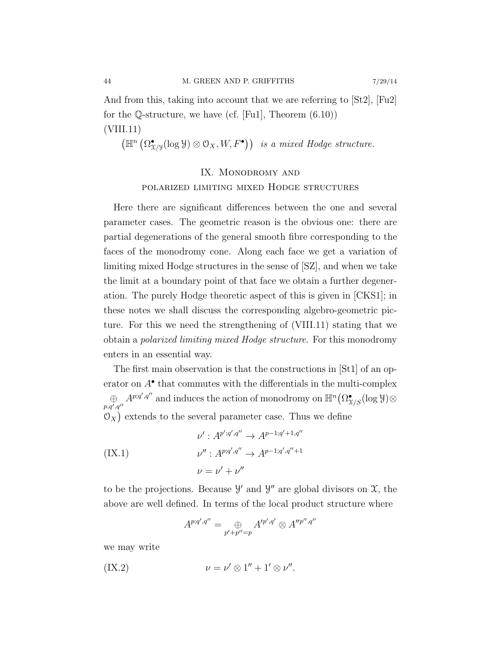And from this, taking into account that we are referring to [St2], [Fu2] for the Q-structure, we have (cf. [Fu1], Theorem  $(6.10)$ ) (VIII.11)

 $(\mathbb{H}^n \left( \Omega^{\bullet}_{\mathfrak{X}/\mathfrak{Y}}(\log \mathcal{Y}) \otimes \mathcal{O}_X, W, F^{\bullet}) \right)$  is a mixed Hodge structure.

# IX. MONODROMY AND polarized limiting mixed Hodge structures

Here there are significant differences between the one and several parameter cases. The geometric reason is the obvious one: there are partial degenerations of the general smooth fibre corresponding to the faces of the monodromy cone. Along each face we get a variation of limiting mixed Hodge structures in the sense of [SZ], and when we take the limit at a boundary point of that face we obtain a further degeneration. The purely Hodge theoretic aspect of this is given in [CKS1]; in these notes we shall discuss the corresponding algebro-geometric picture. For this we need the strengthening of (VIII.11) stating that we obtain a polarized limiting mixed Hodge structure. For this monodromy enters in an essential way.

The first main observation is that the constructions in [St1] of an operator on  $A^{\bullet}$  that commutes with the differentials in the multi-complex  $\bigoplus_{p,q',q''} A^{p;q',q''}$  and induces the action of monodromy on  $\mathbb{H}^n(\Omega^\bullet_{\mathfrak{X}/S}(\log \mathcal{Y})\otimes$  $\mathcal{O}_X$ ) extends to the several parameter case. Thus we define

$$
\nu' : A^{p';q',q''} \to A^{p-1;q'+1,q''}
$$
  
(IX.1)  

$$
\nu'' : A^{p;q',q''} \to A^{p-1;q',q''+1}
$$
  

$$
\nu = \nu' + \nu''
$$

to be the projections. Because  $\mathcal{Y}'$  and  $\mathcal{Y}''$  are global divisors on  $\mathcal{X}$ , the above are well defined. In terms of the local product structure where

$$
A^{p;q',q''} = \bigoplus_{p'+p''=p} A'^{p',q'} \otimes A''^{p'',q''}
$$

we may write

$$
(IX.2) \t\t\t \nu = \nu' \otimes 1'' + 1' \otimes \nu''.
$$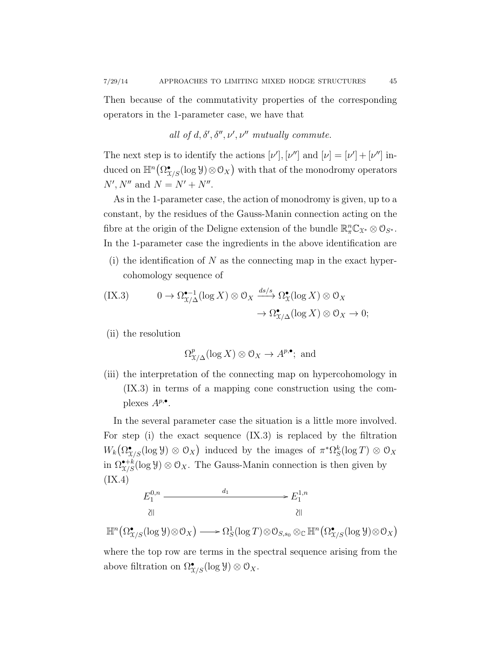Then because of the commutativity properties of the corresponding operators in the 1-parameter case, we have that

all of 
$$
d, \delta', \delta'', \nu', \nu''
$$
 mutually commute.

The next step is to identify the actions  $[\nu'], [\nu'']$  and  $[\nu] = [\nu'] + [\nu'']$  induced on  $\mathbb{H}^n(\Omega^\bullet_{\mathfrak{X}/S}(\log \mathcal{Y})\otimes \mathcal{O}_X)$  with that of the monodromy operators  $N', N''$  and  $N = N' + N''$ .

As in the 1-parameter case, the action of monodromy is given, up to a constant, by the residues of the Gauss-Manin connection acting on the fibre at the origin of the Deligne extension of the bundle  $\mathbb{R}_{\pi}^n \mathbb{C}_{\mathfrak{X}^*} \otimes \mathcal{O}_{S^*}$ . In the 1-parameter case the ingredients in the above identification are

(i) the identification of  $N$  as the connecting map in the exact hypercohomology sequence of

$$
\begin{aligned} \text{(IX.3)} \qquad & 0 \to \Omega_{\mathcal{X}/\Delta}^{\bullet-1}(\log X) \otimes \mathcal{O}_X \xrightarrow{ds/s} \Omega_{\mathcal{X}}^{\bullet}(\log X) \otimes \mathcal{O}_X \\ &\to \Omega_{\mathcal{X}/\Delta}^{\bullet}(\log X) \otimes \mathcal{O}_X \to 0; \end{aligned}
$$

(ii) the resolution

$$
\Omega_{\mathfrak{X}/\Delta}^p(\log X) \otimes \mathfrak{O}_X \to A^{p,\bullet};
$$
 and

(iii) the interpretation of the connecting map on hypercohomology in (IX.3) in terms of a mapping cone construction using the complexes  $A^{p,\bullet}$ .

In the several parameter case the situation is a little more involved. For step (i) the exact sequence (IX.3) is replaced by the filtration  $W_k(\Omega_{X/S}^{\bullet}(\log \mathcal{Y}) \otimes \mathcal{O}_X)$  induced by the images of  $\pi^*\Omega_S^k(\log T) \otimes \mathcal{O}_X$ in  $\Omega^{\bullet+k}_{\mathcal{X}/S}(\log \mathcal{Y})\otimes \mathcal{O}_X$ . The Gauss-Manin connection is then given by (IX.4)



 $\mathbb{H}^n(\Omega^\bullet_{\mathfrak{X}/S}(\log \mathcal{Y}) \otimes \mathcal{O}_X) \longrightarrow \Omega^1_S(\log T) \otimes \mathcal{O}_{S,s_0} \otimes_\mathbb{C} \mathbb{H}^n(\Omega^\bullet_{\mathfrak{X}/S}(\log \mathcal{Y}) \otimes \mathcal{O}_X)$ 

where the top row are terms in the spectral sequence arising from the above filtration on  $\Omega_{X/S}^{\bullet}(\log \mathcal{Y})\otimes \mathcal{O}_X$ .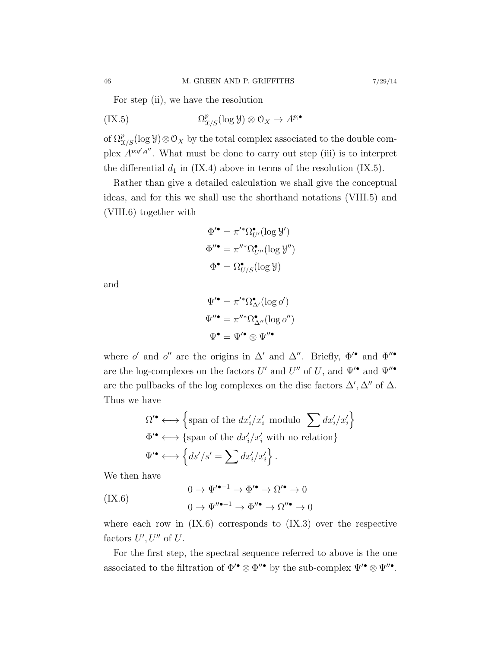For step (ii), we have the resolution

$$
(IX.5) \t\t \t\t \t\t \Omega_{\mathcal{X}/S}^p(\log \mathcal{Y}) \otimes \mathcal{O}_X \to A^{p; \bullet}
$$

of  $\Omega_{\mathfrak{X}/S}^p(\log \mathcal{Y})\otimes \mathcal{O}_X$  by the total complex associated to the double complex  $A^{p;q',q''}$ . What must be done to carry out step (iii) is to interpret the differential  $d_1$  in (IX.4) above in terms of the resolution (IX.5).

Rather than give a detailed calculation we shall give the conceptual ideas, and for this we shall use the shorthand notations (VIII.5) and (VIII.6) together with

$$
\Phi^{\prime \bullet} = \pi^{\prime *} \Omega_{U'}^{\bullet} (\log \mathcal{Y'})
$$

$$
\Phi^{\prime \prime \bullet} = \pi^{\prime \prime *} \Omega_{U''}^{\bullet} (\log \mathcal{Y''})
$$

$$
\Phi^{\bullet} = \Omega_{U/S}^{\bullet} (\log \mathcal{Y})
$$

and

$$
\Psi^{\prime \bullet} = \pi^{\prime *} \Omega^{\bullet}_{\Delta^{\prime}}(\log o^{\prime})
$$

$$
\Psi^{\prime \bullet} = \pi^{\prime \prime *} \Omega^{\bullet}_{\Delta^{\prime \prime}}(\log o^{\prime \prime})
$$

$$
\Psi^{\bullet} = \Psi^{\prime \bullet} \otimes \Psi^{\prime \prime \bullet}
$$

where o' and o" are the origins in  $\Delta'$  and  $\Delta''$ . Briefly,  $\Phi'^{\bullet}$  and  $\Phi''^{\bullet}$ are the log-complexes on the factors  $U'$  and  $U''$  of  $U$ , and  $\Psi'^{\bullet}$  and  $\Psi''^{\bullet}$ are the pullbacks of the log complexes on the disc factors  $\Delta', \Delta''$  of  $\Delta$ . Thus we have

$$
\Omega^{\prime \bullet} \longleftrightarrow \left\{ \text{span of the } dx_i'/x_i' \text{ modulo } \sum dx_i'/x_i' \right\}
$$
  

$$
\Phi^{\prime \bullet} \longleftrightarrow \left\{ \text{span of the } dx_i'/x_i' \text{ with no relation} \right\}
$$
  

$$
\Psi^{\prime \bullet} \longleftrightarrow \left\{ ds'/s' = \sum dx_i'/x_i' \right\}.
$$

We then have

$$
(IX.6) \qquad \qquad 0 \to \Psi'^{\bullet -1} \to \Phi'^{\bullet} \to \Omega'^{\bullet} \to 0
$$

$$
0 \to \Psi''^{\bullet -1} \to \Phi''^{\bullet} \to \Omega''^{\bullet} \to 0
$$

where each row in  $(IX.6)$  corresponds to  $(IX.3)$  over the respective factors  $U', U''$  of  $U$ .

For the first step, the spectral sequence referred to above is the one associated to the filtration of  $\Phi^{\prime\bullet} \otimes \Phi^{\prime\prime\bullet}$  by the sub-complex  $\Psi^{\prime\bullet} \otimes \Psi^{\prime\prime\bullet}$ .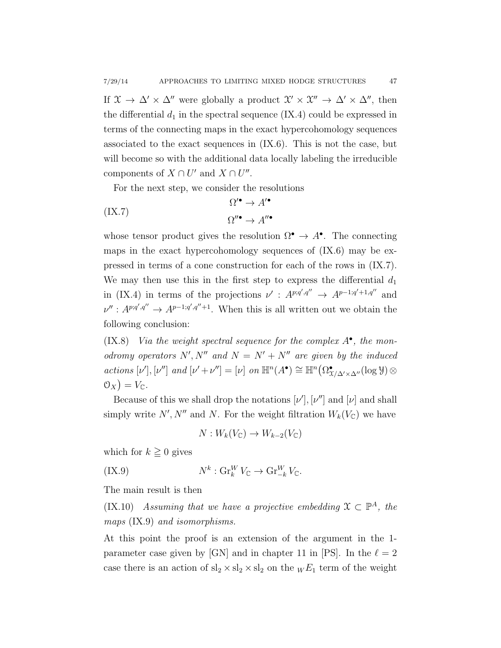If  $\mathfrak{X} \to \Delta' \times \Delta''$  were globally a product  $\mathfrak{X}' \times \mathfrak{X}'' \to \Delta' \times \Delta''$ , then the differential  $d_1$  in the spectral sequence (IX.4) could be expressed in terms of the connecting maps in the exact hypercohomology sequences associated to the exact sequences in (IX.6). This is not the case, but will become so with the additional data locally labeling the irreducible components of  $X \cap U'$  and  $X \cap U''$ .

For the next step, we consider the resolutions

$$
\Omega^{\prime \bullet} \to A^{\prime \bullet}
$$
  

$$
\Omega^{\prime \bullet} \to A^{\prime \bullet}
$$
  

$$
\Omega^{\prime \bullet} \to A^{\prime \bullet}
$$

whose tensor product gives the resolution  $\Omega^{\bullet} \to A^{\bullet}$ . The connecting maps in the exact hypercohomology sequences of (IX.6) may be expressed in terms of a cone construction for each of the rows in (IX.7). We may then use this in the first step to express the differential  $d_1$ in (IX.4) in terms of the projections  $\nu'$ :  $A^{p;q',q''} \rightarrow A^{p-1;q'+1,q''}$  and  $\nu'' : A^{p;q',q''} \to A^{p-1;q',q''+1}$ . When this is all written out we obtain the following conclusion:

(IX.8) Via the weight spectral sequence for the complex  $A^{\bullet}$ , the monodromy operators N', N'' and  $N = N' + N''$  are given by the induced actions  $[\nu'], [\nu'']$  and  $[\nu' + \nu''] = [\nu]$  on  $\mathbb{H}^n(A^{\bullet}) \cong \mathbb{H}^n(\Omega^{\bullet}_{\chi/\Delta' \times \Delta''}(\log \mathcal{Y}) \otimes$  $\mathfrak{O}_X$  =  $V_{\mathbb{C}}$ .

Because of this we shall drop the notations  $[\nu'], [\nu'']$  and  $[\nu]$  and shall simply write  $N', N''$  and N. For the weight filtration  $W_k(V_{\mathbb{C}})$  we have

$$
N: W_k(V_{\mathbb{C}}) \to W_{k-2}(V_{\mathbb{C}})
$$

which for  $k \geq 0$  gives

(IX.9) 
$$
N^k: \operatorname{Gr}_k^W V_{\mathbb{C}} \to \operatorname{Gr}_{-k}^W V_{\mathbb{C}}.
$$

The main result is then

(IX.10) Assuming that we have a projective embedding  $\mathfrak{X} \subset \mathbb{P}^A$ , the maps (IX.9) and isomorphisms.

At this point the proof is an extension of the argument in the 1 parameter case given by [GN] and in chapter 11 in [PS]. In the  $\ell = 2$ case there is an action of  $sl_2 \times sl_2 \times sl_2$  on the  $w E_1$  term of the weight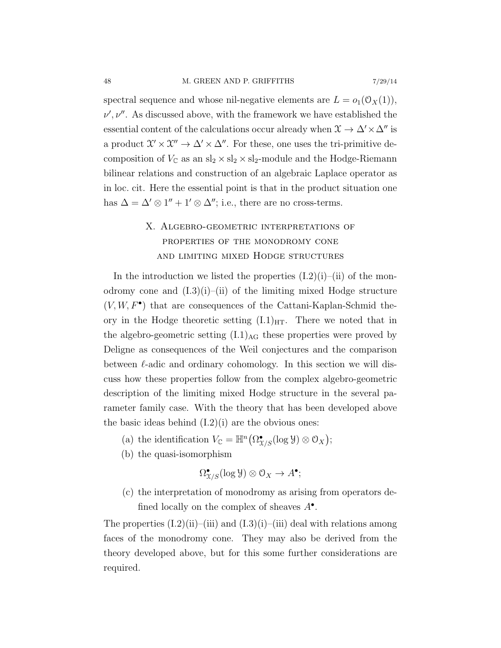spectral sequence and whose nil-negative elements are  $L = o_1(\mathcal{O}_X(1)),$  $\nu', \nu''$ . As discussed above, with the framework we have established the essential content of the calculations occur already when  $\mathfrak{X} \to \Delta' \times \Delta''$  is a product  $\mathfrak{X}' \times \mathfrak{X}'' \to \Delta' \times \Delta''$ . For these, one uses the tri-primitive decomposition of  $V_\mathbb{C}$  as an  $\mathrm{sl}_2 \times \mathrm{sl}_2 \times \mathrm{sl}_2\text{-module}$  and the Hodge-Riemann bilinear relations and construction of an algebraic Laplace operator as in loc. cit. Here the essential point is that in the product situation one has  $\Delta = \Delta' \otimes 1'' + 1' \otimes \Delta''$ ; i.e., there are no cross-terms.

# X. Algebro-geometric interpretations of properties of the monodromy cone and limiting mixed Hodge structures

In the introduction we listed the properties  $(I.2)(i)$ – $(ii)$  of the monodromy cone and  $(I.3)(i)$ –(ii) of the limiting mixed Hodge structure  $(V, W, F^{\bullet})$  that are consequences of the Cattani-Kaplan-Schmid theory in the Hodge theoretic setting  $(I.1)_{HT}$ . There we noted that in the algebro-geometric setting  $(L1)_{AG}$  these properties were proved by Deligne as consequences of the Weil conjectures and the comparison between  $\ell$ -adic and ordinary cohomology. In this section we will discuss how these properties follow from the complex algebro-geometric description of the limiting mixed Hodge structure in the several parameter family case. With the theory that has been developed above the basic ideas behind  $(L2)(i)$  are the obvious ones:

- (a) the identification  $V_{\mathbb{C}} = \mathbb{H}^n(\Omega^\bullet_{\mathfrak{X}/S}(\log \mathcal{Y}) \otimes \mathcal{O}_X);$
- (b) the quasi-isomorphism

$$
\Omega_{\mathfrak{X}/S}^{\bullet}(\log \mathcal{Y}) \otimes \mathcal{O}_X \to A^{\bullet};
$$

(c) the interpretation of monodromy as arising from operators defined locally on the complex of sheaves  $A^{\bullet}$ .

The properties  $(1.2)(ii)$ – $(iii)$  and  $(1.3)(i)$ – $(iii)$  deal with relations among faces of the monodromy cone. They may also be derived from the theory developed above, but for this some further considerations are required.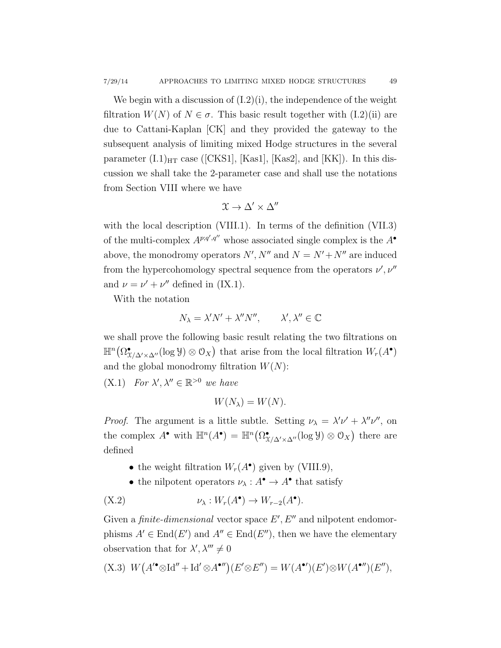We begin with a discussion of  $(L2)(i)$ , the independence of the weight filtration  $W(N)$  of  $N \in \sigma$ . This basic result together with  $(I.2)(ii)$  are due to Cattani-Kaplan [CK] and they provided the gateway to the subsequent analysis of limiting mixed Hodge structures in the several parameter  $(I.1)_{\text{HT}}$  case ([CKS1], [Kas1], [Kas2], and [KK]). In this discussion we shall take the 2-parameter case and shall use the notations from Section VIII where we have

$$
\mathfrak{X}\to\Delta'\times\Delta''
$$

with the local description (VIII.1). In terms of the definition (VII.3) of the multi-complex  $A^{p;q',q''}$  whose associated single complex is the  $A^{\bullet}$ above, the monodromy operators  $N', N''$  and  $N = N' + N''$  are induced from the hypercohomology spectral sequence from the operators  $\nu', \nu''$ and  $\nu = \nu' + \nu''$  defined in (IX.1).

With the notation

$$
N_{\lambda} = \lambda' N' + \lambda'' N'', \qquad \lambda', \lambda'' \in \mathbb{C}
$$

we shall prove the following basic result relating the two filtrations on  $\mathbb{H}^n(\Omega_{X/\Delta'\times \Delta''}^{\bullet}(\log \mathcal{Y})\otimes \mathcal{O}_X)$  that arise from the local filtration  $W_r(A^{\bullet})$ and the global monodromy filtration  $W(N)$ :

(X.1) For  $\lambda', \lambda'' \in \mathbb{R}^{>0}$  we have

$$
W(N_{\lambda})=W(N).
$$

*Proof.* The argument is a little subtle. Setting  $\nu_{\lambda} = \lambda' \nu' + \lambda'' \nu''$ , on the complex  $A^{\bullet}$  with  $\mathbb{H}^n(A^{\bullet}) = \mathbb{H}^n(\Omega^{\bullet}_{X/\Delta' \times \Delta''}(\log \mathcal{Y}) \otimes \mathcal{O}_X)$  there are defined

- the weight filtration  $W_r(A^{\bullet})$  given by (VIII.9),
- the nilpotent operators  $\nu_{\lambda}: A^{\bullet} \to A^{\bullet}$  that satisfy

(X.2)  $\nu_{\lambda}: W_r(A^{\bullet}) \to W_{r-2}(A^{\bullet}).$ 

Given a finite-dimensional vector space  $E', E''$  and nilpotent endomorphisms  $A' \in End(E')$  and  $A'' \in End(E'')$ , then we have the elementary observation that for  $\lambda', \lambda''' \neq 0$ 

$$
(X.3) W(A^{\prime\bullet} \otimes \mathrm{Id}^{\prime\prime} + \mathrm{Id}^{\prime} \otimes A^{\bullet\prime\prime})(E^{\prime} \otimes E^{\prime\prime}) = W(A^{\bullet\prime})(E^{\prime}) \otimes W(A^{\bullet\prime\prime})(E^{\prime\prime}),
$$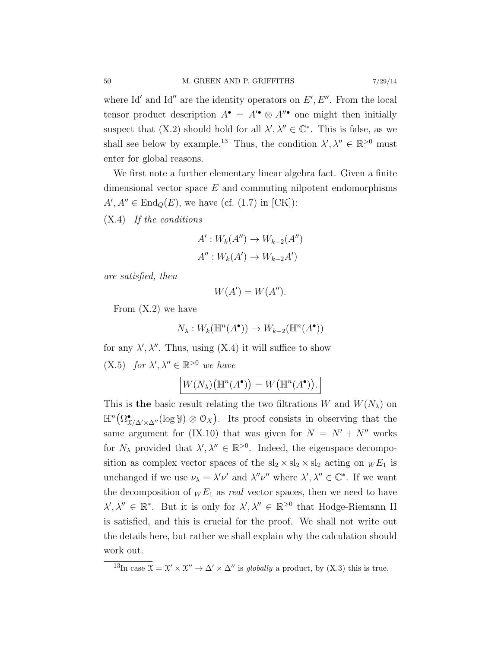where Id' and Id" are the identity operators on  $E', E''$ . From the local tensor product description  $A^{\bullet} = A^{\prime \bullet} \otimes A^{\prime \prime \bullet}$  one might then initially suspect that  $(X.2)$  should hold for all  $\lambda', \lambda'' \in \mathbb{C}^*$ . This is false, as we shall see below by example.<sup>13</sup> Thus, the condition  $\lambda', \lambda'' \in \mathbb{R}^{>0}$  must enter for global reasons.

We first note a further elementary linear algebra fact. Given a finite dimensional vector space  $E$  and commuting nilpotent endomorphisms  $A, A'' \in \text{End}_{Q}(E)$ , we have (cf. (1.7) in [CK]):

(X.4) If the conditions

$$
A': W_k(A'') \to W_{k-2}(A'')
$$
  

$$
A'': W_k(A') \to W_{k-2}A')
$$

are satisfied, then

 $W(A') = W(A'').$ 

From (X.2) we have

$$
N_{\lambda}: W_k(\mathbb{H}^n(A^{\bullet})) \to W_{k-2}(\mathbb{H}^n(A^{\bullet}))
$$

for any  $\lambda', \lambda''$ . Thus, using (X.4) it will suffice to show

(X.5) for  $\lambda', \lambda'' \in \mathbb{R}^{>0}$  we have

$$
W(N_{\lambda})(\mathbb{H}^n(A^{\bullet})) = W(\mathbb{H}^n(A^{\bullet})).
$$

This is the basic result relating the two filtrations W and  $W(N_\lambda)$  on  $\mathbb{H}^n(\Omega_{X/\Delta'\times \Delta''}^{\bullet}(\log \mathcal{Y})\otimes \mathcal{O}_X).$  Its proof consists in observing that the same argument for (IX.10) that was given for  $N = N' + N''$  works for  $N_{\lambda}$  provided that  $\lambda', \lambda'' \in \mathbb{R}^{>0}$ . Indeed, the eigenspace decomposition as complex vector spaces of the  $sl_2 \times sl_2 \times sl_2$  acting on  $_W E_1$  is unchanged if we use  $\nu_{\lambda} = \lambda' \nu'$  and  $\lambda'' \nu''$  where  $\lambda', \lambda'' \in \mathbb{C}^*$ . If we want the decomposition of  $W E_1$  as real vector spaces, then we need to have  $\lambda', \lambda'' \in \mathbb{R}^*$ . But it is only for  $\lambda', \lambda'' \in \mathbb{R}^{>0}$  that Hodge-Riemann II is satisfied, and this is crucial for the proof. We shall not write out the details here, but rather we shall explain why the calculation should work out.

<sup>&</sup>lt;sup>13</sup>In case  $\mathfrak{X} = \mathfrak{X}' \times \mathfrak{X}'' \to \Delta' \times \Delta''$  is globally a product, by (X.3) this is true.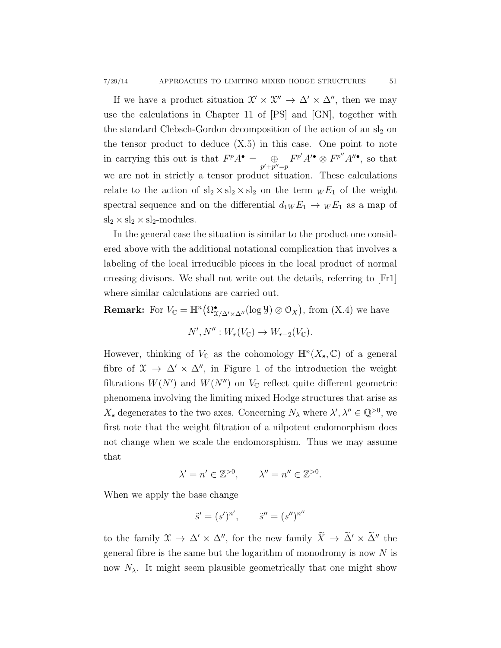If we have a product situation  $\mathcal{X}' \times \mathcal{X}'' \to \Delta' \times \Delta''$ , then we may use the calculations in Chapter 11 of [PS] and [GN], together with the standard Clebsch-Gordon decomposition of the action of an  $sl_2$  on the tensor product to deduce  $(X.5)$  in this case. One point to note in carrying this out is that  $F^pA^{\bullet} = \bigoplus_{p'+p''=p} F^{p'}A'^{\bullet} \otimes F^{p''}A''^{\bullet}$ , so that we are not in strictly a tensor product situation. These calculations relate to the action of  $sl_2 \times sl_2 \times sl_2$  on the term  $W E_1$  of the weight spectral sequence and on the differential  $d_{1W} E_1 \rightarrow W E_1$  as a map of  $sl_2 \times sl_2 \times sl_2$ -modules.

In the general case the situation is similar to the product one considered above with the additional notational complication that involves a labeling of the local irreducible pieces in the local product of normal crossing divisors. We shall not write out the details, referring to [Fr1] where similar calculations are carried out.

**Remark:** For  $V_{\mathbb{C}} = \mathbb{H}^n(\Omega_{\mathfrak{X}/\Delta' \times \Delta''}^{\bullet}(\log \mathcal{Y}) \otimes \mathcal{O}_X)$ , from  $(X.4)$  we have

 $N', N'': W_r(V_{\mathbb{C}}) \to W_{r-2}(V_{\mathbb{C}}).$ 

However, thinking of  $V_{\mathbb{C}}$  as the cohomology  $\mathbb{H}^n(X_{\mathbf{s}},\mathbb{C})$  of a general fibre of  $\mathfrak{X} \to \Delta' \times \Delta''$ , in Figure 1 of the introduction the weight filtrations  $W(N')$  and  $W(N'')$  on  $V_{\mathbb{C}}$  reflect quite different geometric phenomena involving the limiting mixed Hodge structures that arise as  $X_{s}$  degenerates to the two axes. Concerning  $N_{\lambda}$  where  $\lambda', \lambda'' \in \mathbb{Q}^{>0}$ , we first note that the weight filtration of a nilpotent endomorphism does not change when we scale the endomorsphism. Thus we may assume that

$$
\lambda' = n' \in \mathbb{Z}^{>0}, \qquad \lambda'' = n'' \in \mathbb{Z}^{>0}.
$$

When we apply the base change

$$
\tilde{s}' = (s')^{n'}, \qquad \tilde{s}'' = (s'')^{n''}
$$

to the family  $\mathfrak{X} \to \Delta' \times \Delta''$ , for the new family  $\widetilde{X} \to \widetilde{\Delta}' \times \widetilde{\Delta}''$  the general fibre is the same but the logarithm of monodromy is now  $N$  is now  $N_{\lambda}$ . It might seem plausible geometrically that one might show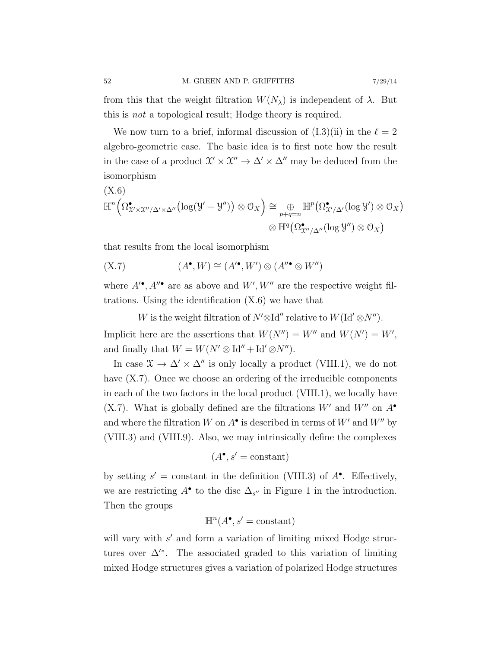from this that the weight filtration  $W(N_\lambda)$  is independent of  $\lambda$ . But this is not a topological result; Hodge theory is required.

We now turn to a brief, informal discussion of  $(I.3)(ii)$  in the  $\ell = 2$ algebro-geometric case. The basic idea is to first note how the result in the case of a product  $\mathcal{X}' \times \mathcal{X}'' \to \Delta' \times \Delta''$  may be deduced from the isomorphism

$$
(X.6)
$$
  

$$
\mathbb{H}^{n} \Big(\Omega^{\bullet}_{X' \times X''/\Delta' \times \Delta''} \big( \log(\mathcal{Y} + \mathcal{Y}'') \big) \otimes \mathcal{O}_{X} \Big) \cong \bigoplus_{p+q=n} \mathbb{H}^{p} \big( \Omega^{\bullet}_{X'/\Delta'} (\log \mathcal{Y}') \otimes \mathcal{O}_{X} \big)
$$
  

$$
\otimes \mathbb{H}^{q} \big( \Omega^{\bullet}_{X''/\Delta''} (\log \mathcal{Y}'') \otimes \mathcal{O}_{X} \big)
$$

that results from the local isomorphism

$$
(X.7) \qquad (A^{\bullet}, W) \cong (A^{\prime \bullet}, W^{\prime}) \otimes (A^{\prime \prime \bullet} \otimes W^{\prime \prime})
$$

where  $A^{\prime\bullet}$ ,  $A^{\prime\prime\bullet}$  are as above and  $W^{\prime}, W^{\prime\prime}$  are the respective weight filtrations. Using the identification  $(X.6)$  we have that

W is the weight filtration of  $N' \otimes \mathrm{Id}''$  relative to  $W(\mathrm{Id}' \otimes N'')$ . Implicit here are the assertions that  $W(N'') = W''$  and  $W(N') = W'$ , and finally that  $W = W(N' \otimes \text{Id}'' + \text{Id}' \otimes N'')$ .

In case  $\mathfrak{X} \to \Delta' \times \Delta''$  is only locally a product (VIII.1), we do not have  $(X.7)$ . Once we choose an ordering of the irreducible components in each of the two factors in the local product (VIII.1), we locally have (X.7). What is globally defined are the filtrations  $W'$  and  $W''$  on  $A^{\bullet}$ and where the filtration W on  $A^{\bullet}$  is described in terms of W' and W" by (VIII.3) and (VIII.9). Also, we may intrinsically define the complexes

$$
(A^{\bullet}, s' = \text{constant})
$$

by setting  $s' = constant$  in the definition (VIII.3) of  $A^{\bullet}$ . Effectively, we are restricting  $A^{\bullet}$  to the disc  $\Delta_{s''}$  in Figure 1 in the introduction. Then the groups

$$
\mathbb{H}^n(A^\bullet, s' = \text{constant})
$$

will vary with  $s'$  and form a variation of limiting mixed Hodge structures over  $\Delta^{\prime\ast}$ . The associated graded to this variation of limiting mixed Hodge structures gives a variation of polarized Hodge structures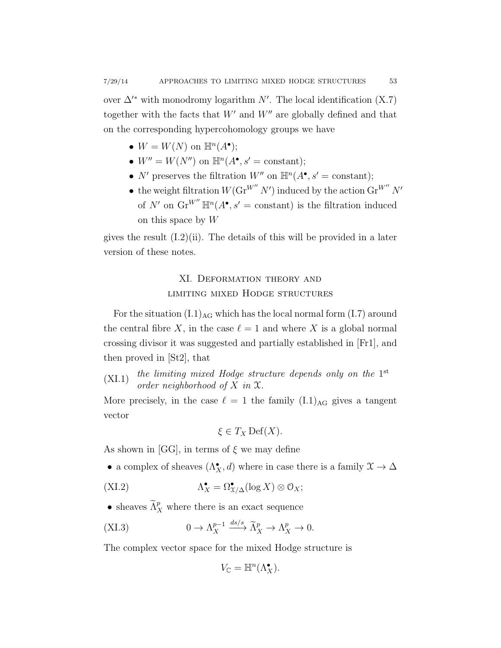over  $\Delta'^*$  with monodromy logarithm N'. The local identification (X.7) together with the facts that  $W'$  and  $W''$  are globally defined and that on the corresponding hypercohomology groups we have

- $W = W(N)$  on  $\mathbb{H}^n(A^{\bullet});$
- $W'' = W(N'')$  on  $\mathbb{H}^n(A^{\bullet}, s' = \text{constant});$
- N' preserves the filtration  $W''$  on  $\mathbb{H}^n(A^{\bullet}, s' = \text{constant});$
- the weight filtration  $W(\text{Gr}^{W''} N')$  induced by the action  $\text{Gr}^{W''} N'$ of N' on  $\operatorname{Gr}^{W''} \mathbb{H}^n(A^{\bullet}, s' = \text{constant})$  is the filtration induced on this space by  $W$

gives the result  $(1.2)(ii)$ . The details of this will be provided in a later version of these notes.

## XI. Deformation theory and limiting mixed Hodge structures

For the situation  $(L.1)_{AG}$  which has the local normal form  $(L.7)$  around the central fibre X, in the case  $\ell = 1$  and where X is a global normal crossing divisor it was suggested and partially established in [Fr1], and then proved in [St2], that

(XI.1) the limiting mixed Hodge structure depends only on the 1<sup>st</sup> order neighborhood of  $X$  in  $\mathfrak{X}$ .

More precisely, in the case  $\ell = 1$  the family  $(I.1)_{AG}$  gives a tangent vector

$$
\xi \in T_X \operatorname{Def}(X).
$$

As shown in [GG], in terms of  $\xi$  we may define

• a complex of sheaves  $(\Lambda_X^{\bullet}, d)$  where in case there is a family  $\mathfrak{X} \to \Delta$ 

$$
\Lambda_X^{\bullet} = \Omega_{X/\Delta}^{\bullet}(\log X) \otimes \mathcal{O}_X;
$$

• sheaves  $\widetilde{\Lambda}^p_X$  where there is an exact sequence

$$
\text{(XI.3)} \quad 0 \to \Lambda_X^{p-1} \xrightarrow{ds/s} \widetilde{\Lambda}_X^p \to \Lambda_X^p \to 0.
$$

The complex vector space for the mixed Hodge structure is

$$
V_{\mathbb{C}} = \mathbb{H}^n(\Lambda_X^{\bullet}).
$$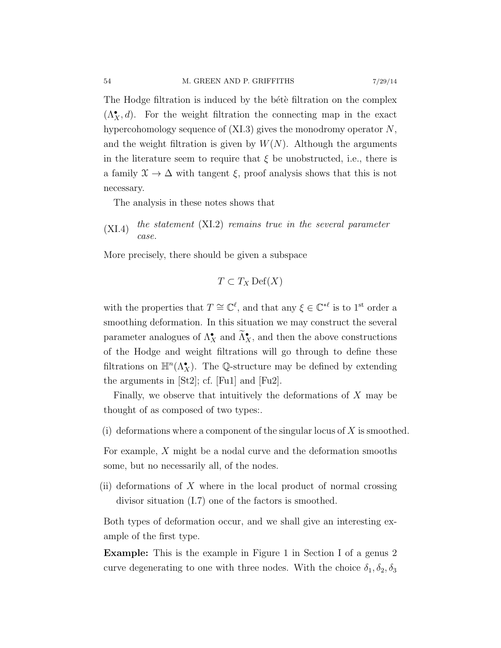The Hodge filtration is induced by the bete filtration on the complex  $(\Lambda_X^{\bullet}, d)$ . For the weight filtration the connecting map in the exact hypercohomology sequence of  $(XI.3)$  gives the monodromy operator  $N$ , and the weight filtration is given by  $W(N)$ . Although the arguments in the literature seem to require that  $\xi$  be unobstructed, i.e., there is a family  $\mathfrak{X} \to \Delta$  with tangent  $\xi$ , proof analysis shows that this is not necessary.

The analysis in these notes shows that

 $(XI.4)$  the statement  $(XI.2)$  remains true in the several parameter case.

More precisely, there should be given a subspace

$$
T \subset T_X \operatorname{Def}(X)
$$

with the properties that  $T \cong \mathbb{C}^{\ell}$ , and that any  $\xi \in \mathbb{C}^{*\ell}$  is to 1<sup>st</sup> order a smoothing deformation. In this situation we may construct the several parameter analogues of  $\Lambda_X^{\bullet}$  and  $\tilde{\Lambda}_X^{\bullet}$ , and then the above constructions of the Hodge and weight filtrations will go through to define these filtrations on  $\mathbb{H}^n(\Lambda^\bullet_X)$ . The Q-structure may be defined by extending the arguments in [St2]; cf. [Fu1] and [Fu2].

Finally, we observe that intuitively the deformations of  $X$  may be thought of as composed of two types:.

(i) deformations where a component of the singular locus of  $X$  is smoothed.

For example, X might be a nodal curve and the deformation smooths some, but no necessarily all, of the nodes.

(ii) deformations of  $X$  where in the local product of normal crossing divisor situation (I.7) one of the factors is smoothed.

Both types of deformation occur, and we shall give an interesting example of the first type.

Example: This is the example in Figure 1 in Section I of a genus 2 curve degenerating to one with three nodes. With the choice  $\delta_1, \delta_2, \delta_3$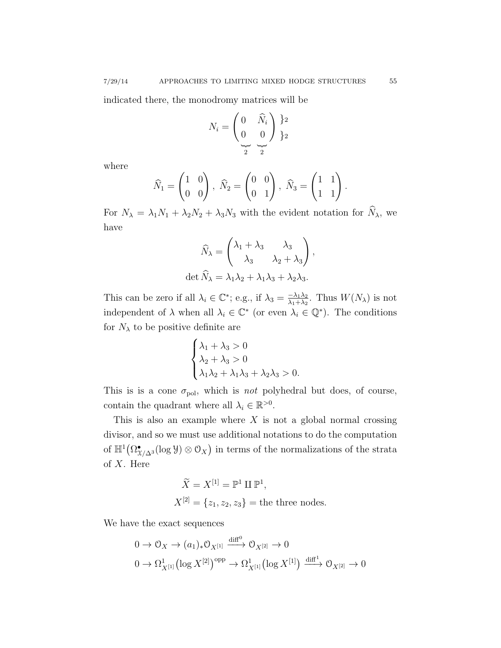indicated there, the monodromy matrices will be

$$
N_i = \begin{pmatrix} 0 & \widehat{N}_i \\ 0 & 0 \end{pmatrix} \begin{matrix} 1 \\ 2 \\ 3 \end{matrix}
$$

where

$$
\widehat{N}_1 = \begin{pmatrix} 1 & 0 \\ 0 & 0 \end{pmatrix}, \ \widehat{N}_2 = \begin{pmatrix} 0 & 0 \\ 0 & 1 \end{pmatrix}, \ \widehat{N}_3 = \begin{pmatrix} 1 & 1 \\ 1 & 1 \end{pmatrix}
$$

For  $N_{\lambda} = \lambda_1 N_1 + \lambda_2 N_2 + \lambda_3 N_3$  with the evident notation for  $\widehat{N}_{\lambda}$ , we have

$$
\widehat{N}_{\lambda} = \begin{pmatrix} \lambda_1 + \lambda_3 & \lambda_3 \\ \lambda_3 & \lambda_2 + \lambda_3 \end{pmatrix},
$$
  
det  $\widehat{N}_{\lambda} = \lambda_1 \lambda_2 + \lambda_1 \lambda_3 + \lambda_2 \lambda_3.$ 

This can be zero if all  $\lambda_i \in \mathbb{C}^*$ ; e.g., if  $\lambda_3 = \frac{-\lambda_1 \lambda_2}{\lambda_1 + \lambda_2}$  $\frac{-\lambda_1\lambda_2}{\lambda_1+\lambda_2}$ . Thus  $W(N_\lambda)$  is not independent of  $\lambda$  when all  $\lambda_i \in \mathbb{C}^*$  (or even  $\lambda_i \in \mathbb{Q}^*$ ). The conditions for  $N_{\lambda}$  to be positive definite are

$$
\begin{cases} \lambda_1 + \lambda_3 > 0 \\ \lambda_2 + \lambda_3 > 0 \\ \lambda_1 \lambda_2 + \lambda_1 \lambda_3 + \lambda_2 \lambda_3 > 0. \end{cases}
$$

This is is a cone  $\sigma_{pol}$ , which is *not* polyhedral but does, of course, contain the quadrant where all  $\lambda_i \in \mathbb{R}^{>0}$ .

This is also an example where  $X$  is not a global normal crossing divisor, and so we must use additional notations to do the computation of  $\mathbb{H}^1(\Omega^\bullet_{\mathfrak{X}/\Delta^3}(\log \mathcal{Y})\otimes \mathcal{O}_X)$  in terms of the normalizations of the strata of X. Here

$$
\widetilde{X} = X^{[1]} = \mathbb{P}^1 \amalg \mathbb{P}^1,
$$
  

$$
X^{[2]} = \{z_1, z_2, z_3\} = \text{the three nodes.}
$$

We have the exact sequences

$$
0 \to \mathcal{O}_X \to (a_1)_*\mathcal{O}_{X^{[1]}} \xrightarrow{\text{diff}^0} \mathcal{O}_{X^{[2]}} \to 0
$$
  

$$
0 \to \Omega^1_{X^{[1]}} (\log X^{[2]})^{\text{opp}} \to \Omega^1_{X^{[1]}} (\log X^{[1]}) \xrightarrow{\text{diff}^1} \mathcal{O}_{X^{[2]}} \to 0
$$

.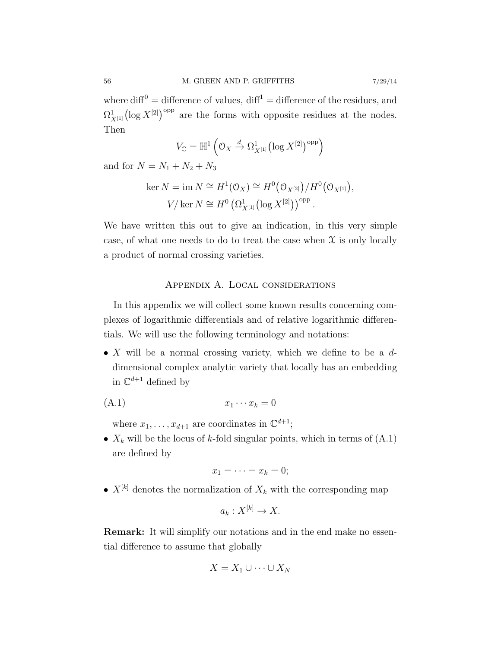where  $\text{diff}^0 = \text{difference of values}, \text{diff}^1 = \text{difference of the residues},$  and  $\Omega^1_{X^{[1]}}(\log X^{[2]})^{\text{opp}}$  are the forms with opposite residues at the nodes. Then

$$
V_{\mathbb{C}} = \mathbb{H}^1\left(\mathfrak{O}_X \xrightarrow{d} \Omega^1_{X^{[1]}}\left(\log X^{[2]}\right)^{\text{opp}}\right)
$$

and for  $N = N_1 + N_2 + N_3$ 

$$
\ker N = \operatorname{im} N \cong H^1(\mathcal{O}_X) \cong H^0(\mathcal{O}_{X^{[2]}})/H^0(\mathcal{O}_{X^{[1]}}),
$$
  

$$
V/\ker N \cong H^0(\Omega^1_{X^{[1]}}(\log X^{[2]}))^{\text{opp}}.
$$

We have written this out to give an indication, in this very simple case, of what one needs to do to treat the case when  $\mathfrak X$  is only locally a product of normal crossing varieties.

### Appendix A. Local considerations

In this appendix we will collect some known results concerning complexes of logarithmic differentials and of relative logarithmic differentials. We will use the following terminology and notations:

• X will be a normal crossing variety, which we define to be a  $d$ dimensional complex analytic variety that locally has an embedding in  $\mathbb{C}^{d+1}$  defined by

$$
(A.1) \t\t x_1 \cdots x_k = 0
$$

where  $x_1, \ldots, x_{d+1}$  are coordinates in  $\mathbb{C}^{d+1}$ ;

•  $X_k$  will be the locus of k-fold singular points, which in terms of  $(A.1)$ are defined by

$$
x_1=\cdots=x_k=0;
$$

•  $X^{[k]}$  denotes the normalization of  $X_k$  with the corresponding map

$$
a_k: X^{[k]} \to X.
$$

Remark: It will simplify our notations and in the end make no essential difference to assume that globally

$$
X = X_1 \cup \cdots \cup X_N
$$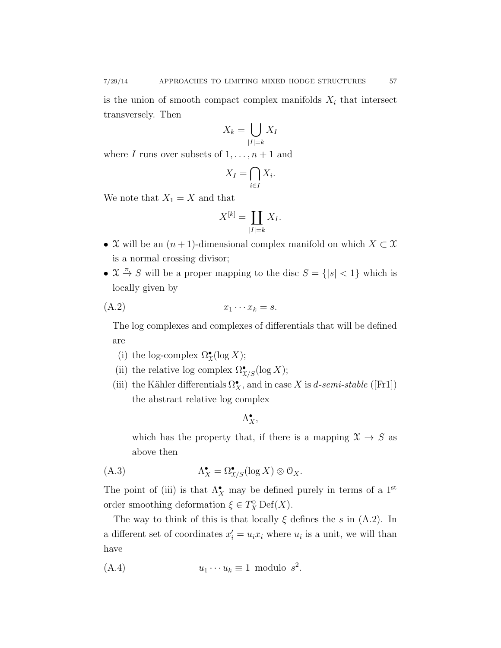transversely. Then

$$
X_k = \bigcup_{|I|=k} X_I
$$

where I runs over subsets of  $1, \ldots, n + 1$  and

$$
X_I = \bigcap_{i \in I} X_i.
$$

We note that  $X_1 = X$  and that

$$
X^{[k]} = \coprod_{|I|=k} X_I.
$$

- X will be an  $(n+1)$ -dimensional complex manifold on which  $X \subset \mathfrak{X}$ is a normal crossing divisor;
- $\mathfrak{X} \stackrel{\pi}{\rightarrow} S$  will be a proper mapping to the disc  $S = \{|s| < 1\}$  which is locally given by

$$
(A.2) \t\t x_1 \cdots x_k = s.
$$

The log complexes and complexes of differentials that will be defined are

- (i) the log-complex  $\Omega^{\bullet}_{\mathfrak{X}}(\log X)$ ;
- (ii) the relative log complex  $\Omega^\bullet_{\mathfrak{X}/S}(\log X)$ ;
- (iii) the Kähler differentials  $\Omega^{\bullet}_X$ , and in case X is d-semi-stable ([Fr1]) the abstract relative log complex

 $\Lambda_X^{\bullet}$ 

which has the property that, if there is a mapping  $\mathfrak{X} \to S$  as above then

$$
\Lambda_X^{\bullet} = \Omega_{\mathfrak{X}/S}^{\bullet}(\log X) \otimes \mathcal{O}_X.
$$

The point of (iii) is that  $\Lambda_X^{\bullet}$  may be defined purely in terms of a 1<sup>st</sup> order smoothing deformation  $\xi \in T_X^0 \text{Def}(X)$ .

The way to think of this is that locally  $\xi$  defines the s in (A.2). In a different set of coordinates  $x_i' = u_i x_i$  where  $u_i$  is a unit, we will than have

$$
(A.4) \t\t u_1 \cdots u_k \equiv 1 \text{ modulo } s^2.
$$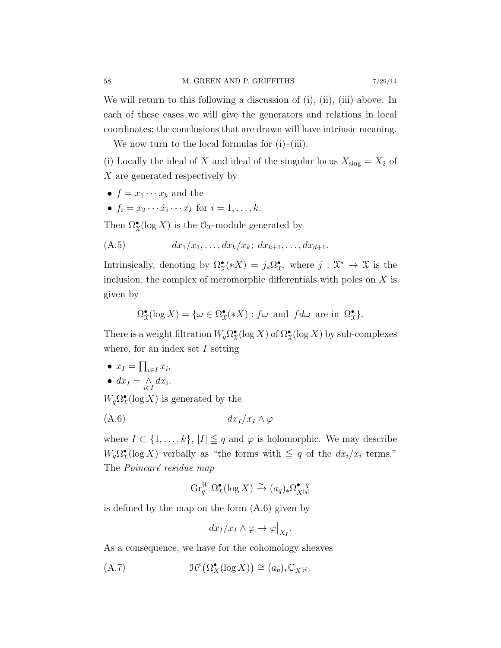We will return to this following a discussion of (i), (ii), (iii) above. In each of these cases we will give the generators and relations in local coordinates; the conclusions that are drawn will have intrinsic meaning.

We now turn to the local formulas for  $(i)$ – $(iii)$ .

(i) Locally the ideal of X and ideal of the singular locus  $X_{\text{sing}} = X_2$  of X are generated respectively by

- $f = x_1 \cdots x_k$  and the
- $f_i = x_2 \cdots \hat{x}_i \cdots x_k$  for  $i = 1, \ldots, k$ .

Then  $\Omega^{\bullet}_{\mathfrak{X}}(\log X)$  is the  $\mathfrak{O}_{\mathfrak{X}}$ -module generated by

(A.5) 
$$
dx_1/x_1, ..., dx_k/x_k; dx_{k+1}, ..., dx_{d+1}.
$$

Intrinsically, denoting by  $\Omega^{\bullet}_{\mathfrak{X}}(*X) = j_*\Omega^{\bullet}_{\mathfrak{X}^*}$  where  $j : \mathfrak{X}^* \to \mathfrak{X}$  is the inclusion, the complex of meromorphic differentials with poles on  $X$  is given by

$$
\Omega^\bullet_{\mathfrak{X}}(\log X) = \{ \omega \in \Omega^\bullet_{\mathfrak{X}}(*X) : f\omega \text{ and } f d\omega \text{ are in } \Omega^\bullet_{\mathfrak{X}} \}.
$$

There is a weight filtration  $W_q \Omega^{\bullet}_{\mathfrak{X}}(\log X)$  of  $\Omega^{\bullet}_{\mathfrak{X}}(\log X)$  by sub-complexes where, for an index set  $I$  setting

•  $x_I = \prod_{i \in I} x_i$ , •  $dx_I = \bigwedge_{i \in I} dx_i$ .

 $W_q \Omega^{\bullet}_{\mathfrak{X}}(\log X)$  is generated by the

$$
(A.6) \t\t dx_I/x_I \wedge \varphi
$$

where  $I \subset \{1, \ldots, k\}, |I| \leq q$  and  $\varphi$  is holomorphic. We may describe  $W_q \Omega^{\bullet}_{\mathfrak{X}}(\log X)$  verbally as "the forms with  $\leq q$  of the  $dx_i/x_i$  terms." The Poincaré residue map

$$
\operatorname{Gr}_q^W \Omega^\bullet_\mathfrak{X}(\log X) \xrightarrow{\sim} (a_q)_* \Omega^{\bullet - q}_{X^{[q]}}
$$

is defined by the map on the form (A.6) given by

$$
dx_I/x_I \wedge \varphi \to \varphi|_{X_I}.
$$

As a consequence, we have for the cohomology sheaves

$$
\text{(A.7)} \quad \mathfrak{H}^p\big(\Omega_X^{\bullet}(\log X)\big) \cong (a_p)_* \mathbb{C}_{X^{[p]}}.
$$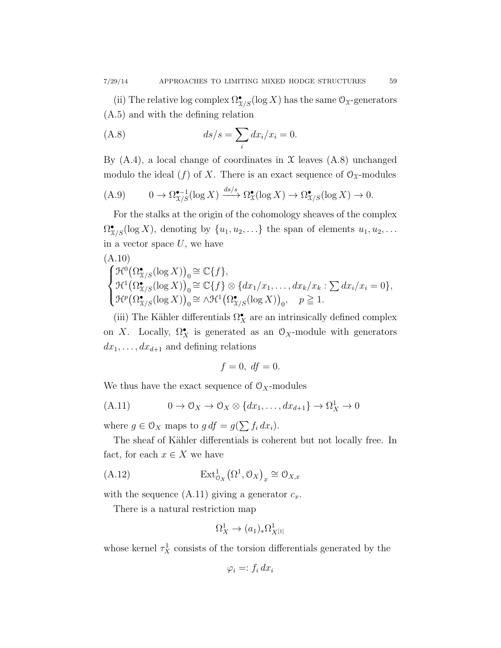(ii) The relative log complex  $\Omega_{X/S}^{\bullet}(\log X)$  has the same  $\mathcal{O}_X$ -generators (A.5) and with the defining relation

$$
(A.8)\t\t ds/s = \sum_{i} dx_i/x_i = 0.
$$

By  $(A.4)$ , a local change of coordinates in  $\mathfrak X$  leaves  $(A.8)$  unchanged modulo the ideal (f) of X. There is an exact sequence of  $\mathcal{O}_{\mathfrak{X}}$ -modules

(A.9) 
$$
0 \to \Omega_{\mathcal{X}/S}^{\bullet-1}(\log X) \xrightarrow{ds/s} \Omega_{\mathcal{X}}^{\bullet}(\log X) \to \Omega_{\mathcal{X}/S}^{\bullet}(\log X) \to 0.
$$

For the stalks at the origin of the cohomology sheaves of the complex  $\Omega_{X/S}^{\bullet}(\log X)$ , denoting by  $\{u_1, u_2, \ldots\}$  the span of elements  $u_1, u_2, \ldots$ in a vector space  $U$ , we have

(A.10)

$$
\begin{cases}\n\mathcal{H}^0(\Omega_{X/S}^{\bullet}(\log X))_0 \cong \mathbb{C}\{f\},\\ \n\mathcal{H}^1(\Omega_{X/S}^{\bullet}(\log X))_0 \cong \mathbb{C}\{f\} \otimes \{dx_1/x_1, \ldots, dx_k/x_k : \sum dx_i/x_i = 0\},\\ \n\mathcal{H}^p(\Omega_{X/S}^{\bullet}(\log X))_0 \cong \wedge \mathcal{H}^1(\Omega_{X/S}^{\bullet}(\log X))_0, \quad p \geq 1.\n\end{cases}
$$

(iii) The Kähler differentials  $\Omega^\bullet_X$  are an intrinsically defined complex on X. Locally,  $\Omega_X^{\bullet}$  is generated as an  $\mathcal{O}_X$ -module with generators  $dx_1, \ldots, dx_{d+1}$  and defining relations

$$
f=0, df=0.
$$

We thus have the exact sequence of  $\mathcal{O}_X$ -modules

$$
(A.11) \t 0 \to 0_X \to 0_X \otimes \{dx_1, \ldots, dx_{d+1}\} \to \Omega^1_X \to 0
$$

where  $g \in \mathcal{O}_X$  maps to  $g df = g(\sum f_i dx_i)$ .

The sheaf of Kähler differentials is coherent but not locally free. In fact, for each  $x \in X$  we have

$$
(\text{A.12}) \qquad \qquad \text{Ext}^1_{\mathcal{O}_X}(\Omega^1, \mathcal{O}_X)_x \cong \mathcal{O}_{X,x}
$$

with the sequence  $(A.11)$  giving a generator  $c_x$ .

There is a natural restriction map

$$
\Omega^1_X \to (a_1)_*\Omega^1_{X^{[1]}}
$$

whose kernel  $\tau_X^1$  consists of the torsion differentials generated by the

$$
\varphi_i =: f_i \, dx_i
$$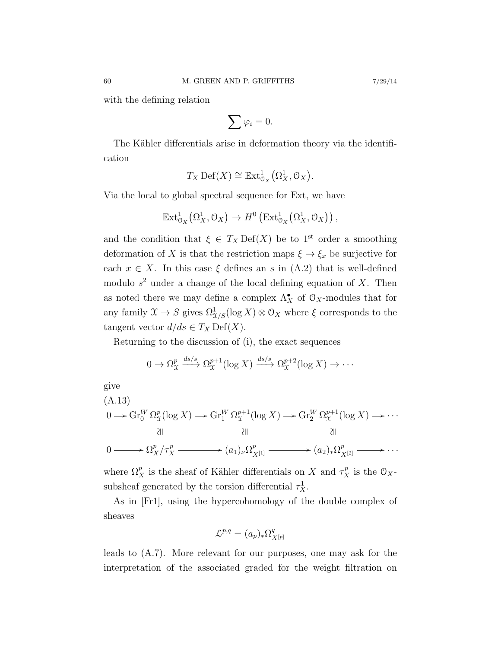with the defining relation

$$
\sum \varphi_i = 0.
$$

The Kähler differentials arise in deformation theory via the identification

$$
T_X \operatorname{Def}(X) \cong \operatorname{Ext}^1_{\mathcal{O}_X}(\Omega^1_X, \mathcal{O}_X).
$$

Via the local to global spectral sequence for Ext, we have

$$
\mathbb{E}xt_{\mathcal{O}_X}^1(\Omega_X^1, \mathcal{O}_X) \to H^0\left(\mathbb{E}xt_{\mathcal{O}_X}^1(\Omega_X^1, \mathcal{O}_X)\right),
$$

and the condition that  $\xi \in T_X \text{Def}(X)$  be to 1<sup>st</sup> order a smoothing deformation of X is that the restriction maps  $\xi \to \xi_x$  be surjective for each  $x \in X$ . In this case  $\xi$  defines an s in (A.2) that is well-defined modulo  $s^2$  under a change of the local defining equation of X. Then as noted there we may define a complex  $\Lambda_X^{\bullet}$  of  $\mathcal{O}_X$ -modules that for any family  $\mathfrak{X} \to S$  gives  $\Omega^1_{\mathfrak{X}/S}(\log X) \otimes \mathfrak{O}_X$  where  $\xi$  corresponds to the tangent vector  $d/ds \in T_X \text{Def}(X)$ .

Returning to the discussion of (i), the exact sequences

$$
0 \to \Omega_{\mathfrak{X}}^p \xrightarrow{ds/s} \Omega_{\mathfrak{X}}^{p+1}(\log X) \xrightarrow{ds/s} \Omega_{\mathfrak{X}}^{p+2}(\log X) \to \cdots
$$

give

$$
(A.13)
$$
\n
$$
0 \longrightarrow \operatorname{Gr}_{0}^{W} \Omega_{\mathcal{X}}^{p}(\log X) \longrightarrow \operatorname{Gr}_{1}^{W} \Omega_{\mathcal{X}}^{p+1}(\log X) \longrightarrow \operatorname{Gr}_{2}^{W} \Omega_{\mathcal{X}}^{p+1}(\log X) \longrightarrow \cdots
$$
\n
$$
\text{and} \quad \text{and} \quad \text{and} \quad \text{and} \quad \text{and} \quad \text{and} \quad \text{and} \quad \text{and} \quad \text{and} \quad \text{and} \quad \text{and} \quad \text{and} \quad \text{and} \quad \text{and} \quad \text{and} \quad \text{and} \quad \text{and} \quad \text{and} \quad \text{and} \quad \text{and} \quad \text{and} \quad \text{and} \quad \text{and} \quad \text{and} \quad \text{and} \quad \text{and} \quad \text{and} \quad \text{and} \quad \text{and} \quad \text{and} \quad \text{and} \quad \text{and} \quad \text{and} \quad \text{and} \quad \text{and} \quad \text{and} \quad \text{and} \quad \text{and} \quad \text{and} \quad \text{and} \quad \text{and} \quad \text{and} \quad \text{and} \quad \text{and} \quad \text{and} \quad \text{and} \quad \text{and} \quad \text{and} \quad \text{and} \quad \text{and} \quad \text{and} \quad \text{and} \quad \text{and} \quad \text{and} \quad \text{and} \quad \text{and} \quad \text{and} \quad \text{and} \quad \text{and} \quad \text{and} \quad \text{and} \quad \text{and} \quad \text{and} \quad \text{and} \quad \text{and} \quad \text{and} \quad \text{and} \quad \text{and} \quad \text{and} \quad \text{and} \quad \text{and} \quad \text{and} \quad \text{and} \quad \text{and} \quad \text{and} \quad \text{and} \quad \text{and} \quad \text{and} \quad \text{and} \quad \text{and} \quad \text{and} \quad \text{and} \quad \text{and} \quad \text{and} \quad \text{and} \quad \text{and} \quad \text{and} \quad \text{and} \quad \text{and} \quad \text{and} \quad \text{and} \quad \text
$$

where  $\Omega_X^p$  is the sheaf of Kähler differentials on X and  $\tau_X^p$  is the  $\mathcal{O}_X$ subsheaf generated by the torsion differential  $\tau_X^1$ .

As in [Fr1], using the hypercohomology of the double complex of sheaves

$$
\mathcal{L}^{p,q} = (a_p)_* \Omega^q_{X^{[p]}}
$$

leads to (A.7). More relevant for our purposes, one may ask for the interpretation of the associated graded for the weight filtration on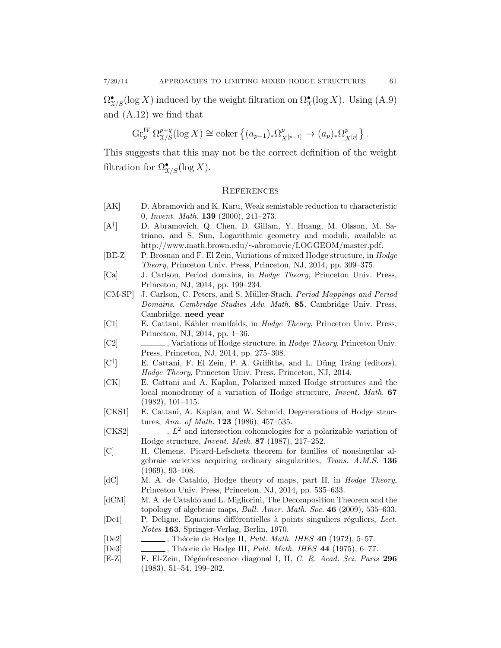$\Omega_{X/S}^{\bullet}(\log X)$  induced by the weight filtration on  $\Omega_X^{\bullet}(\log X)$ . Using (A.9) and (A.12) we find that

$$
\operatorname{Gr}_{p}^{W} \Omega_{\mathcal{X}/S}^{p+q}(\log X) \cong \operatorname{coker} \left\{ (a_{p-1})_* \Omega_{X^{[p-1]}}^p \to (a_p)_* \Omega_{X^{[p]}}^p \right\}.
$$

This suggests that this may not be the correct definition of the weight filtration for  $\Omega_{X/S}^{\bullet}(\log X)$ .

#### **REFERENCES**

- [AK] D. Abramovich and K. Karu, Weak semistable reduction to characteristic 0, Invent. Math. 139 (2000), 241–273.
- $[A^{\dagger}]$ ] D. Abramovich, Q. Chen, D. Gillam, Y. Huang, M. Olsson, M. Satriano, and S. Sun, Logarithmic geometry and moduli, available at http://www.math.brown.edu/∼abromovic/LOGGEOM/master.pdf.
- [BE-Z] P. Brosnan and F. El Zein, Variations of mixed Hodge structure, in Hodge Theory, Princeton Univ. Press, Princeton, NJ, 2014, pp. 309–375.
- [Ca] J. Carlson, Period domains, in Hodge Theory, Princeton Univ. Press, Princeton, NJ, 2014, pp. 199–234.
- [CM-SP] J. Carlson, C. Peters, and S. Müller-Stach, *Period Mappings and Period* Domains, Cambridge Studies Adv. Math. 85, Cambridge Univ. Press, Cambridge. need year
- [C1] E. Cattani, Kähler manifolds, in *Hodge Theory*, Princeton Univ. Press, Princeton, NJ, 2014, pp. 1–36.
- [C2] , Variations of Hodge structure, in *Hodge Theory*, Princeton Univ. Press, Princeton, NJ, 2014, pp. 275–308.
- $[C^{\dagger}]$ E. Cattani, F. El Zein, P. A. Griffiths, and L. Dung Tráng (editors), Hodge Theory, Princeton Univ. Press, Princeton, NJ, 2014.
- [CK] E. Cattani and A. Kaplan, Polarized mixed Hodge structures and the local monodromy of a variation of Hodge structure, Invent. Math. 67 (1982), 101–115.
- [CKS1] E. Cattani, A. Kaplan, and W. Schmid, Degenerations of Hodge structures, Ann. of Math. 123 (1986), 457–535.
- [CKS2]  $\quad \underline{\hspace{2cm}}$ ,  $L^2$  and intersection cohomologies for a polarizable variation of Hodge structure, Invent. Math. 87 (1987), 217–252.
- [C] H. Clemens, Picard-Lefschetz theorem for families of nonsingular algebraic varieties acquiring ordinary singularities, Trans. A.M.S. 136 (1969), 93–108.
- [dC] M. A. de Cataldo, Hodge theory of maps, part II, in Hodge Theory, Princeton Univ. Press, Princeton, NJ, 2014, pp. 535–633.
- [dCM] M. A. de Cataldo and L. Migliorini, The Decomposition Theorem and the topology of algebraic maps, Bull. Amer. Math. Soc. 46 (2009), 535–633.
- [De1] P. Deligne, Equations differentielles à points singuliers réguliers, Lect. Notes 163, Springer-Verlag, Berlin, 1970.
- $[De2]$  , Théorie de Hodge II, Publ. Math. IHES 40 (1972), 5-57.
- [De3] , Théorie de Hodge III, Publ. Math. IHES 44 (1975), 6-77.
- [E-Z] F. El-Zein, D´eg´en´erescence diagonal I, II, C. R. Acad. Sci. Paris 296 (1983), 51–54, 199–202.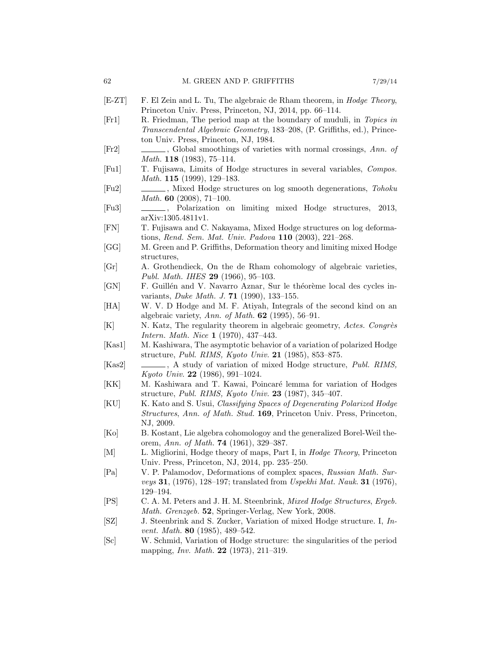- [E-ZT] F. El Zein and L. Tu, The algebraic de Rham theorem, in Hodge Theory, Princeton Univ. Press, Princeton, NJ, 2014, pp. 66–114.
- [Fr1] R. Friedman, The period map at the boundary of muduli, in Topics in Transcendental Algebraic Geometry, 183–208, (P. Griffiths, ed.), Princeton Univ. Press, Princeton, NJ, 1984.
- [Fr2] , Global smoothings of varieties with normal crossings, Ann. of *Math.* **118** (1983), 75–114.
- [Fu1] T. Fujisawa, Limits of Hodge structures in several variables, Compos. Math. **115** (1999), 129–183.
- [Fu2] , Mixed Hodge structures on log smooth degenerations, Tohoku Math. 60 (2008), 71–100.
- [Fu3] , Polarization on limiting mixed Hodge structures, 2013, arXiv:1305.4811v1.
- [FN] T. Fujisawa and C. Nakayama, Mixed Hodge structures on log deformations, Rend. Sem. Mat. Univ. Padova 110 (2003), 221–268.
- [GG] M. Green and P. Griffiths, Deformation theory and limiting mixed Hodge structures,
- [Gr] A. Grothendieck, On the de Rham cohomology of algebraic varieties, Publ. Math. IHES **29** (1966), 95-103.
- [GN] F. Guillén and V. Navarro Aznar, Sur le théorème local des cycles invariants, Duke Math. J. 71 (1990), 133–155.
- [HA] W. V. D Hodge and M. F. Atiyah, Integrals of the second kind on an algebraic variety, Ann. of Math.  $62$  (1995), 56–91.
- [K] N. Katz, The regularity theorem in algebraic geometry, Actes. Congrès Intern. Math. Nice 1 (1970), 437–443.
- [Kas1] M. Kashiwara, The asymptotic behavior of a variation of polarized Hodge structure, Publ. RIMS, Kyoto Univ. 21 (1985), 853–875.
- [Kas2]  $\Box$ , A study of variation of mixed Hodge structure, Publ. RIMS, Kyoto Univ. 22 (1986), 991–1024.
- [KK] M. Kashiwara and T. Kawai, Poincaré lemma for variation of Hodges structure, Publ. RIMS, Kyoto Univ. 23 (1987), 345–407.
- [KU] K. Kato and S. Usui, *Classifying Spaces of Degenerating Polarized Hodge* Structures, Ann. of Math. Stud. 169, Princeton Univ. Press, Princeton, NJ, 2009.
- [Ko] B. Kostant, Lie algebra cohomologoy and the generalized Borel-Weil theorem, Ann. of Math. 74 (1961), 329–387.
- [M] L. Migliorini, Hodge theory of maps, Part I, in *Hodge Theory*, Princeton Univ. Press, Princeton, NJ, 2014, pp. 235–250.
- [Pa] V. P. Palamodov, Deformations of complex spaces, Russian Math. Surveys 31, (1976), 128–197; translated from Uspekhi Mat. Nauk. 31 (1976), 129–194.
- [PS] C. A. M. Peters and J. H. M. Steenbrink, Mixed Hodge Structures, Ergeb. Math. Grenzgeb. 52, Springer-Verlag, New York, 2008.
- [SZ] J. Steenbrink and S. Zucker, Variation of mixed Hodge structure. I, Invent. Math. 80 (1985), 489–542.
- [Sc] W. Schmid, Variation of Hodge structure: the singularities of the period mapping, *Inv. Math.* **22** (1973), 211–319.